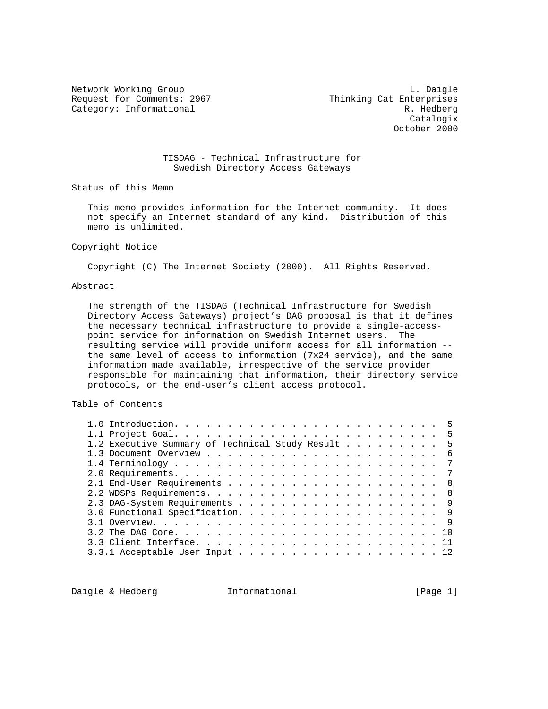Request for Comments: 2967 Thinking Cat Enterprises Category: Informational R. Hedberg

Network Working Group and the contract of the contract of the contract of the contract of the contract of the contract of the contract of the contract of the contract of the contract of the contract of the contract of the Catalogix October 2000

# TISDAG - Technical Infrastructure for Swedish Directory Access Gateways

Status of this Memo

 This memo provides information for the Internet community. It does not specify an Internet standard of any kind. Distribution of this memo is unlimited.

### Copyright Notice

Copyright (C) The Internet Society (2000). All Rights Reserved.

### Abstract

 The strength of the TISDAG (Technical Infrastructure for Swedish Directory Access Gateways) project's DAG proposal is that it defines the necessary technical infrastructure to provide a single-access point service for information on Swedish Internet users. The resulting service will provide uniform access for all information - the same level of access to information (7x24 service), and the same information made available, irrespective of the service provider responsible for maintaining that information, their directory service protocols, or the end-user's client access protocol.

# Table of Contents

|  | 1.2 Executive Summary of Technical Study Result 5 |  |  |  |  |  |  |  |  |  |  |
|--|---------------------------------------------------|--|--|--|--|--|--|--|--|--|--|
|  |                                                   |  |  |  |  |  |  |  |  |  |  |
|  |                                                   |  |  |  |  |  |  |  |  |  |  |
|  |                                                   |  |  |  |  |  |  |  |  |  |  |
|  |                                                   |  |  |  |  |  |  |  |  |  |  |
|  |                                                   |  |  |  |  |  |  |  |  |  |  |
|  |                                                   |  |  |  |  |  |  |  |  |  |  |
|  |                                                   |  |  |  |  |  |  |  |  |  |  |
|  |                                                   |  |  |  |  |  |  |  |  |  |  |
|  |                                                   |  |  |  |  |  |  |  |  |  |  |
|  |                                                   |  |  |  |  |  |  |  |  |  |  |
|  | $3.3.1$ Acceptable User Input 12                  |  |  |  |  |  |  |  |  |  |  |

Daigle & Hedberg **Informational** [Page 1]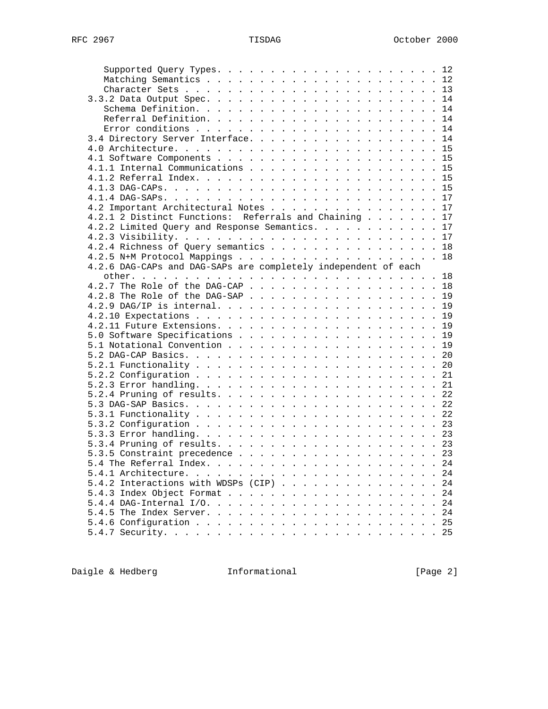| 3.4 Directory Server Interface. 14                             |  |      |
|----------------------------------------------------------------|--|------|
|                                                                |  |      |
|                                                                |  |      |
|                                                                |  |      |
| 4.1.1 Internal Communications 15                               |  |      |
|                                                                |  |      |
|                                                                |  |      |
|                                                                |  |      |
| 4.2 Important Architectural Notes 17                           |  |      |
| 4.2.1 2 Distinct Functions: Referrals and Chaining 17          |  |      |
| 4.2.2 Limited Query and Response Semantics. 17                 |  |      |
|                                                                |  |      |
| 4.2.4 Richness of Query semantics 18                           |  |      |
| 4.2.5 N+M Protocol Mappings 18                                 |  |      |
| 4.2.6 DAG-CAPs and DAG-SAPs are completely independent of each |  |      |
|                                                                |  |      |
| 4.2.7 The Role of the DAG-CAP 18                               |  |      |
| 4.2.8 The Role of the DAG-SAP 19                               |  |      |
|                                                                |  |      |
|                                                                |  |      |
|                                                                |  |      |
|                                                                |  |      |
|                                                                |  |      |
|                                                                |  |      |
|                                                                |  |      |
|                                                                |  |      |
|                                                                |  |      |
|                                                                |  |      |
|                                                                |  |      |
|                                                                |  |      |
|                                                                |  |      |
|                                                                |  |      |
|                                                                |  |      |
|                                                                |  |      |
|                                                                |  |      |
|                                                                |  |      |
|                                                                |  |      |
|                                                                |  |      |
| 5.4.1 Architecture.                                            |  | . 24 |
| 5.4.2 Interactions with WDSPs (CIP) 24                         |  |      |
|                                                                |  |      |
| 5.4.4 DAG-Internal $I/O.$                                      |  | 24   |
|                                                                |  |      |
|                                                                |  |      |

Daigle & Hedberg **Informational Informational** [Page 2]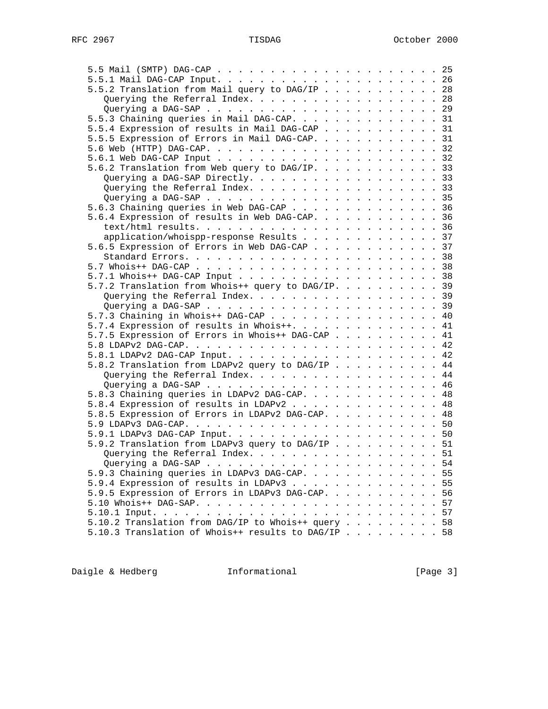| 5.5.2 Translation from Mail query to DAG/IP 28     |  |  |  |  |    |
|----------------------------------------------------|--|--|--|--|----|
| Querying the Referral Index. 28                    |  |  |  |  |    |
|                                                    |  |  |  |  |    |
| 5.5.3 Chaining queries in Mail DAG-CAP. 31         |  |  |  |  |    |
| 5.5.4 Expression of results in Mail DAG-CAP 31     |  |  |  |  |    |
| 5.5.5 Expression of Errors in Mail DAG-CAP. 31     |  |  |  |  |    |
|                                                    |  |  |  |  |    |
|                                                    |  |  |  |  |    |
| 5.6.2 Translation from Web query to DAG/IP. 33     |  |  |  |  |    |
|                                                    |  |  |  |  |    |
| Querying a DAG-SAP Directly. 33                    |  |  |  |  |    |
| Querying the Referral Index. 33                    |  |  |  |  |    |
|                                                    |  |  |  |  |    |
| 5.6.3 Chaining queries in Web DAG-CAP 36           |  |  |  |  |    |
| 5.6.4 Expression of results in Web DAG-CAP. 36     |  |  |  |  |    |
|                                                    |  |  |  |  |    |
| application/whoispp-response Results 37            |  |  |  |  |    |
| 5.6.5 Expression of Errors in Web DAG-CAP 37       |  |  |  |  |    |
|                                                    |  |  |  |  |    |
|                                                    |  |  |  |  |    |
|                                                    |  |  |  |  |    |
| 5.7.2 Translation from Whois++ query to DAG/IP. 39 |  |  |  |  |    |
| Querying the Referral Index. 39                    |  |  |  |  |    |
|                                                    |  |  |  |  |    |
| 5.7.3 Chaining in Whois++ DAG-CAP 40               |  |  |  |  |    |
| 5.7.4 Expression of results in Whois++. 41         |  |  |  |  |    |
| 5.7.5 Expression of Errors in Whois++ DAG-CAP 41   |  |  |  |  |    |
|                                                    |  |  |  |  |    |
|                                                    |  |  |  |  |    |
| 5.8.2 Translation from LDAPv2 query to DAG/IP 44   |  |  |  |  |    |
| Querying the Referral Index. 44                    |  |  |  |  |    |
|                                                    |  |  |  |  |    |
| 5.8.3 Chaining queries in LDAPv2 DAG-CAP. 48       |  |  |  |  |    |
| 5.8.4 Expression of results in LDAPv2 48           |  |  |  |  |    |
| 5.8.5 Expression of Errors in LDAPv2 DAG-CAP. 48   |  |  |  |  |    |
|                                                    |  |  |  |  |    |
|                                                    |  |  |  |  |    |
| 5.9.2 Translation from LDAPv3 query to DAG/IP 51   |  |  |  |  |    |
| Querying the Referral Index. 51                    |  |  |  |  |    |
|                                                    |  |  |  |  |    |
|                                                    |  |  |  |  |    |
| 5.9.3 Chaining queries in LDAPv3 DAG-CAP. 55       |  |  |  |  |    |
| 5.9.4 Expression of results in LDAPv3              |  |  |  |  | 55 |
| 5.9.5 Expression of Errors in LDAPv3 DAG-CAP.      |  |  |  |  | 56 |
|                                                    |  |  |  |  | 57 |
|                                                    |  |  |  |  |    |
| 5.10.2 Translation from DAG/IP to Whois++ query 58 |  |  |  |  |    |
| 5.10.3 Translation of Whois++ results to DAG/IP 58 |  |  |  |  |    |

Daigle & Hedberg **Informational Informational** [Page 3]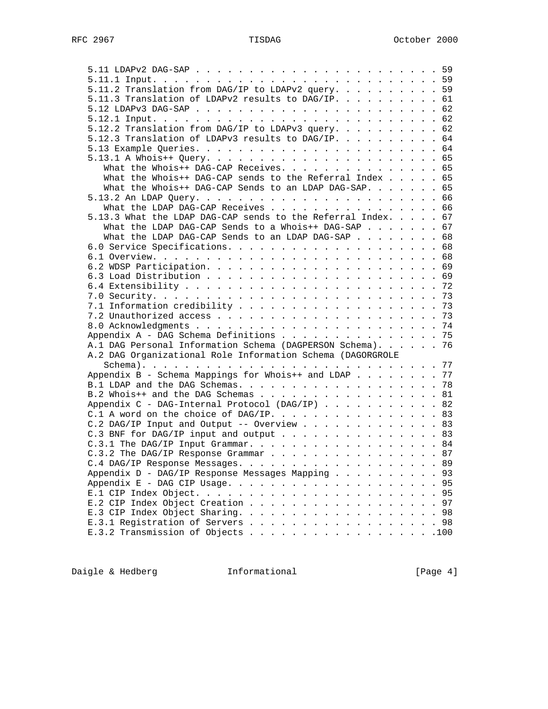| 5.11.2 Translation from DAG/IP to LDAPv2 query. 59           |  |
|--------------------------------------------------------------|--|
| 5.11.3 Translation of LDAPv2 results to DAG/IP. 61           |  |
|                                                              |  |
|                                                              |  |
| 5.12.2 Translation from DAG/IP to LDAPv3 query. 62           |  |
|                                                              |  |
| 5.12.3 Translation of LDAPv3 results to DAG/IP. 64           |  |
|                                                              |  |
|                                                              |  |
| What the Whois++ DAG-CAP Receives. 65                        |  |
| What the Whois++ DAG-CAP sends to the Referral Index 65      |  |
| What the Whois++ DAG-CAP Sends to an LDAP DAG-SAP. 65        |  |
|                                                              |  |
| What the LDAP DAG-CAP Receives 66                            |  |
| 5.13.3 What the LDAP DAG-CAP sends to the Referral Index. 67 |  |
| What the LDAP DAG-CAP Sends to a Whois++ DAG-SAP 67          |  |
| What the LDAP DAG-CAP Sends to an LDAP DAG-SAP 68            |  |
|                                                              |  |
|                                                              |  |
|                                                              |  |
|                                                              |  |
|                                                              |  |
|                                                              |  |
|                                                              |  |
|                                                              |  |
|                                                              |  |
|                                                              |  |
| Appendix A - DAG Schema Definitions 75                       |  |
| A.1 DAG Personal Information Schema (DAGPERSON Schema). 76   |  |
| A.2 DAG Organizational Role Information Schema (DAGORGROLE   |  |
|                                                              |  |
| Appendix B - Schema Mappings for Whois++ and LDAP 77         |  |
|                                                              |  |
|                                                              |  |
| B.2 Whois++ and the DAG Schemas 81                           |  |
| Appendix C - DAG-Internal Protocol (DAG/IP) 82               |  |
| C.1 A word on the choice of DAG/IP. 83                       |  |
| C.2 DAG/IP Input and Output -- Overview 83                   |  |
| C.3 BNF for DAG/IP input and output 83                       |  |
| C.3.1 The DAG/IP Input Grammar. 84                           |  |
| C.3.2 The DAG/IP Response Grammar 87                         |  |
| C.4 DAG/IP Response Messages. 89                             |  |
| Appendix D - DAG/IP Response Messages Mapping 93             |  |
|                                                              |  |
|                                                              |  |
| E.2 CIP Index Object Creation 97                             |  |
|                                                              |  |
|                                                              |  |
| E.3.1 Registration of Servers 98                             |  |
| E.3.2 Transmission of Objects 100                            |  |

Daigle & Hedberg **Informational Informational** [Page 4]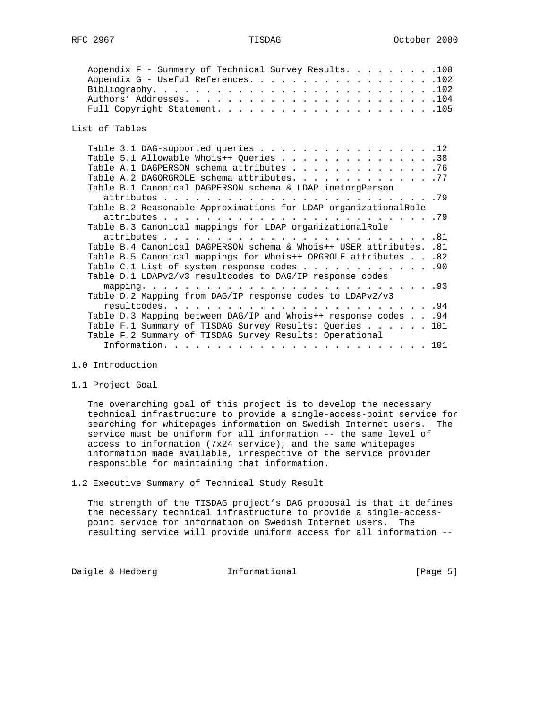| Appendix F - Summary of Technical Survey Results. 100<br>Appendix G - Useful References. 102 |  |
|----------------------------------------------------------------------------------------------|--|
| List of Tables                                                                               |  |
| Table 3.1 DAG-supported queries 12                                                           |  |
| Table 5.1 Allowable Whois++ Queries 38                                                       |  |
| Table A.1 DAGPERSON schema attributes 76                                                     |  |
| Table A.2 DAGORGROLE schema attributes. 77                                                   |  |
| Table B.1 Canonical DAGPERSON schema & LDAP inetorgPerson                                    |  |
|                                                                                              |  |
| Table B.2 Reasonable Approximations for LDAP organizationalRole                              |  |
|                                                                                              |  |
| Table B.3 Canonical mappings for LDAP organizationalRole                                     |  |
|                                                                                              |  |
| Table B.4 Canonical DAGPERSON schema & Whois++ USER attributes. .81                          |  |
| Table B.5 Canonical mappings for Whois++ ORGROLE attributes 82                               |  |
| Table C.1 List of system response codes 90                                                   |  |
| Table D.1 LDAPv2/v3 resultcodes to DAG/IP response codes                                     |  |
|                                                                                              |  |
| Table D.2 Mapping from DAG/IP response codes to LDAPv2/v3                                    |  |
|                                                                                              |  |
| Table D.3 Mapping between DAG/IP and Whois++ response codes 94                               |  |
|                                                                                              |  |
| Table F.1 Summary of TISDAG Survey Results: Queries 101                                      |  |
| Table F.2 Summary of TISDAG Survey Results: Operational                                      |  |
|                                                                                              |  |

- 1.0 Introduction
- 1.1 Project Goal

 The overarching goal of this project is to develop the necessary technical infrastructure to provide a single-access-point service for searching for whitepages information on Swedish Internet users. The service must be uniform for all information -- the same level of access to information (7x24 service), and the same whitepages information made available, irrespective of the service provider responsible for maintaining that information.

1.2 Executive Summary of Technical Study Result

 The strength of the TISDAG project's DAG proposal is that it defines the necessary technical infrastructure to provide a single-access point service for information on Swedish Internet users. The resulting service will provide uniform access for all information --

Daigle & Hedberg **Informational** [Page 5]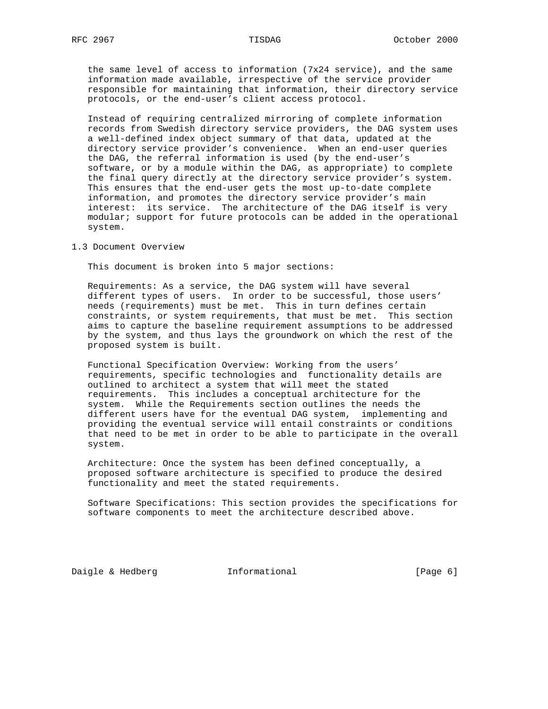the same level of access to information (7x24 service), and the same information made available, irrespective of the service provider responsible for maintaining that information, their directory service protocols, or the end-user's client access protocol.

 Instead of requiring centralized mirroring of complete information records from Swedish directory service providers, the DAG system uses a well-defined index object summary of that data, updated at the directory service provider's convenience. When an end-user queries the DAG, the referral information is used (by the end-user's software, or by a module within the DAG, as appropriate) to complete the final query directly at the directory service provider's system. This ensures that the end-user gets the most up-to-date complete information, and promotes the directory service provider's main interest: its service. The architecture of the DAG itself is very modular; support for future protocols can be added in the operational system.

### 1.3 Document Overview

This document is broken into 5 major sections:

 Requirements: As a service, the DAG system will have several different types of users. In order to be successful, those users' needs (requirements) must be met. This in turn defines certain constraints, or system requirements, that must be met. This section aims to capture the baseline requirement assumptions to be addressed by the system, and thus lays the groundwork on which the rest of the proposed system is built.

 Functional Specification Overview: Working from the users' requirements, specific technologies and functionality details are outlined to architect a system that will meet the stated requirements. This includes a conceptual architecture for the system. While the Requirements section outlines the needs the different users have for the eventual DAG system, implementing and providing the eventual service will entail constraints or conditions that need to be met in order to be able to participate in the overall system.

 Architecture: Once the system has been defined conceptually, a proposed software architecture is specified to produce the desired functionality and meet the stated requirements.

 Software Specifications: This section provides the specifications for software components to meet the architecture described above.

Daigle & Hedberg **Informational** [Page 6]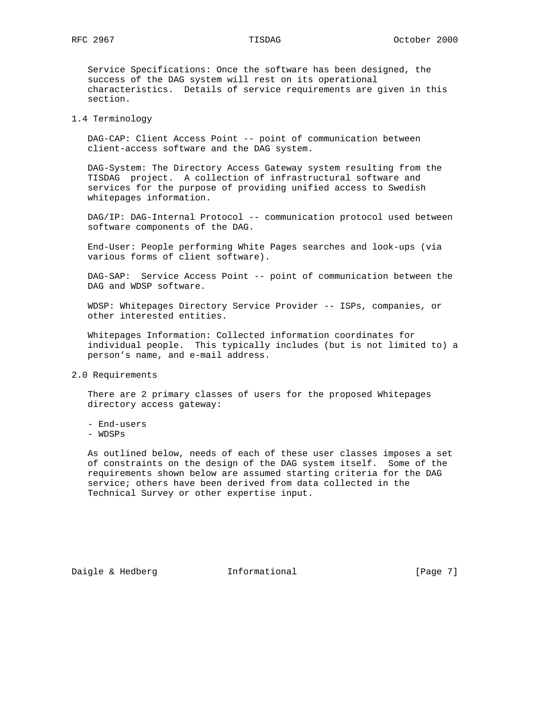Service Specifications: Once the software has been designed, the success of the DAG system will rest on its operational characteristics. Details of service requirements are given in this section.

### 1.4 Terminology

 DAG-CAP: Client Access Point -- point of communication between client-access software and the DAG system.

 DAG-System: The Directory Access Gateway system resulting from the TISDAG project. A collection of infrastructural software and services for the purpose of providing unified access to Swedish whitepages information.

 DAG/IP: DAG-Internal Protocol -- communication protocol used between software components of the DAG.

 End-User: People performing White Pages searches and look-ups (via various forms of client software).

 DAG-SAP: Service Access Point -- point of communication between the DAG and WDSP software.

 WDSP: Whitepages Directory Service Provider -- ISPs, companies, or other interested entities.

 Whitepages Information: Collected information coordinates for individual people. This typically includes (but is not limited to) a person's name, and e-mail address.

2.0 Requirements

 There are 2 primary classes of users for the proposed Whitepages directory access gateway:

- End-users
- WDSPs

 As outlined below, needs of each of these user classes imposes a set of constraints on the design of the DAG system itself. Some of the requirements shown below are assumed starting criteria for the DAG service; others have been derived from data collected in the Technical Survey or other expertise input.

Daigle & Hedberg **Informational Informational** [Page 7]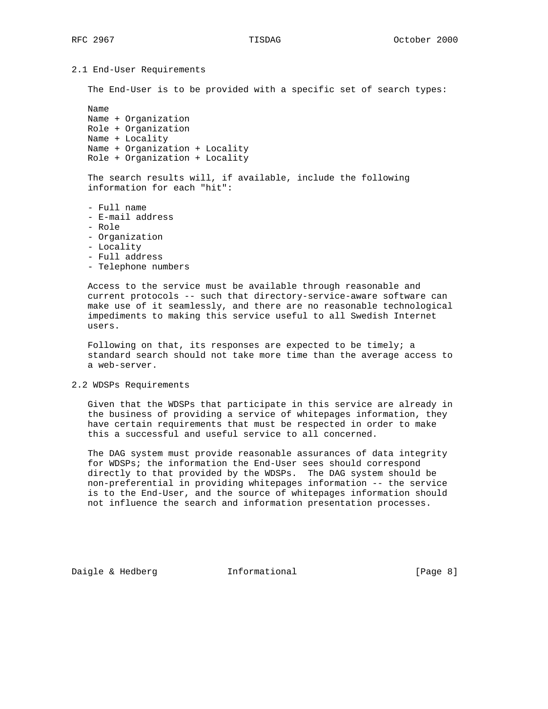```
2.1 End-User Requirements
```
The End-User is to be provided with a specific set of search types:

 Name Name + Organization Role + Organization Name + Locality Name + Organization + Locality Role + Organization + Locality

 The search results will, if available, include the following information for each "hit":

- Full name - E-mail address - Role - Organization
- 
- Locality
- Full address
- Telephone numbers

 Access to the service must be available through reasonable and current protocols -- such that directory-service-aware software can make use of it seamlessly, and there are no reasonable technological impediments to making this service useful to all Swedish Internet users.

Following on that, its responses are expected to be timely; a standard search should not take more time than the average access to a web-server.

2.2 WDSPs Requirements

 Given that the WDSPs that participate in this service are already in the business of providing a service of whitepages information, they have certain requirements that must be respected in order to make this a successful and useful service to all concerned.

 The DAG system must provide reasonable assurances of data integrity for WDSPs; the information the End-User sees should correspond directly to that provided by the WDSPs. The DAG system should be non-preferential in providing whitepages information -- the service is to the End-User, and the source of whitepages information should not influence the search and information presentation processes.

Daigle & Hedberg **Informational** [Page 8]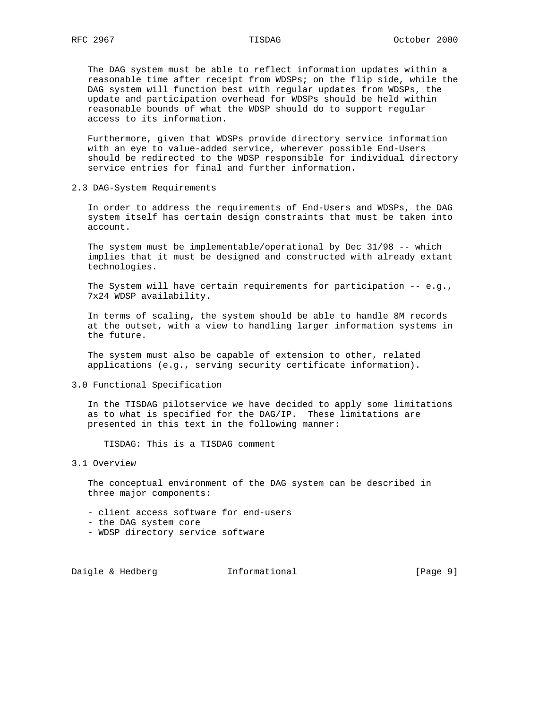The DAG system must be able to reflect information updates within a reasonable time after receipt from WDSPs; on the flip side, while the DAG system will function best with regular updates from WDSPs, the update and participation overhead for WDSPs should be held within reasonable bounds of what the WDSP should do to support regular access to its information.

 Furthermore, given that WDSPs provide directory service information with an eye to value-added service, wherever possible End-Users should be redirected to the WDSP responsible for individual directory service entries for final and further information.

2.3 DAG-System Requirements

 In order to address the requirements of End-Users and WDSPs, the DAG system itself has certain design constraints that must be taken into account.

 The system must be implementable/operational by Dec 31/98 -- which implies that it must be designed and constructed with already extant technologies.

 The System will have certain requirements for participation -- e.g., 7x24 WDSP availability.

 In terms of scaling, the system should be able to handle 8M records at the outset, with a view to handling larger information systems in the future.

 The system must also be capable of extension to other, related applications (e.g., serving security certificate information).

3.0 Functional Specification

 In the TISDAG pilotservice we have decided to apply some limitations as to what is specified for the DAG/IP. These limitations are presented in this text in the following manner:

TISDAG: This is a TISDAG comment

# 3.1 Overview

 The conceptual environment of the DAG system can be described in three major components:

- client access software for end-users
- the DAG system core
- WDSP directory service software

Daigle & Hedberg **Informational Informational** [Page 9]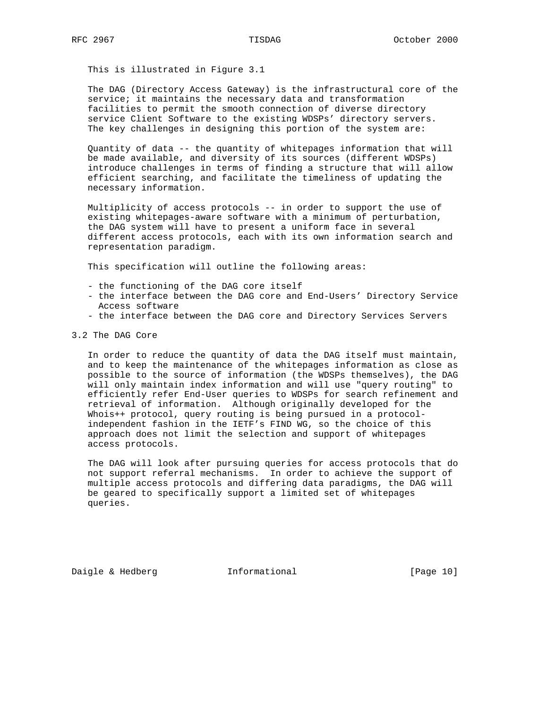This is illustrated in Figure 3.1

 The DAG (Directory Access Gateway) is the infrastructural core of the service; it maintains the necessary data and transformation facilities to permit the smooth connection of diverse directory service Client Software to the existing WDSPs' directory servers. The key challenges in designing this portion of the system are:

 Quantity of data -- the quantity of whitepages information that will be made available, and diversity of its sources (different WDSPs) introduce challenges in terms of finding a structure that will allow efficient searching, and facilitate the timeliness of updating the necessary information.

 Multiplicity of access protocols -- in order to support the use of existing whitepages-aware software with a minimum of perturbation, the DAG system will have to present a uniform face in several different access protocols, each with its own information search and representation paradigm.

This specification will outline the following areas:

- the functioning of the DAG core itself
- the interface between the DAG core and End-Users' Directory Service Access software
- the interface between the DAG core and Directory Services Servers
- 3.2 The DAG Core

 In order to reduce the quantity of data the DAG itself must maintain, and to keep the maintenance of the whitepages information as close as possible to the source of information (the WDSPs themselves), the DAG will only maintain index information and will use "query routing" to efficiently refer End-User queries to WDSPs for search refinement and retrieval of information. Although originally developed for the Whois++ protocol, query routing is being pursued in a protocol independent fashion in the IETF's FIND WG, so the choice of this approach does not limit the selection and support of whitepages access protocols.

 The DAG will look after pursuing queries for access protocols that do not support referral mechanisms. In order to achieve the support of multiple access protocols and differing data paradigms, the DAG will be geared to specifically support a limited set of whitepages queries.

Daigle & Hedberg **Informational** [Page 10]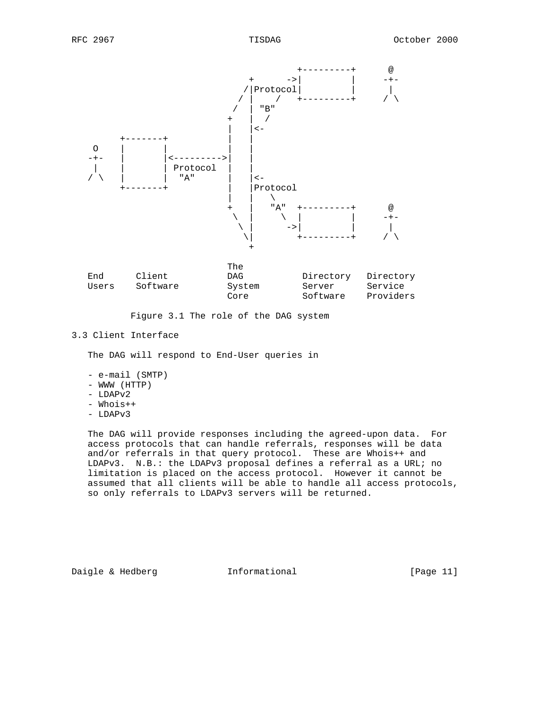

Figure 3.1 The role of the DAG system

## 3.3 Client Interface

The DAG will respond to End-User queries in

- e-mail (SMTP) - WWW (HTTP)
- LDAPv2
- Whois++
- LDAPv3

 The DAG will provide responses including the agreed-upon data. For access protocols that can handle referrals, responses will be data and/or referrals in that query protocol. These are Whois++ and LDAPv3. N.B.: the LDAPv3 proposal defines a referral as a URL; no limitation is placed on the access protocol. However it cannot be assumed that all clients will be able to handle all access protocols, so only referrals to LDAPv3 servers will be returned.

Daigle & Hedberg **Informational** [Page 11]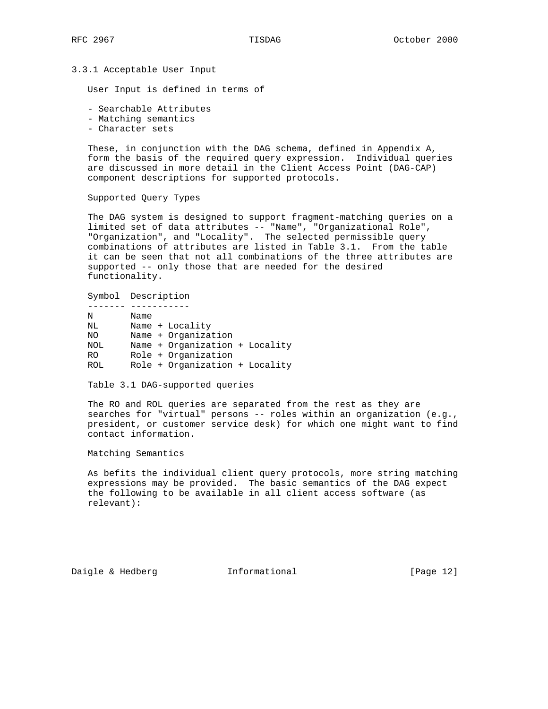### 3.3.1 Acceptable User Input

User Input is defined in terms of

- Searchable Attributes
- Matching semantics
- Character sets

 These, in conjunction with the DAG schema, defined in Appendix A, form the basis of the required query expression. Individual queries are discussed in more detail in the Client Access Point (DAG-CAP) component descriptions for supported protocols.

Supported Query Types

 The DAG system is designed to support fragment-matching queries on a limited set of data attributes -- "Name", "Organizational Role", "Organization", and "Locality". The selected permissible query combinations of attributes are listed in Table 3.1. From the table it can be seen that not all combinations of the three attributes are supported -- only those that are needed for the desired functionality.

### Symbol Description

| N              | Name                           |  |
|----------------|--------------------------------|--|
| NL             | Name + Locality                |  |
| ΝO             | Name + Organization            |  |
| NOL            | Name + Organization + Locality |  |
| R <sub>O</sub> | Role + Organization            |  |
| ROL.           | Role + Organization + Locality |  |

Table 3.1 DAG-supported queries

 The RO and ROL queries are separated from the rest as they are searches for "virtual" persons -- roles within an organization (e.g., president, or customer service desk) for which one might want to find contact information.

Matching Semantics

 As befits the individual client query protocols, more string matching expressions may be provided. The basic semantics of the DAG expect the following to be available in all client access software (as relevant):

Daigle & Hedberg **Informational** [Page 12]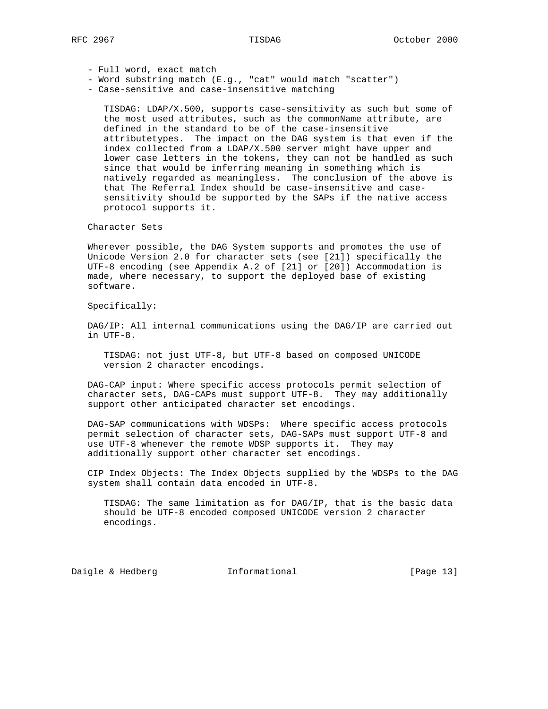- Full word, exact match
- Word substring match (E.g., "cat" would match "scatter")
- Case-sensitive and case-insensitive matching

 TISDAG: LDAP/X.500, supports case-sensitivity as such but some of the most used attributes, such as the commonName attribute, are defined in the standard to be of the case-insensitive attributetypes. The impact on the DAG system is that even if the index collected from a LDAP/X.500 server might have upper and lower case letters in the tokens, they can not be handled as such since that would be inferring meaning in something which is natively regarded as meaningless. The conclusion of the above is that The Referral Index should be case-insensitive and case sensitivity should be supported by the SAPs if the native access protocol supports it.

### Character Sets

 Wherever possible, the DAG System supports and promotes the use of Unicode Version 2.0 for character sets (see [21]) specifically the UTF-8 encoding (see Appendix A.2 of [21] or [20]) Accommodation is made, where necessary, to support the deployed base of existing software.

Specifically:

 DAG/IP: All internal communications using the DAG/IP are carried out in UTF-8.

 TISDAG: not just UTF-8, but UTF-8 based on composed UNICODE version 2 character encodings.

 DAG-CAP input: Where specific access protocols permit selection of character sets, DAG-CAPs must support UTF-8. They may additionally support other anticipated character set encodings.

 DAG-SAP communications with WDSPs: Where specific access protocols permit selection of character sets, DAG-SAPs must support UTF-8 and use UTF-8 whenever the remote WDSP supports it. They may additionally support other character set encodings.

 CIP Index Objects: The Index Objects supplied by the WDSPs to the DAG system shall contain data encoded in UTF-8.

 TISDAG: The same limitation as for DAG/IP, that is the basic data should be UTF-8 encoded composed UNICODE version 2 character encodings.

Daigle & Hedberg **Informational** [Page 13]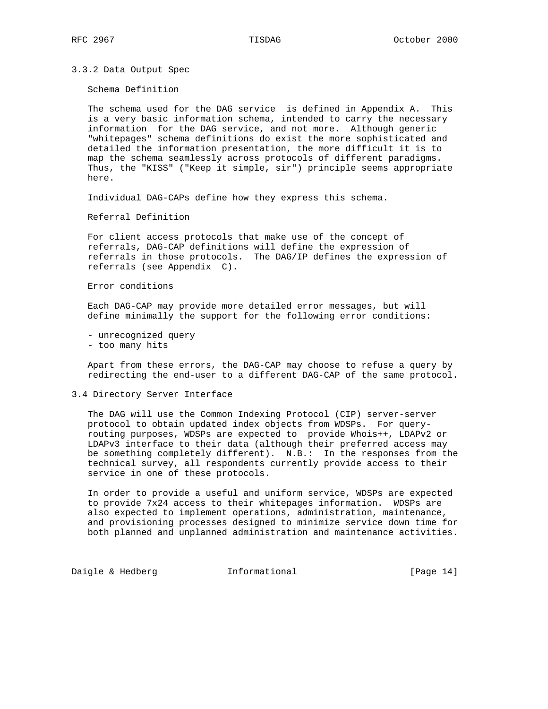3.3.2 Data Output Spec

Schema Definition

 The schema used for the DAG service is defined in Appendix A. This is a very basic information schema, intended to carry the necessary information for the DAG service, and not more. Although generic "whitepages" schema definitions do exist the more sophisticated and detailed the information presentation, the more difficult it is to map the schema seamlessly across protocols of different paradigms. Thus, the "KISS" ("Keep it simple, sir") principle seems appropriate here.

Individual DAG-CAPs define how they express this schema.

Referral Definition

 For client access protocols that make use of the concept of referrals, DAG-CAP definitions will define the expression of referrals in those protocols. The DAG/IP defines the expression of referrals (see Appendix C).

Error conditions

 Each DAG-CAP may provide more detailed error messages, but will define minimally the support for the following error conditions:

 - unrecognized query - too many hits

 Apart from these errors, the DAG-CAP may choose to refuse a query by redirecting the end-user to a different DAG-CAP of the same protocol.

### 3.4 Directory Server Interface

 The DAG will use the Common Indexing Protocol (CIP) server-server protocol to obtain updated index objects from WDSPs. For query routing purposes, WDSPs are expected to provide Whois++, LDAPv2 or LDAPv3 interface to their data (although their preferred access may be something completely different). N.B.: In the responses from the technical survey, all respondents currently provide access to their service in one of these protocols.

 In order to provide a useful and uniform service, WDSPs are expected to provide 7x24 access to their whitepages information. WDSPs are also expected to implement operations, administration, maintenance, and provisioning processes designed to minimize service down time for both planned and unplanned administration and maintenance activities.

Daigle & Hedberg **Informational** [Page 14]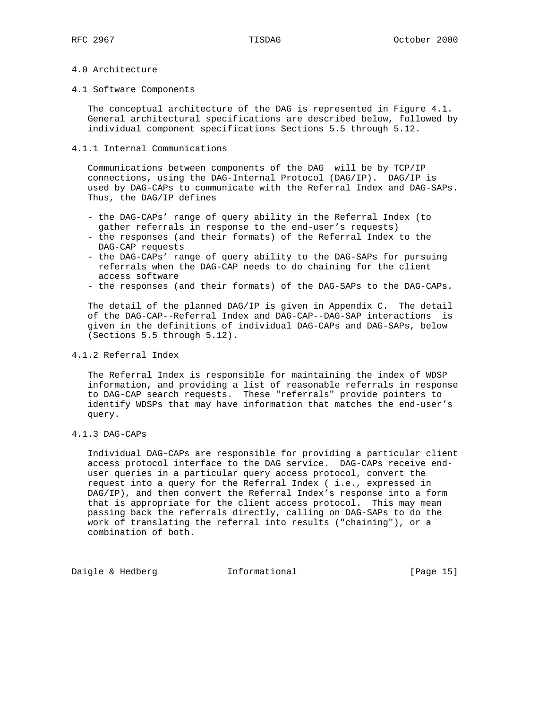## 4.0 Architecture

### 4.1 Software Components

 The conceptual architecture of the DAG is represented in Figure 4.1. General architectural specifications are described below, followed by individual component specifications Sections 5.5 through 5.12.

## 4.1.1 Internal Communications

 Communications between components of the DAG will be by TCP/IP connections, using the DAG-Internal Protocol (DAG/IP). DAG/IP is used by DAG-CAPs to communicate with the Referral Index and DAG-SAPs. Thus, the DAG/IP defines

- the DAG-CAPs' range of query ability in the Referral Index (to gather referrals in response to the end-user's requests)
- the responses (and their formats) of the Referral Index to the DAG-CAP requests
- the DAG-CAPs' range of query ability to the DAG-SAPs for pursuing referrals when the DAG-CAP needs to do chaining for the client access software
- the responses (and their formats) of the DAG-SAPs to the DAG-CAPs.

 The detail of the planned DAG/IP is given in Appendix C. The detail of the DAG-CAP--Referral Index and DAG-CAP--DAG-SAP interactions is given in the definitions of individual DAG-CAPs and DAG-SAPs, below (Sections 5.5 through 5.12).

## 4.1.2 Referral Index

 The Referral Index is responsible for maintaining the index of WDSP information, and providing a list of reasonable referrals in response to DAG-CAP search requests. These "referrals" provide pointers to identify WDSPs that may have information that matches the end-user's query.

### 4.1.3 DAG-CAPs

 Individual DAG-CAPs are responsible for providing a particular client access protocol interface to the DAG service. DAG-CAPs receive end user queries in a particular query access protocol, convert the request into a query for the Referral Index ( i.e., expressed in DAG/IP), and then convert the Referral Index's response into a form that is appropriate for the client access protocol. This may mean passing back the referrals directly, calling on DAG-SAPs to do the work of translating the referral into results ("chaining"), or a combination of both.

Daigle & Hedberg **Informational** [Page 15]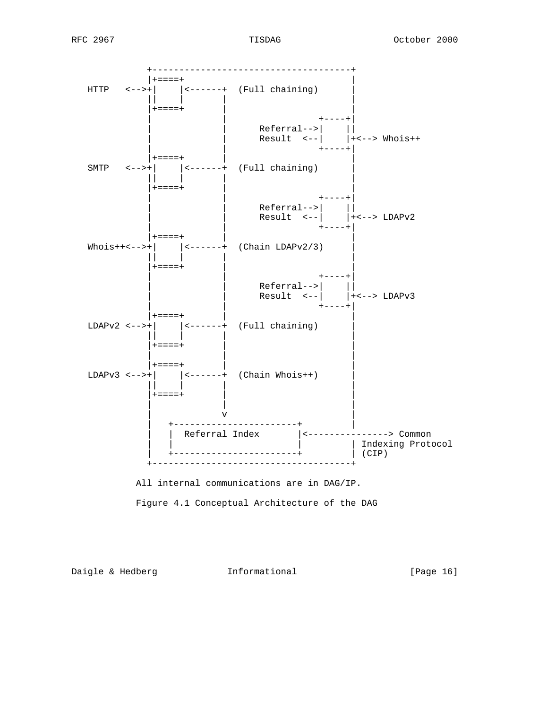





Daigle & Hedberg **Informational** [Page 16]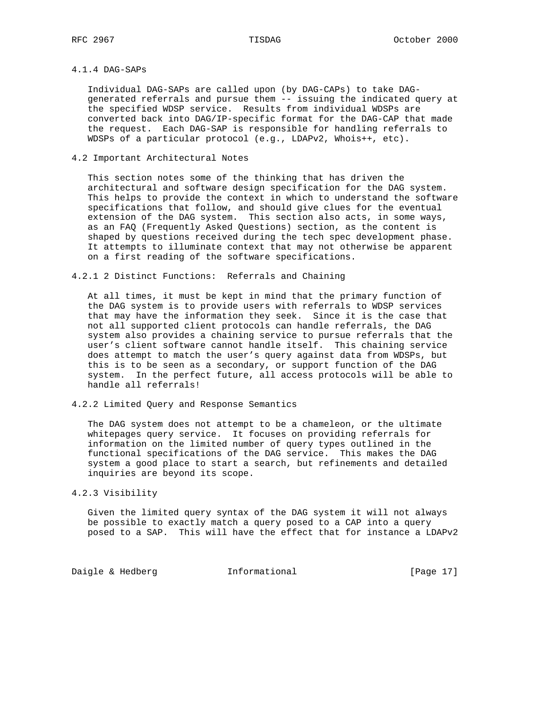# 4.1.4 DAG-SAPs

 Individual DAG-SAPs are called upon (by DAG-CAPs) to take DAG generated referrals and pursue them -- issuing the indicated query at the specified WDSP service. Results from individual WDSPs are converted back into DAG/IP-specific format for the DAG-CAP that made the request. Each DAG-SAP is responsible for handling referrals to WDSPs of a particular protocol (e.g., LDAPv2, Whois++, etc).

## 4.2 Important Architectural Notes

 This section notes some of the thinking that has driven the architectural and software design specification for the DAG system. This helps to provide the context in which to understand the software specifications that follow, and should give clues for the eventual extension of the DAG system. This section also acts, in some ways, as an FAQ (Frequently Asked Questions) section, as the content is shaped by questions received during the tech spec development phase. It attempts to illuminate context that may not otherwise be apparent on a first reading of the software specifications.

## 4.2.1 2 Distinct Functions: Referrals and Chaining

 At all times, it must be kept in mind that the primary function of the DAG system is to provide users with referrals to WDSP services that may have the information they seek. Since it is the case that not all supported client protocols can handle referrals, the DAG system also provides a chaining service to pursue referrals that the user's client software cannot handle itself. This chaining service does attempt to match the user's query against data from WDSPs, but this is to be seen as a secondary, or support function of the DAG system. In the perfect future, all access protocols will be able to handle all referrals!

4.2.2 Limited Query and Response Semantics

 The DAG system does not attempt to be a chameleon, or the ultimate whitepages query service. It focuses on providing referrals for information on the limited number of query types outlined in the functional specifications of the DAG service. This makes the DAG system a good place to start a search, but refinements and detailed inquiries are beyond its scope.

### 4.2.3 Visibility

 Given the limited query syntax of the DAG system it will not always be possible to exactly match a query posed to a CAP into a query posed to a SAP. This will have the effect that for instance a LDAPv2

Daigle & Hedberg **Informational** [Page 17]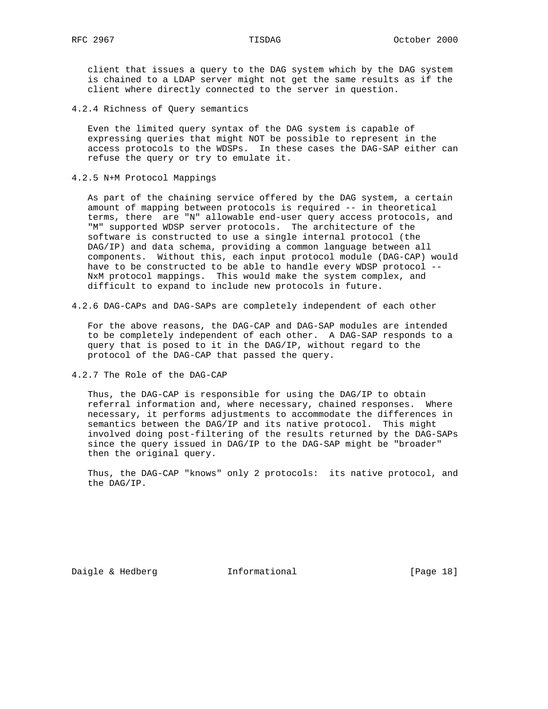client that issues a query to the DAG system which by the DAG system is chained to a LDAP server might not get the same results as if the client where directly connected to the server in question.

4.2.4 Richness of Query semantics

 Even the limited query syntax of the DAG system is capable of expressing queries that might NOT be possible to represent in the access protocols to the WDSPs. In these cases the DAG-SAP either can refuse the query or try to emulate it.

4.2.5 N+M Protocol Mappings

 As part of the chaining service offered by the DAG system, a certain amount of mapping between protocols is required -- in theoretical terms, there are "N" allowable end-user query access protocols, and "M" supported WDSP server protocols. The architecture of the software is constructed to use a single internal protocol (the DAG/IP) and data schema, providing a common language between all components. Without this, each input protocol module (DAG-CAP) would have to be constructed to be able to handle every WDSP protocol -- NxM protocol mappings. This would make the system complex, and difficult to expand to include new protocols in future.

4.2.6 DAG-CAPs and DAG-SAPs are completely independent of each other

 For the above reasons, the DAG-CAP and DAG-SAP modules are intended to be completely independent of each other. A DAG-SAP responds to a query that is posed to it in the DAG/IP, without regard to the protocol of the DAG-CAP that passed the query.

4.2.7 The Role of the DAG-CAP

 Thus, the DAG-CAP is responsible for using the DAG/IP to obtain referral information and, where necessary, chained responses. Where necessary, it performs adjustments to accommodate the differences in semantics between the DAG/IP and its native protocol. This might involved doing post-filtering of the results returned by the DAG-SAPs since the query issued in DAG/IP to the DAG-SAP might be "broader" then the original query.

 Thus, the DAG-CAP "knows" only 2 protocols: its native protocol, and the DAG/IP.

Daigle & Hedberg **Informational** [Page 18]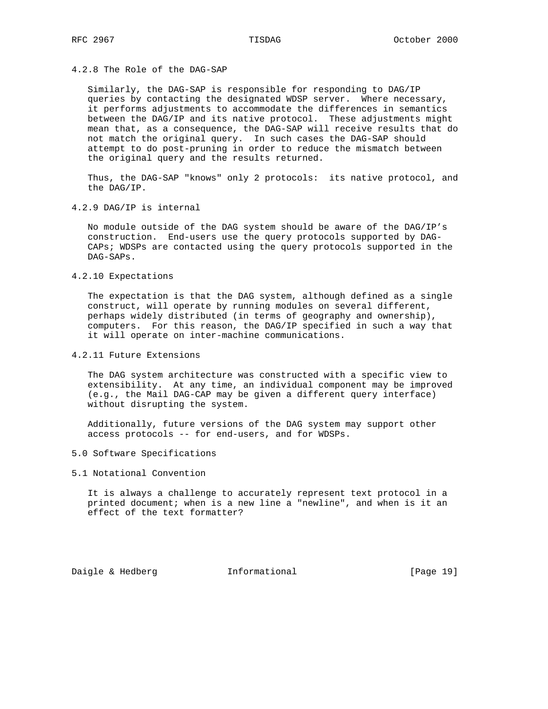## 4.2.8 The Role of the DAG-SAP

 Similarly, the DAG-SAP is responsible for responding to DAG/IP queries by contacting the designated WDSP server. Where necessary, it performs adjustments to accommodate the differences in semantics between the DAG/IP and its native protocol. These adjustments might mean that, as a consequence, the DAG-SAP will receive results that do not match the original query. In such cases the DAG-SAP should attempt to do post-pruning in order to reduce the mismatch between the original query and the results returned.

 Thus, the DAG-SAP "knows" only 2 protocols: its native protocol, and the DAG/IP.

4.2.9 DAG/IP is internal

 No module outside of the DAG system should be aware of the DAG/IP's construction. End-users use the query protocols supported by DAG- CAPs; WDSPs are contacted using the query protocols supported in the DAG-SAPs.

4.2.10 Expectations

 The expectation is that the DAG system, although defined as a single construct, will operate by running modules on several different, perhaps widely distributed (in terms of geography and ownership), computers. For this reason, the DAG/IP specified in such a way that it will operate on inter-machine communications.

4.2.11 Future Extensions

 The DAG system architecture was constructed with a specific view to extensibility. At any time, an individual component may be improved (e.g., the Mail DAG-CAP may be given a different query interface) without disrupting the system.

 Additionally, future versions of the DAG system may support other access protocols -- for end-users, and for WDSPs.

- 5.0 Software Specifications
- 5.1 Notational Convention

 It is always a challenge to accurately represent text protocol in a printed document; when is a new line a "newline", and when is it an effect of the text formatter?

Daigle & Hedberg **Informational** [Page 19]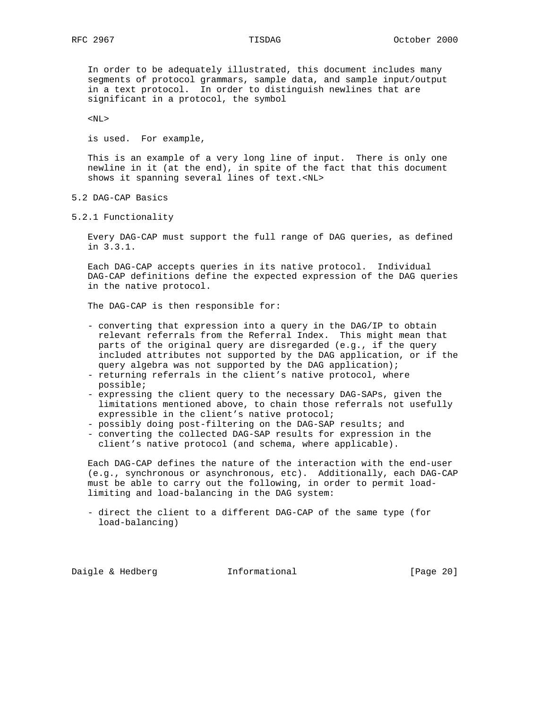In order to be adequately illustrated, this document includes many segments of protocol grammars, sample data, and sample input/output in a text protocol. In order to distinguish newlines that are significant in a protocol, the symbol

 $<$ NL $>$ 

is used. For example,

 This is an example of a very long line of input. There is only one newline in it (at the end), in spite of the fact that this document shows it spanning several lines of text.<NL>

- 5.2 DAG-CAP Basics
- 5.2.1 Functionality

 Every DAG-CAP must support the full range of DAG queries, as defined in 3.3.1.

 Each DAG-CAP accepts queries in its native protocol. Individual DAG-CAP definitions define the expected expression of the DAG queries in the native protocol.

The DAG-CAP is then responsible for:

- converting that expression into a query in the DAG/IP to obtain relevant referrals from the Referral Index. This might mean that parts of the original query are disregarded (e.g., if the query included attributes not supported by the DAG application, or if the query algebra was not supported by the DAG application);
- returning referrals in the client's native protocol, where possible;
- expressing the client query to the necessary DAG-SAPs, given the limitations mentioned above, to chain those referrals not usefully expressible in the client's native protocol;
- possibly doing post-filtering on the DAG-SAP results; and
- converting the collected DAG-SAP results for expression in the client's native protocol (and schema, where applicable).

 Each DAG-CAP defines the nature of the interaction with the end-user (e.g., synchronous or asynchronous, etc). Additionally, each DAG-CAP must be able to carry out the following, in order to permit load limiting and load-balancing in the DAG system:

 - direct the client to a different DAG-CAP of the same type (for load-balancing)

Daigle & Hedberg **Informational** [Page 20]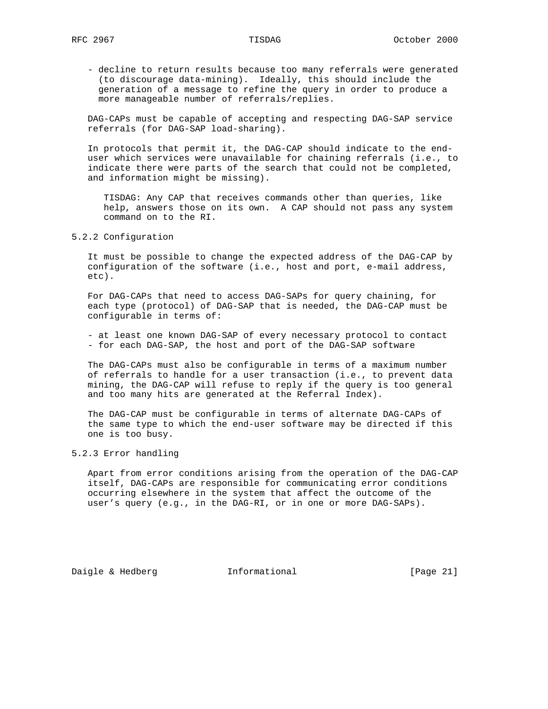- decline to return results because too many referrals were generated (to discourage data-mining). Ideally, this should include the generation of a message to refine the query in order to produce a more manageable number of referrals/replies.

 DAG-CAPs must be capable of accepting and respecting DAG-SAP service referrals (for DAG-SAP load-sharing).

 In protocols that permit it, the DAG-CAP should indicate to the end user which services were unavailable for chaining referrals (i.e., to indicate there were parts of the search that could not be completed, and information might be missing).

 TISDAG: Any CAP that receives commands other than queries, like help, answers those on its own. A CAP should not pass any system command on to the RI.

5.2.2 Configuration

 It must be possible to change the expected address of the DAG-CAP by configuration of the software (i.e., host and port, e-mail address, etc).

 For DAG-CAPs that need to access DAG-SAPs for query chaining, for each type (protocol) of DAG-SAP that is needed, the DAG-CAP must be configurable in terms of:

 - at least one known DAG-SAP of every necessary protocol to contact - for each DAG-SAP, the host and port of the DAG-SAP software

 The DAG-CAPs must also be configurable in terms of a maximum number of referrals to handle for a user transaction (i.e., to prevent data mining, the DAG-CAP will refuse to reply if the query is too general and too many hits are generated at the Referral Index).

 The DAG-CAP must be configurable in terms of alternate DAG-CAPs of the same type to which the end-user software may be directed if this one is too busy.

5.2.3 Error handling

 Apart from error conditions arising from the operation of the DAG-CAP itself, DAG-CAPs are responsible for communicating error conditions occurring elsewhere in the system that affect the outcome of the user's query (e.g., in the DAG-RI, or in one or more DAG-SAPs).

Daigle & Hedberg **Informational** [Page 21]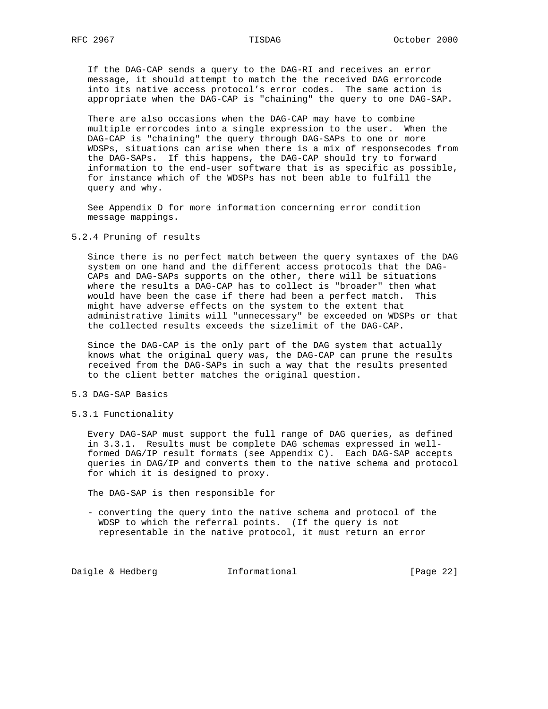If the DAG-CAP sends a query to the DAG-RI and receives an error message, it should attempt to match the the received DAG errorcode into its native access protocol's error codes. The same action is appropriate when the DAG-CAP is "chaining" the query to one DAG-SAP.

 There are also occasions when the DAG-CAP may have to combine multiple errorcodes into a single expression to the user. When the DAG-CAP is "chaining" the query through DAG-SAPs to one or more WDSPs, situations can arise when there is a mix of responsecodes from the DAG-SAPs. If this happens, the DAG-CAP should try to forward information to the end-user software that is as specific as possible, for instance which of the WDSPs has not been able to fulfill the query and why.

 See Appendix D for more information concerning error condition message mappings.

### 5.2.4 Pruning of results

 Since there is no perfect match between the query syntaxes of the DAG system on one hand and the different access protocols that the DAG- CAPs and DAG-SAPs supports on the other, there will be situations where the results a DAG-CAP has to collect is "broader" then what would have been the case if there had been a perfect match. This might have adverse effects on the system to the extent that administrative limits will "unnecessary" be exceeded on WDSPs or that the collected results exceeds the sizelimit of the DAG-CAP.

 Since the DAG-CAP is the only part of the DAG system that actually knows what the original query was, the DAG-CAP can prune the results received from the DAG-SAPs in such a way that the results presented to the client better matches the original question.

### 5.3 DAG-SAP Basics

5.3.1 Functionality

 Every DAG-SAP must support the full range of DAG queries, as defined in 3.3.1. Results must be complete DAG schemas expressed in well formed DAG/IP result formats (see Appendix C). Each DAG-SAP accepts queries in DAG/IP and converts them to the native schema and protocol for which it is designed to proxy.

The DAG-SAP is then responsible for

 - converting the query into the native schema and protocol of the WDSP to which the referral points. (If the query is not representable in the native protocol, it must return an error

Daigle & Hedberg **Informational** [Page 22]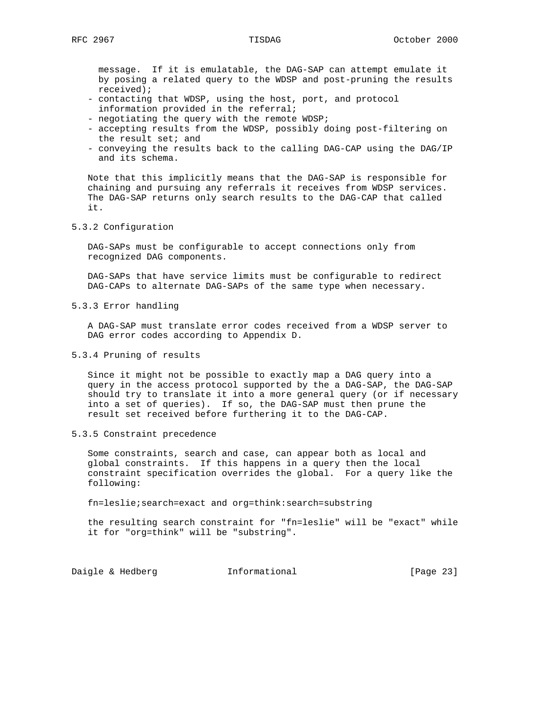message. If it is emulatable, the DAG-SAP can attempt emulate it by posing a related query to the WDSP and post-pruning the results received);

- contacting that WDSP, using the host, port, and protocol information provided in the referral;
- negotiating the query with the remote WDSP;
- accepting results from the WDSP, possibly doing post-filtering on the result set; and
- conveying the results back to the calling DAG-CAP using the DAG/IP and its schema.

 Note that this implicitly means that the DAG-SAP is responsible for chaining and pursuing any referrals it receives from WDSP services. The DAG-SAP returns only search results to the DAG-CAP that called it.

5.3.2 Configuration

 DAG-SAPs must be configurable to accept connections only from recognized DAG components.

 DAG-SAPs that have service limits must be configurable to redirect DAG-CAPs to alternate DAG-SAPs of the same type when necessary.

5.3.3 Error handling

 A DAG-SAP must translate error codes received from a WDSP server to DAG error codes according to Appendix D.

5.3.4 Pruning of results

 Since it might not be possible to exactly map a DAG query into a query in the access protocol supported by the a DAG-SAP, the DAG-SAP should try to translate it into a more general query (or if necessary into a set of queries). If so, the DAG-SAP must then prune the result set received before furthering it to the DAG-CAP.

5.3.5 Constraint precedence

 Some constraints, search and case, can appear both as local and global constraints. If this happens in a query then the local constraint specification overrides the global. For a query like the following:

fn=leslie;search=exact and org=think:search=substring

 the resulting search constraint for "fn=leslie" will be "exact" while it for "org=think" will be "substring".

Daigle & Hedberg **Informational** [Page 23]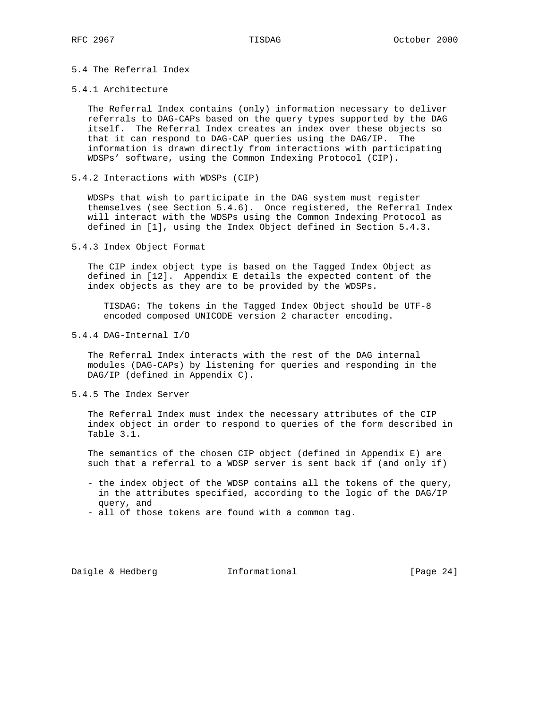# 5.4 The Referral Index

### 5.4.1 Architecture

 The Referral Index contains (only) information necessary to deliver referrals to DAG-CAPs based on the query types supported by the DAG itself. The Referral Index creates an index over these objects so that it can respond to DAG-CAP queries using the DAG/IP. The information is drawn directly from interactions with participating WDSPs' software, using the Common Indexing Protocol (CIP).

5.4.2 Interactions with WDSPs (CIP)

 WDSPs that wish to participate in the DAG system must register themselves (see Section 5.4.6). Once registered, the Referral Index will interact with the WDSPs using the Common Indexing Protocol as defined in [1], using the Index Object defined in Section 5.4.3.

5.4.3 Index Object Format

 The CIP index object type is based on the Tagged Index Object as defined in [12]. Appendix E details the expected content of the index objects as they are to be provided by the WDSPs.

 TISDAG: The tokens in the Tagged Index Object should be UTF-8 encoded composed UNICODE version 2 character encoding.

5.4.4 DAG-Internal I/O

 The Referral Index interacts with the rest of the DAG internal modules (DAG-CAPs) by listening for queries and responding in the DAG/IP (defined in Appendix C).

### 5.4.5 The Index Server

 The Referral Index must index the necessary attributes of the CIP index object in order to respond to queries of the form described in Table 3.1.

 The semantics of the chosen CIP object (defined in Appendix E) are such that a referral to a WDSP server is sent back if (and only if)

- the index object of the WDSP contains all the tokens of the query, in the attributes specified, according to the logic of the DAG/IP query, and
- all of those tokens are found with a common tag.

Daigle & Hedberg **Informational** [Page 24]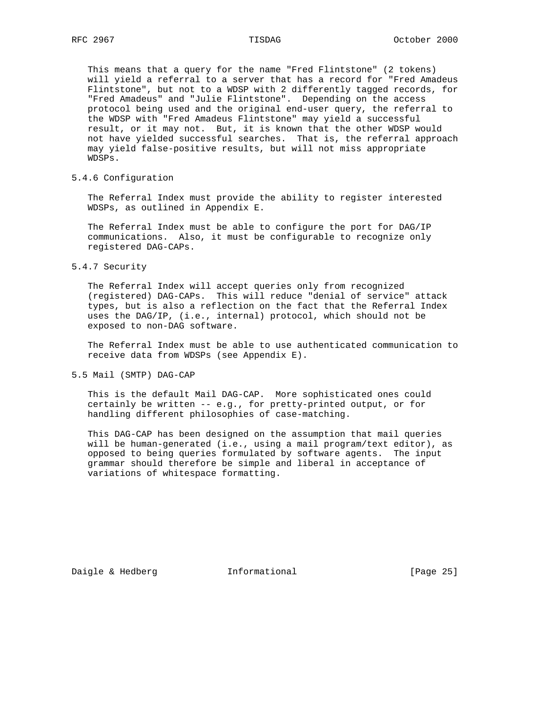This means that a query for the name "Fred Flintstone" (2 tokens) will yield a referral to a server that has a record for "Fred Amadeus Flintstone", but not to a WDSP with 2 differently tagged records, for "Fred Amadeus" and "Julie Flintstone". Depending on the access protocol being used and the original end-user query, the referral to the WDSP with "Fred Amadeus Flintstone" may yield a successful result, or it may not. But, it is known that the other WDSP would not have yielded successful searches. That is, the referral approach may yield false-positive results, but will not miss appropriate WDSPs.

5.4.6 Configuration

 The Referral Index must provide the ability to register interested WDSPs, as outlined in Appendix E.

 The Referral Index must be able to configure the port for DAG/IP communications. Also, it must be configurable to recognize only registered DAG-CAPs.

5.4.7 Security

 The Referral Index will accept queries only from recognized (registered) DAG-CAPs. This will reduce "denial of service" attack types, but is also a reflection on the fact that the Referral Index uses the DAG/IP, (i.e., internal) protocol, which should not be exposed to non-DAG software.

 The Referral Index must be able to use authenticated communication to receive data from WDSPs (see Appendix E).

5.5 Mail (SMTP) DAG-CAP

 This is the default Mail DAG-CAP. More sophisticated ones could certainly be written -- e.g., for pretty-printed output, or for handling different philosophies of case-matching.

 This DAG-CAP has been designed on the assumption that mail queries will be human-generated (i.e., using a mail program/text editor), as opposed to being queries formulated by software agents. The input grammar should therefore be simple and liberal in acceptance of variations of whitespace formatting.

Daigle & Hedberg **Informational** [Page 25]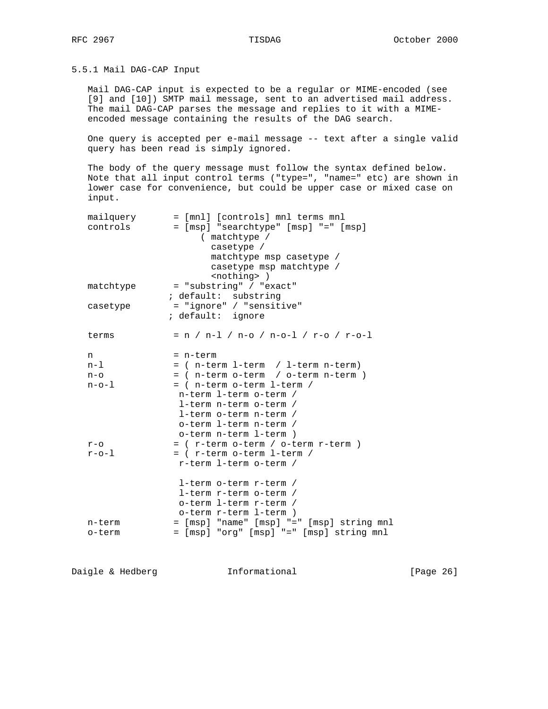5.5.1 Mail DAG-CAP Input

 Mail DAG-CAP input is expected to be a regular or MIME-encoded (see [9] and [10]) SMTP mail message, sent to an advertised mail address. The mail DAG-CAP parses the message and replies to it with a MIME encoded message containing the results of the DAG search.

 One query is accepted per e-mail message -- text after a single valid query has been read is simply ignored.

 The body of the query message must follow the syntax defined below. Note that all input control terms ("type=", "name=" etc) are shown in lower case for convenience, but could be upper case or mixed case on input.

| mailquery<br>controls | = [mnl] [controls] mnl terms mnl<br>= [msp] "searchtype" [msp] "=" [msp]<br>( matchtype /<br>casetype /<br>matchtype msp casetype /<br>casetype msp matchtype / |
|-----------------------|-----------------------------------------------------------------------------------------------------------------------------------------------------------------|
| matchtype             | <nothing> )<br/>= "substring" / "exact"</nothing>                                                                                                               |
|                       | ; default: substring                                                                                                                                            |
| casetype              | = "ignore" / "sensitive"                                                                                                                                        |
|                       | ; default: ignore                                                                                                                                               |
| terms                 | $= n / n-1 / n-0 / n-0-1 / r-0 / r-0-1$                                                                                                                         |
| n                     | = n-term                                                                                                                                                        |
| $n-1$                 | = ( n-term 1-term / 1-term n-term)                                                                                                                              |
| n-o                   | = ( n-term o-term / o-term n-term )                                                                                                                             |
| $n - o - 1$           | = ( n-term o-term 1-term /                                                                                                                                      |
|                       | n-term 1-term o-term /                                                                                                                                          |
|                       | l-term n-term o-term /                                                                                                                                          |
|                       | l-term o-term n-term /                                                                                                                                          |
|                       | o-term 1-term n-term /                                                                                                                                          |
|                       | o-term n-term 1-term)                                                                                                                                           |
| $r - o$               | = ( r-term o-term / o-term r-term )                                                                                                                             |
| $r$ -o-l              | = ( r-term o-term l-term /                                                                                                                                      |
|                       | r-term 1-term o-term /                                                                                                                                          |
|                       | l-term o-term r-term /                                                                                                                                          |
|                       | l-term r-term o-term /                                                                                                                                          |
|                       | o-term 1-term r-term /                                                                                                                                          |
|                       | o-term r-term l-term)                                                                                                                                           |
| n-term                | = [msp] "name" [msp] "=" [msp] string mnl                                                                                                                       |
| o-term                | = [msp] "org" [msp] "=" [msp] string mnl                                                                                                                        |

Daigle & Hedberg **Informational Informational** [Page 26]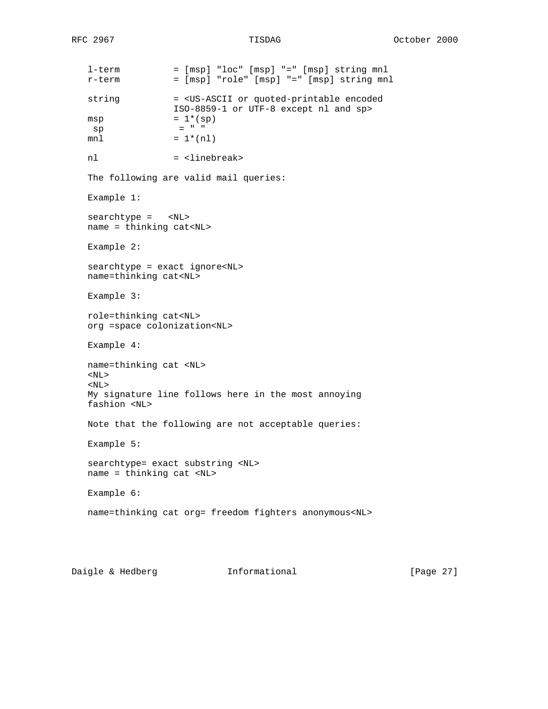l-term = [msp] "loc" [msp] "=" [msp] string mnl  $r$ -term =  $[msp]$  "role"  $[msp]$  "="  $[msp]$  string mnl string = <US-ASCII or quoted-printable encoded ISO-8859-1 or UTF-8 except nl and sp>  $msp = 1*(sp)$  $sp = " "$  $mnl = 1*(nl)$ nl = <linebreak> The following are valid mail queries: Example 1: searchtype = <NL> name = thinking cat<NL> Example 2: searchtype = exact ignore<NL> name=thinking cat<NL> Example 3: role=thinking cat<NL> org =space colonization<NL> Example 4: name=thinking cat <NL> <NL>  $<$ NL $>$  My signature line follows here in the most annoying fashion <NL> Note that the following are not acceptable queries: Example 5: searchtype= exact substring <NL> name = thinking cat <NL> Example 6: name=thinking cat org= freedom fighters anonymous<NL>

Daigle & Hedberg **Informational** [Page 27]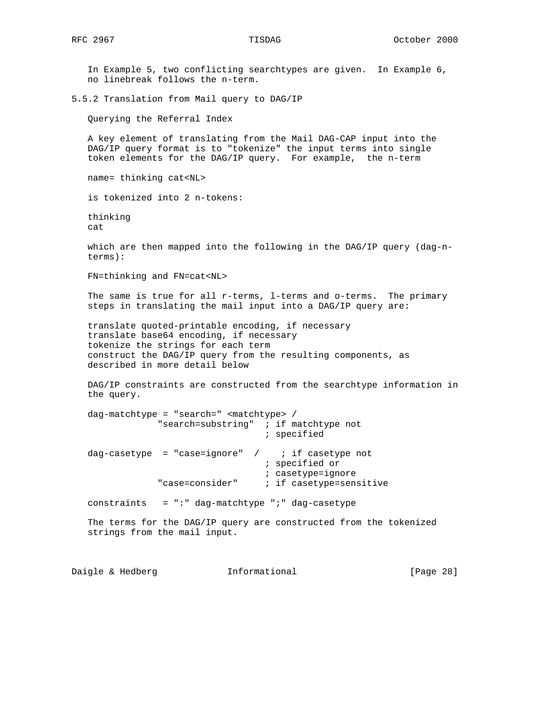In Example 5, two conflicting searchtypes are given. In Example 6, no linebreak follows the n-term. 5.5.2 Translation from Mail query to DAG/IP Querying the Referral Index A key element of translating from the Mail DAG-CAP input into the DAG/IP query format is to "tokenize" the input terms into single token elements for the DAG/IP query. For example, the n-term name= thinking cat<NL> is tokenized into 2 n-tokens: thinking cat which are then mapped into the following in the DAG/IP query (dag-n terms): FN=thinking and FN=cat<NL> The same is true for all r-terms, l-terms and o-terms. The primary steps in translating the mail input into a DAG/IP query are: translate quoted-printable encoding, if necessary translate base64 encoding, if necessary tokenize the strings for each term construct the DAG/IP query from the resulting components, as described in more detail below DAG/IP constraints are constructed from the searchtype information in the query. dag-matchtype = "search=" <matchtype> / "search=substring" ; if matchtype not ; specified dag-casetype = "case=ignore" /  $\cdot$  if casetype not ; specified or ; casetype=ignore "case=consider" ; if casetype=sensitive constraints  $= ":: " dag-matchtype ";" dag-casetype"$  The terms for the DAG/IP query are constructed from the tokenized strings from the mail input.

Daigle & Hedberg **Informational** [Page 28]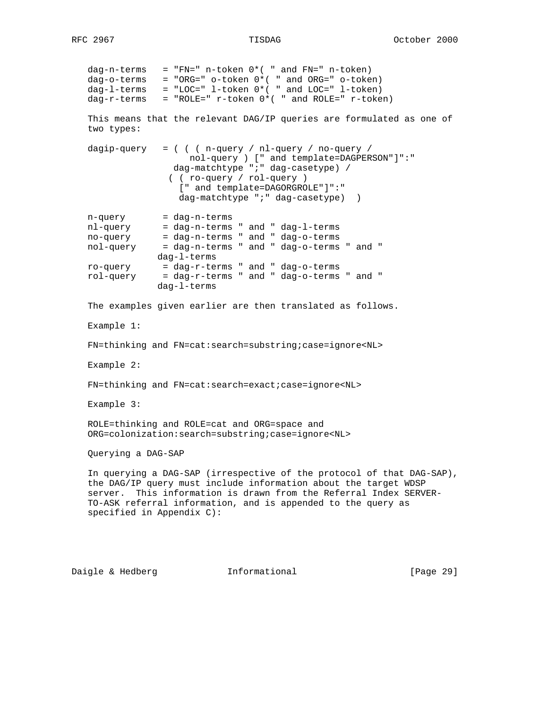dag-n-terms = "FN=" n-token  $0*($  " and FN=" n-token) dag-o-terms = "ORG=" o-token 0\*( " and ORG=" o-token) dag-l-terms = "LOC=" l-token 0\*( " and LOC=" l-token)  $dag-r-terms$  = "ROLE="  $r-token$   $0*($  " and ROLE="  $r-token$ ) This means that the relevant DAG/IP queries are formulated as one of two types: dagip-query =  $($   $($   $n$ -query  $/$   $nl$ -query  $/$  no-query  $/$  nol-query ) [" and template=DAGPERSON"]":" dag-matchtype ";" dag-casetype) / ( ( ro-query / rol-query ) [" and template=DAGORGROLE"]":" dag-matchtype ";" dag-casetype) ) n-query = dag-n-terms nl-query = dag-n-terms " and " dag-l-terms no-query = dag-n-terms " and " dag-o-terms nol-query = dag-n-terms " and " dag-o-terms " and "  $dag-I-terms$ <br> $ro-query$  =  $dag-r-te$ : ro-query = dag-r-terms " and " dag-o-terms rol-query = dag-r-terms " and " dag-o-terms " and " dag-l-terms The examples given earlier are then translated as follows. Example 1: FN=thinking and FN=cat:search=substring;case=ignore<NL> Example 2: FN=thinking and FN=cat:search=exact;case=ignore<NL> Example 3: ROLE=thinking and ROLE=cat and ORG=space and ORG=colonization:search=substring;case=ignore<NL> Querying a DAG-SAP In querying a DAG-SAP (irrespective of the protocol of that DAG-SAP), the DAG/IP query must include information about the target WDSP server. This information is drawn from the Referral Index SERVER- TO-ASK referral information, and is appended to the query as specified in Appendix C):

Daigle & Hedberg **Informational** [Page 29]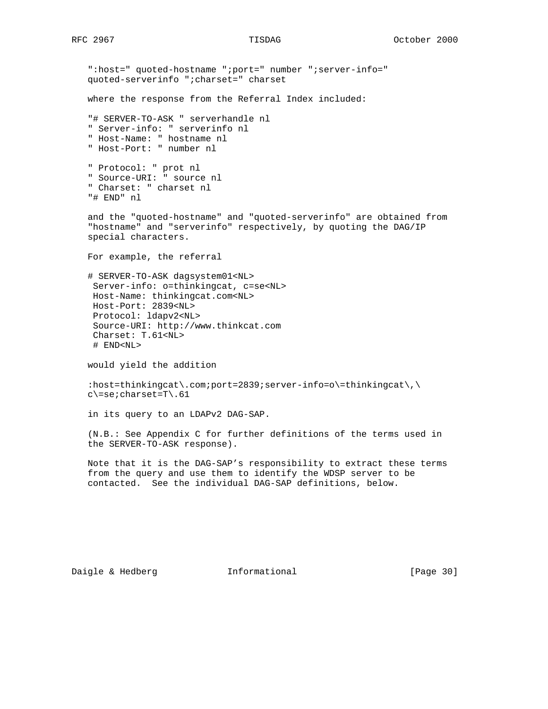":host=" quoted-hostname ";port=" number ";server-info=" quoted-serverinfo ";charset=" charset where the response from the Referral Index included:

 "# SERVER-TO-ASK " serverhandle nl " Server-info: " serverinfo nl " Host-Name: " hostname nl " Host-Port: " number nl

 " Protocol: " prot nl " Source-URI: " source nl " Charset: " charset nl "# END" nl

 and the "quoted-hostname" and "quoted-serverinfo" are obtained from "hostname" and "serverinfo" respectively, by quoting the DAG/IP special characters.

For example, the referral

 # SERVER-TO-ASK dagsystem01<NL> Server-info: o=thinkingcat, c=se<NL> Host-Name: thinkingcat.com<NL> Host-Port: 2839<NL> Protocol: ldapv2<NL> Source-URI: http://www.thinkcat.com Charset: T.61<NL> # END<NL>

would yield the addition

:host=thinkingcat\.com;port=2839;server-info=o\=thinkingcat\,\ c\=se;charset=T\.61

in its query to an LDAPv2 DAG-SAP.

 (N.B.: See Appendix C for further definitions of the terms used in the SERVER-TO-ASK response).

 Note that it is the DAG-SAP's responsibility to extract these terms from the query and use them to identify the WDSP server to be contacted. See the individual DAG-SAP definitions, below.

Daigle & Hedberg **Informational** [Page 30]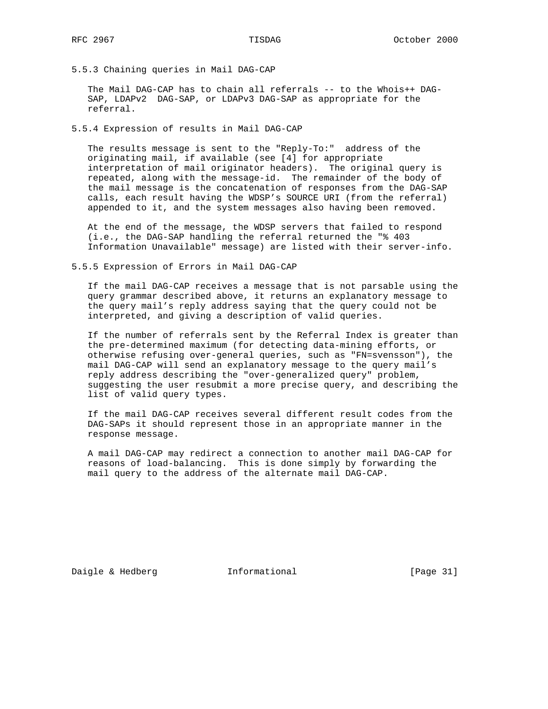5.5.3 Chaining queries in Mail DAG-CAP

 The Mail DAG-CAP has to chain all referrals -- to the Whois++ DAG- SAP, LDAPv2 DAG-SAP, or LDAPv3 DAG-SAP as appropriate for the referral.

5.5.4 Expression of results in Mail DAG-CAP

 The results message is sent to the "Reply-To:" address of the originating mail, if available (see [4] for appropriate interpretation of mail originator headers). The original query is repeated, along with the message-id. The remainder of the body of the mail message is the concatenation of responses from the DAG-SAP calls, each result having the WDSP's SOURCE URI (from the referral) appended to it, and the system messages also having been removed.

 At the end of the message, the WDSP servers that failed to respond (i.e., the DAG-SAP handling the referral returned the "% 403 Information Unavailable" message) are listed with their server-info.

5.5.5 Expression of Errors in Mail DAG-CAP

 If the mail DAG-CAP receives a message that is not parsable using the query grammar described above, it returns an explanatory message to the query mail's reply address saying that the query could not be interpreted, and giving a description of valid queries.

 If the number of referrals sent by the Referral Index is greater than the pre-determined maximum (for detecting data-mining efforts, or otherwise refusing over-general queries, such as "FN=svensson"), the mail DAG-CAP will send an explanatory message to the query mail's reply address describing the "over-generalized query" problem, suggesting the user resubmit a more precise query, and describing the list of valid query types.

 If the mail DAG-CAP receives several different result codes from the DAG-SAPs it should represent those in an appropriate manner in the response message.

 A mail DAG-CAP may redirect a connection to another mail DAG-CAP for reasons of load-balancing. This is done simply by forwarding the mail query to the address of the alternate mail DAG-CAP.

Daigle & Hedberg **Informational** [Page 31]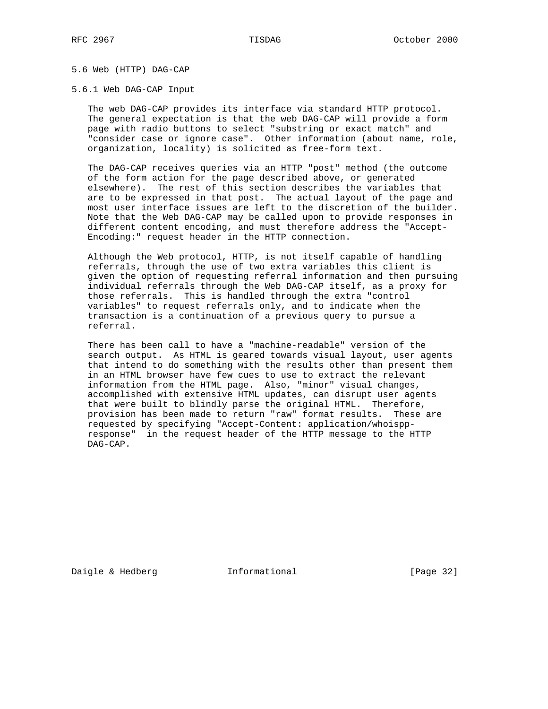# 5.6 Web (HTTP) DAG-CAP

### 5.6.1 Web DAG-CAP Input

 The web DAG-CAP provides its interface via standard HTTP protocol. The general expectation is that the web DAG-CAP will provide a form page with radio buttons to select "substring or exact match" and "consider case or ignore case". Other information (about name, role, organization, locality) is solicited as free-form text.

 The DAG-CAP receives queries via an HTTP "post" method (the outcome of the form action for the page described above, or generated elsewhere). The rest of this section describes the variables that are to be expressed in that post. The actual layout of the page and most user interface issues are left to the discretion of the builder. Note that the Web DAG-CAP may be called upon to provide responses in different content encoding, and must therefore address the "Accept- Encoding:" request header in the HTTP connection.

 Although the Web protocol, HTTP, is not itself capable of handling referrals, through the use of two extra variables this client is given the option of requesting referral information and then pursuing individual referrals through the Web DAG-CAP itself, as a proxy for those referrals. This is handled through the extra "control variables" to request referrals only, and to indicate when the transaction is a continuation of a previous query to pursue a referral.

 There has been call to have a "machine-readable" version of the search output. As HTML is geared towards visual layout, user agents that intend to do something with the results other than present them in an HTML browser have few cues to use to extract the relevant information from the HTML page. Also, "minor" visual changes, accomplished with extensive HTML updates, can disrupt user agents that were built to blindly parse the original HTML. Therefore, provision has been made to return "raw" format results. These are requested by specifying "Accept-Content: application/whoispp response" in the request header of the HTTP message to the HTTP DAG-CAP.

Daigle & Hedberg **Informational** [Page 32]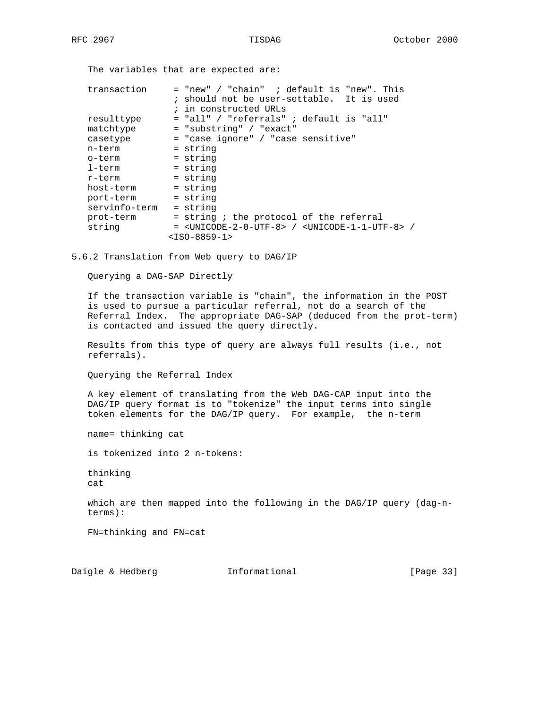The variables that are expected are:

| transaction   | = "new" / "chain" ; default is "new". This                                              |
|---------------|-----------------------------------------------------------------------------------------|
|               | ; should not be user-settable. It is used                                               |
|               | ; in constructed URLs                                                                   |
| resulttype    | = "all" / "referrals" ; default is "all"                                                |
| matchtype     | = "substring" / "exact"                                                                 |
| casetype      | = "case ignore" / "case sensitive"                                                      |
| n-term        | = string                                                                                |
| o-term        | = string                                                                                |
| $1$ -term     | = string                                                                                |
| r-term        | = string                                                                                |
| host-term     | = string                                                                                |
| port-term     | = string                                                                                |
| servinfo-term | = string                                                                                |
| prot-term     | = string ; the protocol of the referral                                                 |
| string        | $=$ <unicode-2-0-utf-8> / <unicode-1-1-utf-8> /</unicode-1-1-utf-8></unicode-2-0-utf-8> |
|               | $<$ ISO-8859-1>                                                                         |

5.6.2 Translation from Web query to DAG/IP

Querying a DAG-SAP Directly

 If the transaction variable is "chain", the information in the POST is used to pursue a particular referral, not do a search of the Referral Index. The appropriate DAG-SAP (deduced from the prot-term) is contacted and issued the query directly.

 Results from this type of query are always full results (i.e., not referrals).

Querying the Referral Index

 A key element of translating from the Web DAG-CAP input into the DAG/IP query format is to "tokenize" the input terms into single token elements for the DAG/IP query. For example, the n-term

name= thinking cat

is tokenized into 2 n-tokens:

 thinking cat

 which are then mapped into the following in the DAG/IP query (dag-n terms):

FN=thinking and FN=cat

Daigle & Hedberg **Informational** [Page 33]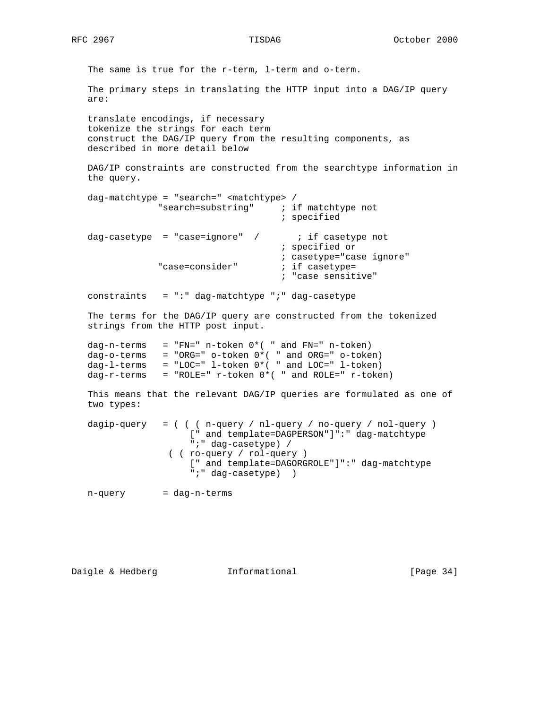The same is true for the r-term, l-term and o-term. The primary steps in translating the HTTP input into a DAG/IP query are: translate encodings, if necessary tokenize the strings for each term construct the DAG/IP query from the resulting components, as described in more detail below DAG/IP constraints are constructed from the searchtype information in the query. dag-matchtype = "search=" <matchtype> / "search=substring" ; if matchtype not ; specified dag-casetype = "case=ignore" /  $\cdot$  if casetype not ; specified or ; casetype="case ignore" "case=consider" ; if casetype= ; "case sensitive" constraints  $= " : " \text{dag-matchtype} " : " \text{dag-casetype}$  The terms for the DAG/IP query are constructed from the tokenized strings from the HTTP post input. dag-n-terms = "FN=" n-token 0\*( " and FN=" n-token) dag-o-terms = "ORG=" o-token 0\*( " and ORG=" o-token) dag-l-terms = "LOC=" l-token 0\*( " and LOC=" l-token) dag-r-terms = "ROLE="  $r$ -token  $0*($  " and ROLE="  $r$ -token) This means that the relevant DAG/IP queries are formulated as one of two types: dagip-query = ( ( ( n-query / nl-query / no-query / nol-query ) [" and template=DAGPERSON"]":" dag-matchtype ";" dag-casetype) / ( ( ro-query / rol-query ) [" and template=DAGORGROLE"]":" dag-matchtype ";" dag-casetype) ) n-query = dag-n-terms

Daigle & Hedberg **Informational** [Page 34]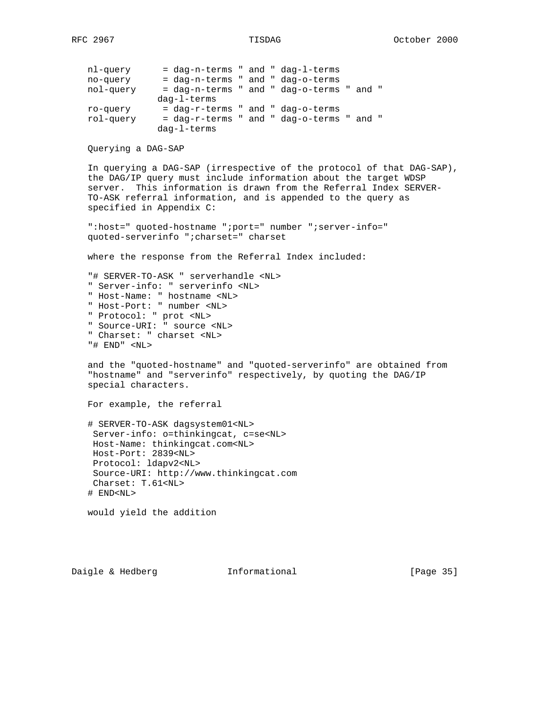| $111 - 992$ | - day-il-cerms alla day-i-cerms           |  |  |  |  |
|-------------|-------------------------------------------|--|--|--|--|
| no-query    | = dag-n-terms " and " dag-o-terms         |  |  |  |  |
| nol-query   | - dag-n-terms " and " dag-o-terms " and " |  |  |  |  |
|             | $daq-l-terms$                             |  |  |  |  |
| ro-query    | = dag-r-terms " and " dag-o-terms         |  |  |  |  |
| rol-query   | = dag-r-terms " and " dag-o-terms " and " |  |  |  |  |
|             | $daq-l-terms$                             |  |  |  |  |

Querying a DAG-SAP

 In querying a DAG-SAP (irrespective of the protocol of that DAG-SAP), the DAG/IP query must include information about the target WDSP server. This information is drawn from the Referral Index SERVER- TO-ASK referral information, and is appended to the query as specified in Appendix C:

 ":host=" quoted-hostname ";port=" number ";server-info=" quoted-serverinfo ";charset=" charset

where the response from the Referral Index included:

 "# SERVER-TO-ASK " serverhandle <NL> " Server-info: " serverinfo <NL> " Host-Name: " hostname <NL> " Host-Port: " number <NL> " Protocol: " prot <NL> " Source-URI: " source <NL> " Charset: " charset <NL>

"# END" <NL>

 and the "quoted-hostname" and "quoted-serverinfo" are obtained from "hostname" and "serverinfo" respectively, by quoting the DAG/IP special characters.

For example, the referral

 # SERVER-TO-ASK dagsystem01<NL> Server-info: o=thinkingcat, c=se<NL> Host-Name: thinkingcat.com<NL> Host-Port: 2839<NL> Protocol: ldapv2<NL> Source-URI: http://www.thinkingcat.com Charset: T.61<NL> # END<NL>

would yield the addition

Daigle & Hedberg **Informational** [Page 35]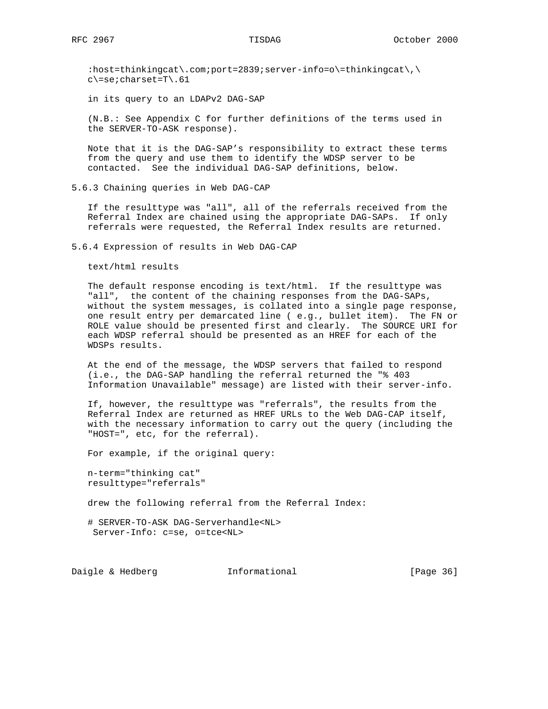:host=thinkingcat\.com;port=2839;server-info=o\=thinkingcat\,\ c\=se;charset=T\.61

in its query to an LDAPv2 DAG-SAP

 (N.B.: See Appendix C for further definitions of the terms used in the SERVER-TO-ASK response).

 Note that it is the DAG-SAP's responsibility to extract these terms from the query and use them to identify the WDSP server to be contacted. See the individual DAG-SAP definitions, below.

5.6.3 Chaining queries in Web DAG-CAP

 If the resulttype was "all", all of the referrals received from the Referral Index are chained using the appropriate DAG-SAPs. If only referrals were requested, the Referral Index results are returned.

5.6.4 Expression of results in Web DAG-CAP

text/html results

 The default response encoding is text/html. If the resulttype was "all", the content of the chaining responses from the DAG-SAPs, without the system messages, is collated into a single page response, one result entry per demarcated line ( e.g., bullet item). The FN or ROLE value should be presented first and clearly. The SOURCE URI for each WDSP referral should be presented as an HREF for each of the WDSPs results.

 At the end of the message, the WDSP servers that failed to respond (i.e., the DAG-SAP handling the referral returned the "% 403 Information Unavailable" message) are listed with their server-info.

 If, however, the resulttype was "referrals", the results from the Referral Index are returned as HREF URLs to the Web DAG-CAP itself, with the necessary information to carry out the query (including the "HOST=", etc, for the referral).

For example, if the original query:

 n-term="thinking cat" resulttype="referrals"

drew the following referral from the Referral Index:

 # SERVER-TO-ASK DAG-Serverhandle<NL> Server-Info: c=se, o=tce<NL>

Daigle & Hedberg **Informational** [Page 36]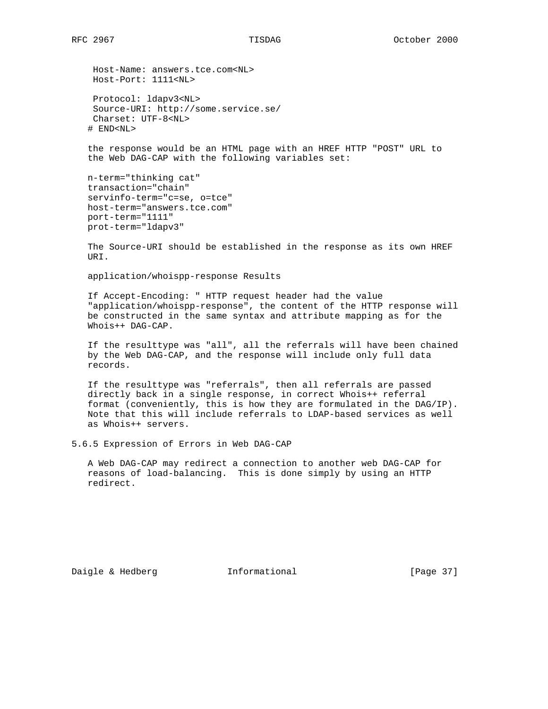Host-Name: answers.tce.com<NL> Host-Port: 1111<NL>

 Protocol: ldapv3<NL> Source-URI: http://some.service.se/ Charset: UTF-8<NL> # END<NL>

 the response would be an HTML page with an HREF HTTP "POST" URL to the Web DAG-CAP with the following variables set:

```
 n-term="thinking cat"
 transaction="chain"
 servinfo-term="c=se, o=tce"
 host-term="answers.tce.com"
 port-term="1111"
 prot-term="ldapv3"
```
 The Source-URI should be established in the response as its own HREF URI.

application/whoispp-response Results

 If Accept-Encoding: " HTTP request header had the value "application/whoispp-response", the content of the HTTP response will be constructed in the same syntax and attribute mapping as for the Whois++ DAG-CAP.

 If the resulttype was "all", all the referrals will have been chained by the Web DAG-CAP, and the response will include only full data records.

 If the resulttype was "referrals", then all referrals are passed directly back in a single response, in correct Whois++ referral format (conveniently, this is how they are formulated in the DAG/IP). Note that this will include referrals to LDAP-based services as well as Whois++ servers.

5.6.5 Expression of Errors in Web DAG-CAP

 A Web DAG-CAP may redirect a connection to another web DAG-CAP for reasons of load-balancing. This is done simply by using an HTTP redirect.

Daigle & Hedberg **Informational** [Page 37]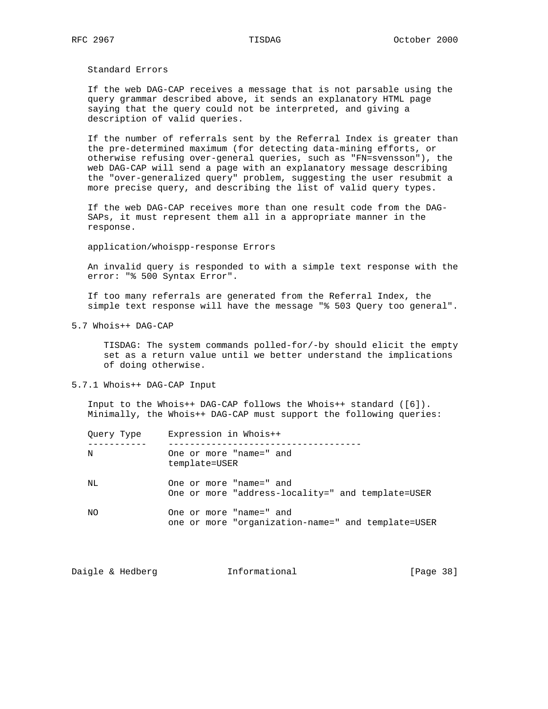Standard Errors

 If the web DAG-CAP receives a message that is not parsable using the query grammar described above, it sends an explanatory HTML page saying that the query could not be interpreted, and giving a description of valid queries.

 If the number of referrals sent by the Referral Index is greater than the pre-determined maximum (for detecting data-mining efforts, or otherwise refusing over-general queries, such as "FN=svensson"), the web DAG-CAP will send a page with an explanatory message describing the "over-generalized query" problem, suggesting the user resubmit a more precise query, and describing the list of valid query types.

 If the web DAG-CAP receives more than one result code from the DAG- SAPs, it must represent them all in a appropriate manner in the response.

application/whoispp-response Errors

 An invalid query is responded to with a simple text response with the error: "% 500 Syntax Error".

 If too many referrals are generated from the Referral Index, the simple text response will have the message "% 503 Query too general".

5.7 Whois++ DAG-CAP

 TISDAG: The system commands polled-for/-by should elicit the empty set as a return value until we better understand the implications of doing otherwise.

5.7.1 Whois++ DAG-CAP Input

 Input to the Whois++ DAG-CAP follows the Whois++ standard ([6]). Minimally, the Whois++ DAG-CAP must support the following queries:

| Ouery Type | Expression in Whois++                                                         |
|------------|-------------------------------------------------------------------------------|
| N          | One or more "name=" and<br>template=USER                                      |
| NL         | One or more "name=" and<br>One or more "address-locality=" and template=USER  |
| NΟ         | One or more "name=" and<br>one or more "organization-name=" and template=USER |

Daigle & Hedberg **Informational** [Page 38]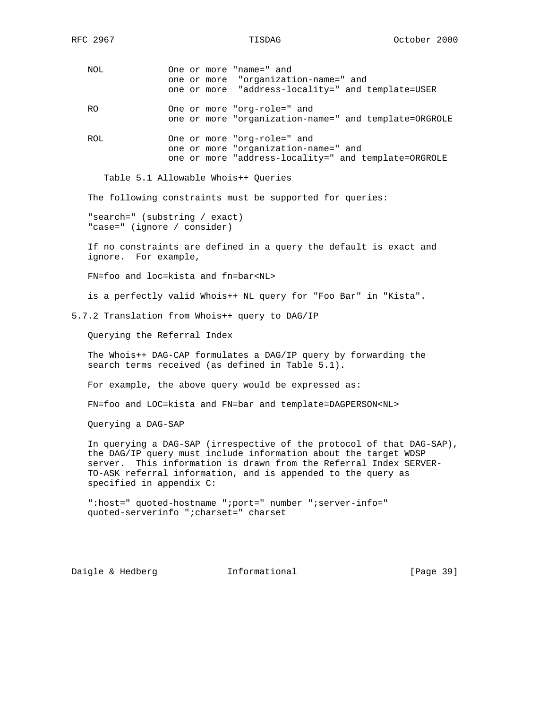NOL One or more "name=" and one or more "organization-name=" and one or more "address-locality=" and template=USER RO One or more "org-role=" and one or more "organization-name=" and template=ORGROLE ROL One or more "org-role=" and one or more "organization-name=" and one or more "address-locality=" and template=ORGROLE Table 5.1 Allowable Whois++ Queries The following constraints must be supported for queries: "search=" (substring / exact) "case=" (ignore / consider) If no constraints are defined in a query the default is exact and ignore. For example, FN=foo and loc=kista and fn=bar<NL> is a perfectly valid Whois++ NL query for "Foo Bar" in "Kista". 5.7.2 Translation from Whois++ query to DAG/IP Querying the Referral Index The Whois++ DAG-CAP formulates a DAG/IP query by forwarding the search terms received (as defined in Table 5.1). For example, the above query would be expressed as:

FN=foo and LOC=kista and FN=bar and template=DAGPERSON<NL>

Querying a DAG-SAP

 In querying a DAG-SAP (irrespective of the protocol of that DAG-SAP), the DAG/IP query must include information about the target WDSP server. This information is drawn from the Referral Index SERVER- TO-ASK referral information, and is appended to the query as specified in appendix C:

 ":host=" quoted-hostname ";port=" number ";server-info=" quoted-serverinfo ";charset=" charset

Daigle & Hedberg **Informational** [Page 39]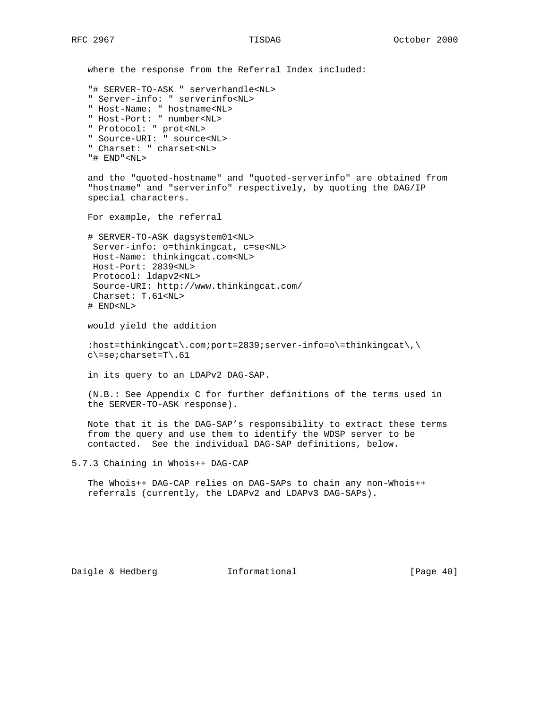where the response from the Referral Index included: "# SERVER-TO-ASK " serverhandle<NL> " Server-info: " serverinfo<NL> " Host-Name: " hostname<NL> " Host-Port: " number<NL> " Protocol: " prot<NL> " Source-URI: " source<NL> " Charset: " charset<NL> "# END"<NL> and the "quoted-hostname" and "quoted-serverinfo" are obtained from "hostname" and "serverinfo" respectively, by quoting the DAG/IP special characters. For example, the referral # SERVER-TO-ASK dagsystem01<NL> Server-info: o=thinkingcat, c=se<NL> Host-Name: thinkingcat.com<NL> Host-Port: 2839<NL> Protocol: ldapv2<NL> Source-URI: http://www.thinkingcat.com/ Charset: T.61<NL> # END<NL> would yield the addition :host=thinkingcat\.com;port=2839;server-info=o\=thinkingcat\,\ c\=se;charset=T\.61 in its query to an LDAPv2 DAG-SAP. (N.B.: See Appendix C for further definitions of the terms used in the SERVER-TO-ASK response). Note that it is the DAG-SAP's responsibility to extract these terms from the query and use them to identify the WDSP server to be contacted. See the individual DAG-SAP definitions, below. 5.7.3 Chaining in Whois++ DAG-CAP The Whois++ DAG-CAP relies on DAG-SAPs to chain any non-Whois++ referrals (currently, the LDAPv2 and LDAPv3 DAG-SAPs).

Daigle & Hedberg **Informational** [Page 40]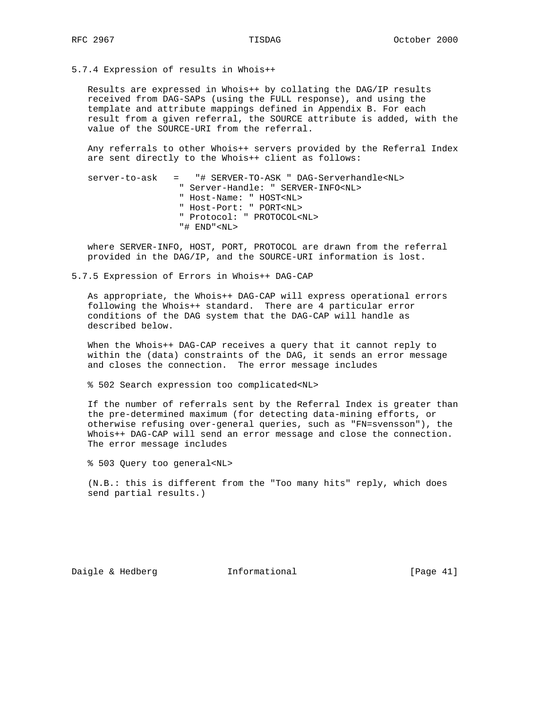5.7.4 Expression of results in Whois++

 Results are expressed in Whois++ by collating the DAG/IP results received from DAG-SAPs (using the FULL response), and using the template and attribute mappings defined in Appendix B. For each result from a given referral, the SOURCE attribute is added, with the value of the SOURCE-URI from the referral.

 Any referrals to other Whois++ servers provided by the Referral Index are sent directly to the Whois++ client as follows:

| server-to-ask = "# SERVER-TO-ASK " DAG-Serverhandle <nl></nl> |
|---------------------------------------------------------------|
| " Server-Handle: " SERVER-INFO <nl></nl>                      |
| " Host-Name: " HOST <nl></nl>                                 |
| " Host-Port: " PORT <nl></nl>                                 |
| " Protocol: " PROTOCOL <nl></nl>                              |
| $"#$ END" <nl></nl>                                           |

 where SERVER-INFO, HOST, PORT, PROTOCOL are drawn from the referral provided in the DAG/IP, and the SOURCE-URI information is lost.

5.7.5 Expression of Errors in Whois++ DAG-CAP

 As appropriate, the Whois++ DAG-CAP will express operational errors following the Whois++ standard. There are 4 particular error conditions of the DAG system that the DAG-CAP will handle as described below.

 When the Whois++ DAG-CAP receives a query that it cannot reply to within the (data) constraints of the DAG, it sends an error message and closes the connection. The error message includes

% 502 Search expression too complicated<NL>

 If the number of referrals sent by the Referral Index is greater than the pre-determined maximum (for detecting data-mining efforts, or otherwise refusing over-general queries, such as "FN=svensson"), the Whois++ DAG-CAP will send an error message and close the connection. The error message includes

% 503 Query too general<NL>

 (N.B.: this is different from the "Too many hits" reply, which does send partial results.)

Daigle & Hedberg **Informational** [Page 41]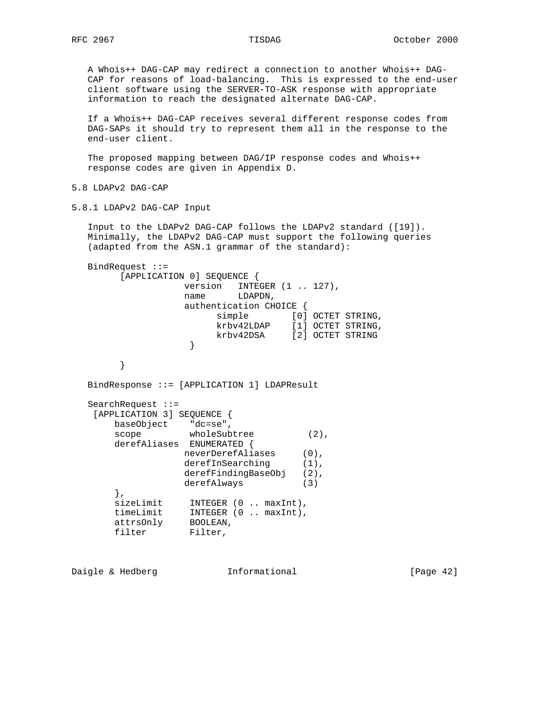A Whois++ DAG-CAP may redirect a connection to another Whois++ DAG- CAP for reasons of load-balancing. This is expressed to the end-user client software using the SERVER-TO-ASK response with appropriate information to reach the designated alternate DAG-CAP.

 If a Whois++ DAG-CAP receives several different response codes from DAG-SAPs it should try to represent them all in the response to the end-user client.

 The proposed mapping between DAG/IP response codes and Whois++ response codes are given in Appendix D.

5.8 LDAPv2 DAG-CAP

5.8.1 LDAPv2 DAG-CAP Input

 Input to the LDAPv2 DAG-CAP follows the LDAPv2 standard ([19]). Minimally, the LDAPv2 DAG-CAP must support the following queries (adapted from the ASN.1 grammar of the standard):

```
 BindRequest ::=
       [APPLICATION 0] SEQUENCE {
              version INTEGER (1 .. 127),
               name LDAPDN,
                authentication CHOICE {
simple [0] OCTET STRING,
 krbv42LDAP [1] OCTET STRING,
 krbv42DSA [2] OCTET STRING
 }
 }
   BindResponse ::= [APPLICATION 1] LDAPResult
  SearchRequest ::=
   [APPLICATION 3] SEQUENCE {
 baseObject "dc=se",
scope wholeSubtree (2),
      derefAliases ENUMERATED {
               neverDerefAliases (0),
              derefInSearching (1),
              derefFindingBaseObj (2),
               derefAlways (3)
      },
sizeLimit INTEGER (0 .. maxInt),
 timeLimit INTEGER (0 .. maxInt),
 attrsOnly BOOLEAN,
filter Filter,
```
Daigle & Hedberg **Informational** [Page 42]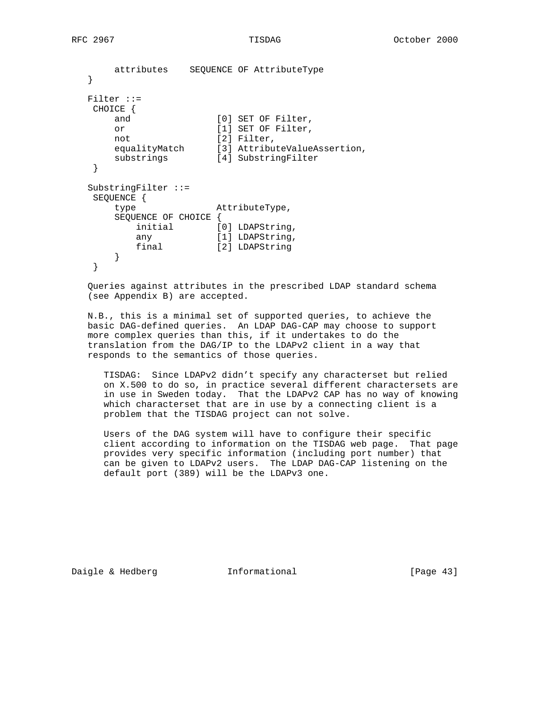```
 attributes SEQUENCE OF AttributeType
   }
   Filter ::=
   CHOICE {
     and [0] SET OF Filter,
     or [1] SET OF Filter,<br>not [2] Filter
not [2] Filter,
 equalityMatch [3] AttributeValueAssertion,
 substrings [4] SubstringFilter
   }
   SubstringFilter ::=
   SEQUENCE {
      type AttributeType,
      SEQUENCE OF CHOICE {
initial [0] LDAPString,
any [1] LDAPString,
 final [2] LDAPString
      }
   }
```
 Queries against attributes in the prescribed LDAP standard schema (see Appendix B) are accepted.

 N.B., this is a minimal set of supported queries, to achieve the basic DAG-defined queries. An LDAP DAG-CAP may choose to support more complex queries than this, if it undertakes to do the translation from the DAG/IP to the LDAPv2 client in a way that responds to the semantics of those queries.

 TISDAG: Since LDAPv2 didn't specify any characterset but relied on X.500 to do so, in practice several different charactersets are in use in Sweden today. That the LDAPv2 CAP has no way of knowing which characterset that are in use by a connecting client is a problem that the TISDAG project can not solve.

 Users of the DAG system will have to configure their specific client according to information on the TISDAG web page. That page provides very specific information (including port number) that can be given to LDAPv2 users. The LDAP DAG-CAP listening on the default port (389) will be the LDAPv3 one.

Daigle & Hedberg **Informational** [Page 43]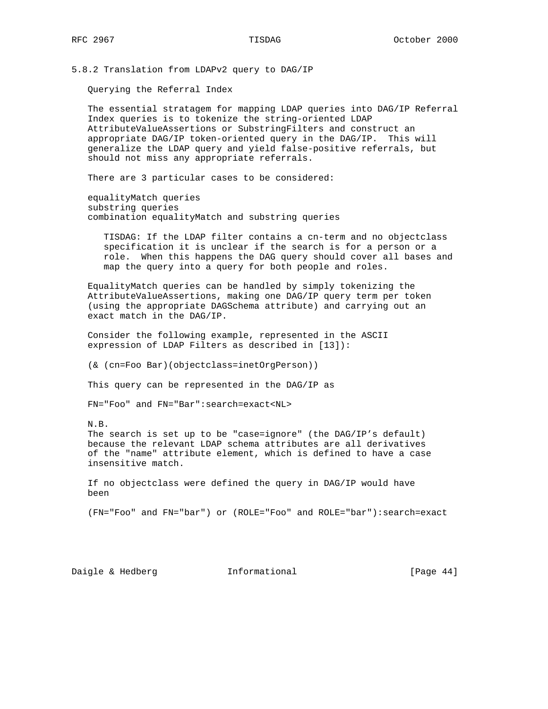5.8.2 Translation from LDAPv2 query to DAG/IP

Querying the Referral Index

 The essential stratagem for mapping LDAP queries into DAG/IP Referral Index queries is to tokenize the string-oriented LDAP AttributeValueAssertions or SubstringFilters and construct an appropriate DAG/IP token-oriented query in the DAG/IP. This will generalize the LDAP query and yield false-positive referrals, but should not miss any appropriate referrals.

There are 3 particular cases to be considered:

 equalityMatch queries substring queries combination equalityMatch and substring queries

 TISDAG: If the LDAP filter contains a cn-term and no objectclass specification it is unclear if the search is for a person or a role. When this happens the DAG query should cover all bases and map the query into a query for both people and roles.

 EqualityMatch queries can be handled by simply tokenizing the AttributeValueAssertions, making one DAG/IP query term per token (using the appropriate DAGSchema attribute) and carrying out an exact match in the DAG/IP.

 Consider the following example, represented in the ASCII expression of LDAP Filters as described in [13]):

(& (cn=Foo Bar)(objectclass=inetOrgPerson))

This query can be represented in the DAG/IP as

FN="Foo" and FN="Bar":search=exact<NL>

N.B.

 The search is set up to be "case=ignore" (the DAG/IP's default) because the relevant LDAP schema attributes are all derivatives of the "name" attribute element, which is defined to have a case insensitive match.

 If no objectclass were defined the query in DAG/IP would have been

(FN="Foo" and FN="bar") or (ROLE="Foo" and ROLE="bar"):search=exact

Daigle & Hedberg **Informational** [Page 44]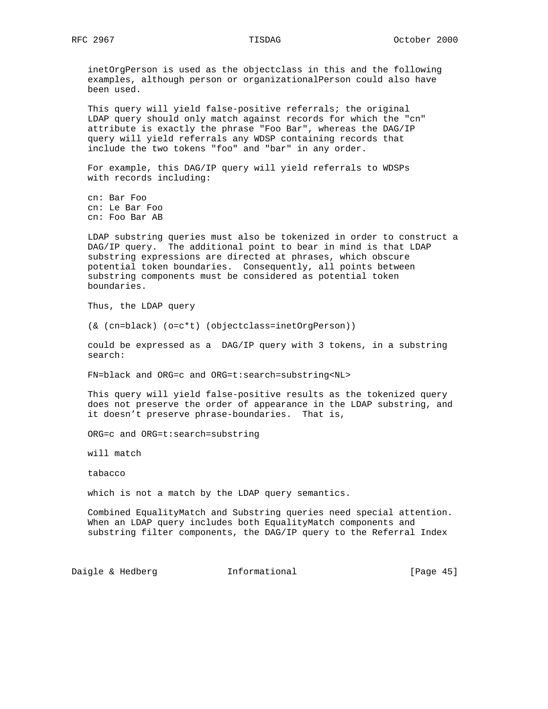inetOrgPerson is used as the objectclass in this and the following examples, although person or organizationalPerson could also have been used.

 This query will yield false-positive referrals; the original LDAP query should only match against records for which the "cn" attribute is exactly the phrase "Foo Bar", whereas the DAG/IP query will yield referrals any WDSP containing records that include the two tokens "foo" and "bar" in any order.

 For example, this DAG/IP query will yield referrals to WDSPs with records including:

 cn: Bar Foo cn: Le Bar Foo cn: Foo Bar AB

 LDAP substring queries must also be tokenized in order to construct a DAG/IP query. The additional point to bear in mind is that LDAP substring expressions are directed at phrases, which obscure potential token boundaries. Consequently, all points between substring components must be considered as potential token boundaries.

Thus, the LDAP query

(& (cn=black) (o=c\*t) (objectclass=inetOrgPerson))

 could be expressed as a DAG/IP query with 3 tokens, in a substring search:

FN=black and ORG=c and ORG=t:search=substring<NL>

 This query will yield false-positive results as the tokenized query does not preserve the order of appearance in the LDAP substring, and it doesn't preserve phrase-boundaries. That is,

ORG=c and ORG=t:search=substring

will match

tabacco

which is not a match by the LDAP query semantics.

 Combined EqualityMatch and Substring queries need special attention. When an LDAP query includes both EqualityMatch components and substring filter components, the DAG/IP query to the Referral Index

Daigle & Hedberg **Informational** [Page 45]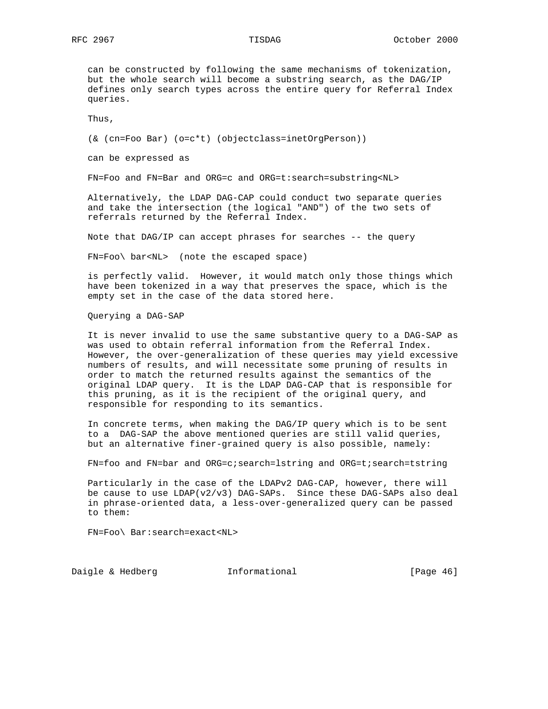can be constructed by following the same mechanisms of tokenization, but the whole search will become a substring search, as the DAG/IP defines only search types across the entire query for Referral Index queries.

Thus,

(& (cn=Foo Bar) (o=c\*t) (objectclass=inetOrgPerson))

can be expressed as

FN=Foo and FN=Bar and ORG=c and ORG=t:search=substring<NL>

 Alternatively, the LDAP DAG-CAP could conduct two separate queries and take the intersection (the logical "AND") of the two sets of referrals returned by the Referral Index.

Note that DAG/IP can accept phrases for searches -- the query

FN=Foo\ bar<NL> (note the escaped space)

 is perfectly valid. However, it would match only those things which have been tokenized in a way that preserves the space, which is the empty set in the case of the data stored here.

Querying a DAG-SAP

 It is never invalid to use the same substantive query to a DAG-SAP as was used to obtain referral information from the Referral Index. However, the over-generalization of these queries may yield excessive numbers of results, and will necessitate some pruning of results in order to match the returned results against the semantics of the original LDAP query. It is the LDAP DAG-CAP that is responsible for this pruning, as it is the recipient of the original query, and responsible for responding to its semantics.

 In concrete terms, when making the DAG/IP query which is to be sent to a DAG-SAP the above mentioned queries are still valid queries, but an alternative finer-grained query is also possible, namely:

FN=foo and FN=bar and ORG=c;search=lstring and ORG=t;search=tstring

 Particularly in the case of the LDAPv2 DAG-CAP, however, there will be cause to use  $LDAP(v2/v3)$  DAG-SAPs. Since these DAG-SAPs also deal in phrase-oriented data, a less-over-generalized query can be passed to them:

FN=Foo\ Bar:search=exact<NL>

Daigle & Hedberg **Informational** [Page 46]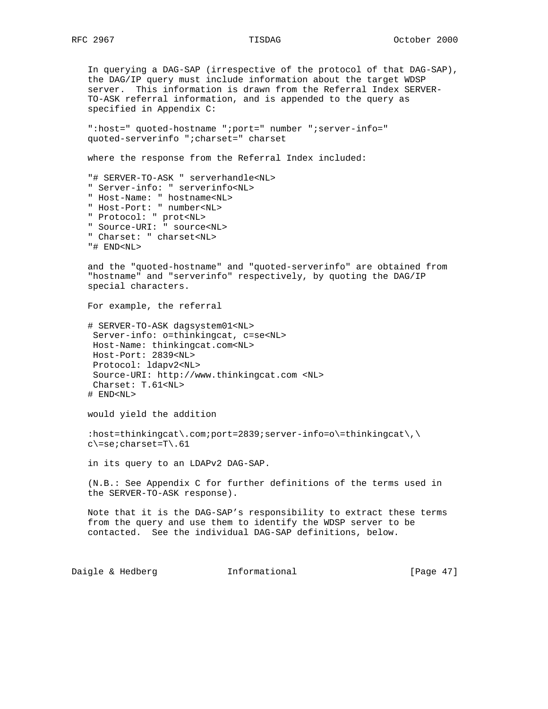In querying a DAG-SAP (irrespective of the protocol of that DAG-SAP), the DAG/IP query must include information about the target WDSP server. This information is drawn from the Referral Index SERVER- TO-ASK referral information, and is appended to the query as specified in Appendix C: ":host=" quoted-hostname ";port=" number ";server-info=" quoted-serverinfo ";charset=" charset where the response from the Referral Index included: "# SERVER-TO-ASK " serverhandle<NL> " Server-info: " serverinfo<NL> " Host-Name: " hostname<NL> " Host-Port: " number<NL> " Protocol: " prot<NL> " Source-URI: " source<NL> " Charset: " charset<NL> "# END<NL> and the "quoted-hostname" and "quoted-serverinfo" are obtained from "hostname" and "serverinfo" respectively, by quoting the DAG/IP special characters. For example, the referral # SERVER-TO-ASK dagsystem01<NL> Server-info: o=thinkingcat, c=se<NL> Host-Name: thinkingcat.com<NL> Host-Port: 2839<NL> Protocol: ldapv2<NL> Source-URI: http://www.thinkingcat.com <NL> Charset: T.61<NL> # END<NL> would yield the addition :host=thinkingcat\.com;port=2839;server-info=o\=thinkingcat\,\ c\=se;charset=T\.61 in its query to an LDAPv2 DAG-SAP. (N.B.: See Appendix C for further definitions of the terms used in the SERVER-TO-ASK response). Note that it is the DAG-SAP's responsibility to extract these terms from the query and use them to identify the WDSP server to be contacted. See the individual DAG-SAP definitions, below.

Daigle & Hedberg **Informational** [Page 47]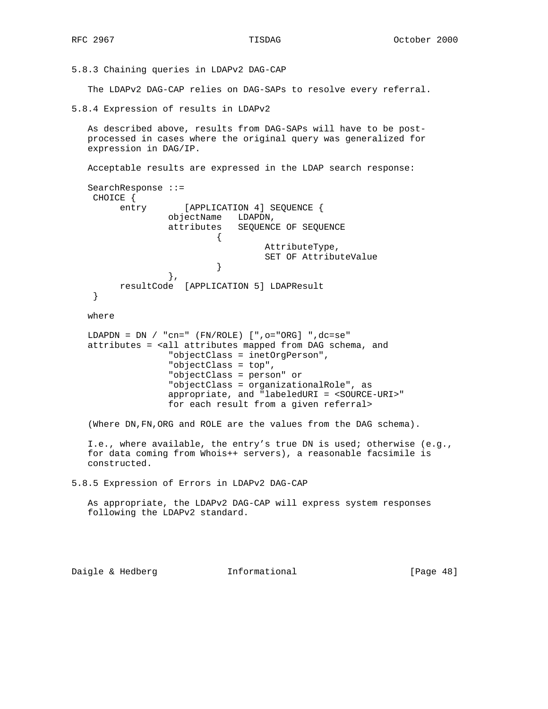5.8.3 Chaining queries in LDAPv2 DAG-CAP

The LDAPv2 DAG-CAP relies on DAG-SAPs to resolve every referral.

5.8.4 Expression of results in LDAPv2

 As described above, results from DAG-SAPs will have to be post processed in cases where the original query was generalized for expression in DAG/IP.

Acceptable results are expressed in the LDAP search response:

```
 SearchResponse ::=
   CHOICE {
       entry [APPLICATION 4] SEQUENCE {
             objectName LDAPDN,
             attributes SEQUENCE OF SEQUENCE
\{ AttributeType,
                   SET OF AttributeValue
 }
 },
       resultCode [APPLICATION 5] LDAPResult
   }
```
where

```
 LDAPDN = DN / "cn=" (FN/ROLE) [",o="ORG] ",dc=se"
 attributes = <all attributes mapped from DAG schema, and
                "objectClass = inetOrgPerson",
                "objectClass = top",
                "objectClass = person" or
                "objectClass = organizationalRole", as
                appropriate, and "labeledURI = <SOURCE-URI>"
                for each result from a given referral>
```
(Where DN,FN,ORG and ROLE are the values from the DAG schema).

```
 I.e., where available, the entry's true DN is used; otherwise (e.g.,
 for data coming from Whois++ servers), a reasonable facsimile is
 constructed.
```
5.8.5 Expression of Errors in LDAPv2 DAG-CAP

 As appropriate, the LDAPv2 DAG-CAP will express system responses following the LDAPv2 standard.

Daigle & Hedberg **Informational** [Page 48]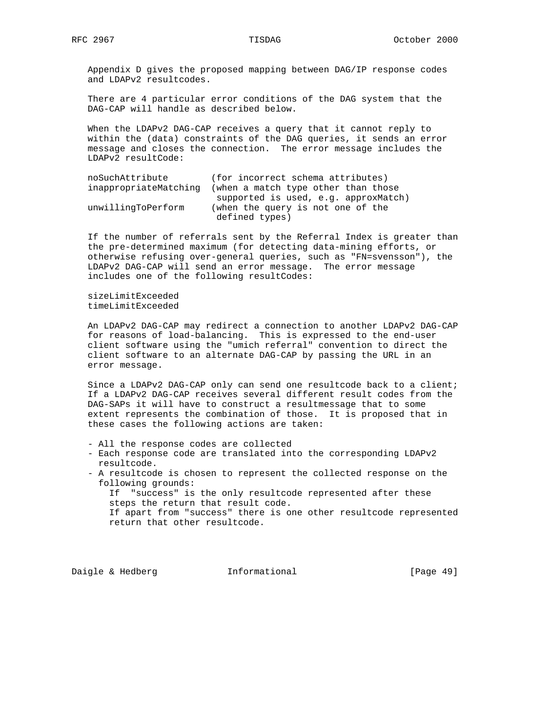Appendix D gives the proposed mapping between DAG/IP response codes and LDAPv2 resultcodes.

 There are 4 particular error conditions of the DAG system that the DAG-CAP will handle as described below.

 When the LDAPv2 DAG-CAP receives a query that it cannot reply to within the (data) constraints of the DAG queries, it sends an error message and closes the connection. The error message includes the LDAPv2 resultCode:

| noSuchAttribute       | (for incorrect schema attributes)    |
|-----------------------|--------------------------------------|
| inappropriateMatching | (when a match type other than those  |
|                       | supported is used, e.g. approxMatch) |
| unwillingToPerform    | (when the query is not one of the    |
|                       | defined types)                       |

 If the number of referrals sent by the Referral Index is greater than the pre-determined maximum (for detecting data-mining efforts, or otherwise refusing over-general queries, such as "FN=svensson"), the LDAPv2 DAG-CAP will send an error message. The error message includes one of the following resultCodes:

 sizeLimitExceeded timeLimitExceeded

 An LDAPv2 DAG-CAP may redirect a connection to another LDAPv2 DAG-CAP for reasons of load-balancing. This is expressed to the end-user client software using the "umich referral" convention to direct the client software to an alternate DAG-CAP by passing the URL in an error message.

 Since a LDAPv2 DAG-CAP only can send one resultcode back to a client; If a LDAPv2 DAG-CAP receives several different result codes from the DAG-SAPs it will have to construct a resultmessage that to some extent represents the combination of those. It is proposed that in these cases the following actions are taken:

- All the response codes are collected
- Each response code are translated into the corresponding LDAPv2 resultcode.
- A resultcode is chosen to represent the collected response on the following grounds:

 If "success" is the only resultcode represented after these steps the return that result code.

 If apart from "success" there is one other resultcode represented return that other resultcode.

Daigle & Hedberg **Informational** [Page 49]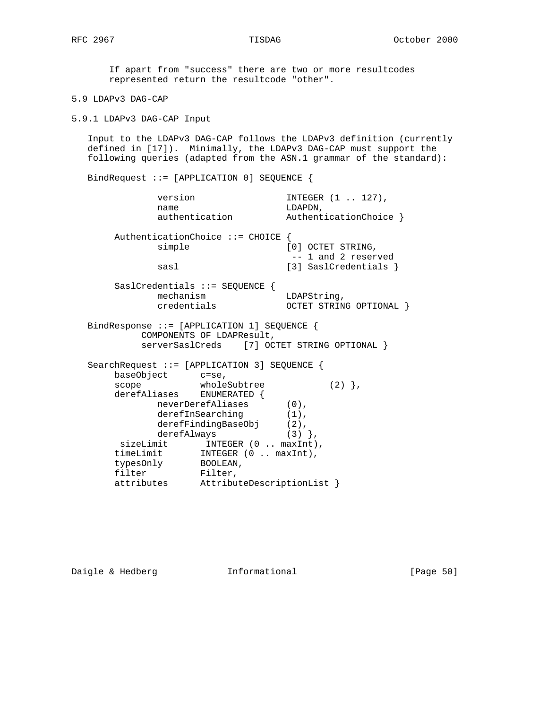If apart from "success" there are two or more resultcodes represented return the resultcode "other".

5.9 LDAPv3 DAG-CAP

5.9.1 LDAPv3 DAG-CAP Input

 Input to the LDAPv3 DAG-CAP follows the LDAPv3 definition (currently defined in [17]). Minimally, the LDAPv3 DAG-CAP must support the following queries (adapted from the ASN.1 grammar of the standard):

BindRequest ::= [APPLICATION 0] SEQUENCE {

| version<br>name                                        |                                   | INTEGER (1  127),<br>LDAPDN,                |
|--------------------------------------------------------|-----------------------------------|---------------------------------------------|
|                                                        | authentication                    | AuthenticationChoice }                      |
| simple                                                 | AuthenticationChoice ::= CHOICE { | [0] OCTET STRING,<br>-- 1 and 2 reserved    |
| sasl                                                   |                                   | [3] SaslCredentials }                       |
| mechanism<br>credentials                               | $SaslCredentials :: = SEQUENCE$   | LDAPString,<br>OCTET STRING OPTIONAL }      |
| BindResponse ::= [APPLICATION 1] SEQUENCE {            | COMPONENTS OF LDAPResult,         | serverSaslCreds [7] OCTET STRING OPTIONAL } |
| SearchRequest ::= [APPLICATION 3] SEQUENCE {           |                                   |                                             |
| baseObject c=se,<br>scope<br>derefAliases ENUMERATED { | wholeSubtree                      | $(2)$ },                                    |
|                                                        | neverDerefAliases (0),            |                                             |
|                                                        | derefInSearching                  | $(1)$ ,                                     |
|                                                        | $dereffindingBaseObj$ (2),        |                                             |
|                                                        | derefAlways                       | $(3)$ ,                                     |
|                                                        | sizeLimit INTEGER (0  maxInt),    |                                             |
| timeLimit                                              | INTEGER $(0 \dots maxInt)$ ,      |                                             |
| typesOnly                                              | BOOLEAN,                          |                                             |
| filter                                                 | Filter,                           |                                             |
| attributes                                             | AttributeDescriptionList }        |                                             |

Daigle & Hedberg **Informational** [Page 50]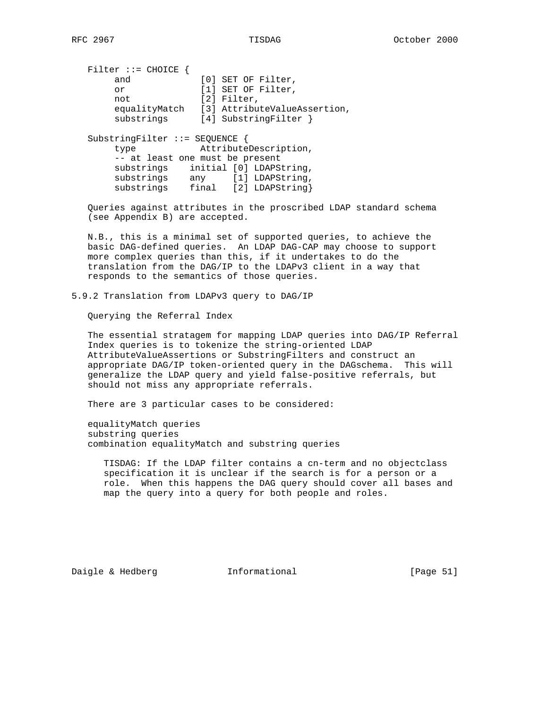Filter ::= CHOICE {<br>and [0] SET OF Filter, or [1] SET OF Filter, not [2] Filter, equalityMatch [3] AttributeValueAssertion, substrings [4] SubstringFilter } SubstringFilter ::= SEQUENCE { type AttributeDescription, -- at least one must be present substrings initial [0] LDAPString, substrings any [1] LDAPString, substrings final [2] LDAPString}

 Queries against attributes in the proscribed LDAP standard schema (see Appendix B) are accepted.

 N.B., this is a minimal set of supported queries, to achieve the basic DAG-defined queries. An LDAP DAG-CAP may choose to support more complex queries than this, if it undertakes to do the translation from the DAG/IP to the LDAPv3 client in a way that responds to the semantics of those queries.

5.9.2 Translation from LDAPv3 query to DAG/IP

Querying the Referral Index

 The essential stratagem for mapping LDAP queries into DAG/IP Referral Index queries is to tokenize the string-oriented LDAP AttributeValueAssertions or SubstringFilters and construct an appropriate DAG/IP token-oriented query in the DAGschema. This will generalize the LDAP query and yield false-positive referrals, but should not miss any appropriate referrals.

There are 3 particular cases to be considered:

 equalityMatch queries substring queries combination equalityMatch and substring queries

 TISDAG: If the LDAP filter contains a cn-term and no objectclass specification it is unclear if the search is for a person or a role. When this happens the DAG query should cover all bases and map the query into a query for both people and roles.

Daigle & Hedberg **Informational** [Page 51]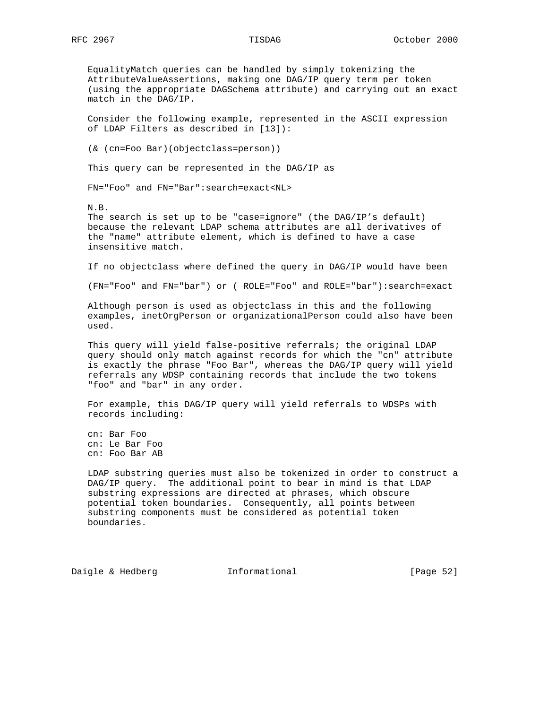EqualityMatch queries can be handled by simply tokenizing the AttributeValueAssertions, making one DAG/IP query term per token (using the appropriate DAGSchema attribute) and carrying out an exact match in the DAG/IP.

 Consider the following example, represented in the ASCII expression of LDAP Filters as described in [13]):

(& (cn=Foo Bar)(objectclass=person))

This query can be represented in the DAG/IP as

FN="Foo" and FN="Bar":search=exact<NL>

N.B.

 The search is set up to be "case=ignore" (the DAG/IP's default) because the relevant LDAP schema attributes are all derivatives of the "name" attribute element, which is defined to have a case insensitive match.

If no objectclass where defined the query in DAG/IP would have been

(FN="Foo" and FN="bar") or ( ROLE="Foo" and ROLE="bar"):search=exact

 Although person is used as objectclass in this and the following examples, inetOrgPerson or organizationalPerson could also have been used.

 This query will yield false-positive referrals; the original LDAP query should only match against records for which the "cn" attribute is exactly the phrase "Foo Bar", whereas the DAG/IP query will yield referrals any WDSP containing records that include the two tokens "foo" and "bar" in any order.

 For example, this DAG/IP query will yield referrals to WDSPs with records including:

 cn: Bar Foo cn: Le Bar Foo cn: Foo Bar AB

 LDAP substring queries must also be tokenized in order to construct a DAG/IP query. The additional point to bear in mind is that LDAP substring expressions are directed at phrases, which obscure potential token boundaries. Consequently, all points between substring components must be considered as potential token boundaries.

Daigle & Hedberg **Informational** [Page 52]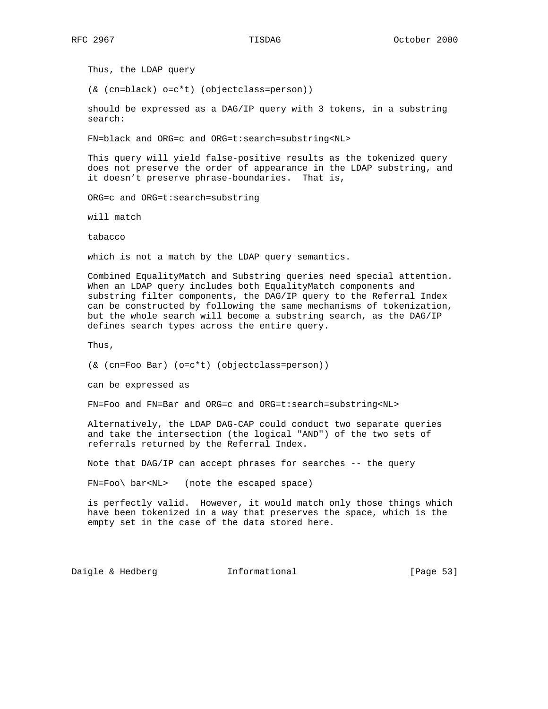Thus, the LDAP query

(& (cn=black) o=c\*t) (objectclass=person))

 should be expressed as a DAG/IP query with 3 tokens, in a substring search:

FN=black and ORG=c and ORG=t:search=substring<NL>

 This query will yield false-positive results as the tokenized query does not preserve the order of appearance in the LDAP substring, and it doesn't preserve phrase-boundaries. That is,

ORG=c and ORG=t:search=substring

will match

tabacco

which is not a match by the LDAP query semantics.

 Combined EqualityMatch and Substring queries need special attention. When an LDAP query includes both EqualityMatch components and substring filter components, the DAG/IP query to the Referral Index can be constructed by following the same mechanisms of tokenization, but the whole search will become a substring search, as the DAG/IP defines search types across the entire query.

Thus,

```
 (& (cn=Foo Bar) (o=c*t) (objectclass=person))
```
can be expressed as

FN=Foo and FN=Bar and ORG=c and ORG=t:search=substring<NL>

 Alternatively, the LDAP DAG-CAP could conduct two separate queries and take the intersection (the logical "AND") of the two sets of referrals returned by the Referral Index.

Note that DAG/IP can accept phrases for searches -- the query

FN=Foo\ bar<NL> (note the escaped space)

 is perfectly valid. However, it would match only those things which have been tokenized in a way that preserves the space, which is the empty set in the case of the data stored here.

Daigle & Hedberg **Informational** [Page 53]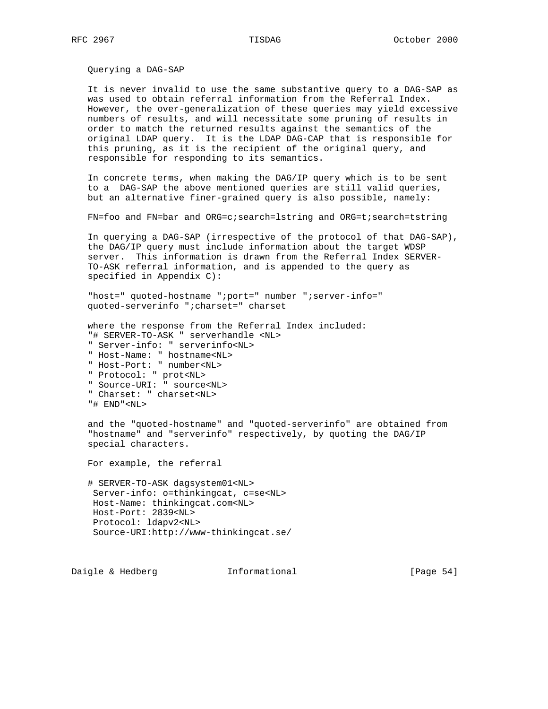Querying a DAG-SAP

 It is never invalid to use the same substantive query to a DAG-SAP as was used to obtain referral information from the Referral Index. However, the over-generalization of these queries may yield excessive numbers of results, and will necessitate some pruning of results in order to match the returned results against the semantics of the original LDAP query. It is the LDAP DAG-CAP that is responsible for this pruning, as it is the recipient of the original query, and responsible for responding to its semantics.

 In concrete terms, when making the DAG/IP query which is to be sent to a DAG-SAP the above mentioned queries are still valid queries, but an alternative finer-grained query is also possible, namely:

FN=foo and FN=bar and ORG=c;search=lstring and ORG=t;search=tstring

 In querying a DAG-SAP (irrespective of the protocol of that DAG-SAP), the DAG/IP query must include information about the target WDSP server. This information is drawn from the Referral Index SERVER- TO-ASK referral information, and is appended to the query as specified in Appendix C):

"host=" quoted-hostname ";port=" number ";server-info=" quoted-serverinfo ";charset=" charset

where the response from the Referral Index included:

- "# SERVER-TO-ASK " serverhandle <NL>
- " Server-info: " serverinfo<NL>
- " Host-Name: " hostname<NL>
- " Host-Port: " number<NL>
- " Protocol: " prot<NL>
- " Source-URI: " source<NL>
- " Charset: " charset<NL>
- "# END"<NL>

 and the "quoted-hostname" and "quoted-serverinfo" are obtained from "hostname" and "serverinfo" respectively, by quoting the DAG/IP special characters.

For example, the referral

 # SERVER-TO-ASK dagsystem01<NL> Server-info: o=thinkingcat, c=se<NL> Host-Name: thinkingcat.com<NL> Host-Port: 2839<NL> Protocol: ldapv2<NL> Source-URI:http://www-thinkingcat.se/

Daigle & Hedberg **Informational** [Page 54]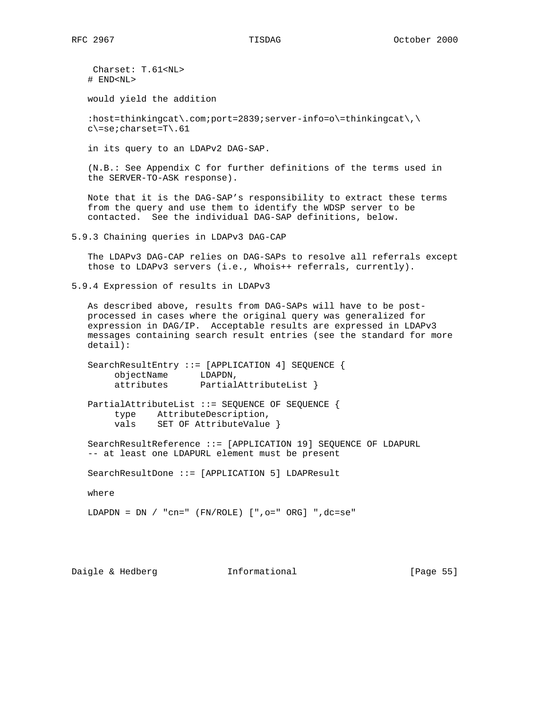Charset: T.61<NL> # END<NL> would yield the addition :host=thinkingcat\.com;port=2839;server-info=o\=thinkingcat\,\ c\=se;charset=T\.61 in its query to an LDAPv2 DAG-SAP. (N.B.: See Appendix C for further definitions of the terms used in the SERVER-TO-ASK response). Note that it is the DAG-SAP's responsibility to extract these terms from the query and use them to identify the WDSP server to be contacted. See the individual DAG-SAP definitions, below. 5.9.3 Chaining queries in LDAPv3 DAG-CAP The LDAPv3 DAG-CAP relies on DAG-SAPs to resolve all referrals except those to LDAPv3 servers (i.e., Whois++ referrals, currently). 5.9.4 Expression of results in LDAPv3 As described above, results from DAG-SAPs will have to be post processed in cases where the original query was generalized for expression in DAG/IP. Acceptable results are expressed in LDAPv3 messages containing search result entries (see the standard for more detail): SearchResultEntry ::= [APPLICATION 4] SEQUENCE { objectName LDAPDN, attributes PartialAttributeList } PartialAttributeList ::= SEQUENCE OF SEQUENCE { type AttributeDescription, vals SET OF AttributeValue } SearchResultReference ::= [APPLICATION 19] SEQUENCE OF LDAPURL -- at least one LDAPURL element must be present SearchResultDone ::= [APPLICATION 5] LDAPResult where LDAPDN = DN / "cn=" (FN/ROLE) [",o=" ORG] ",dc=se"

Daigle & Hedberg **Informational** [Page 55]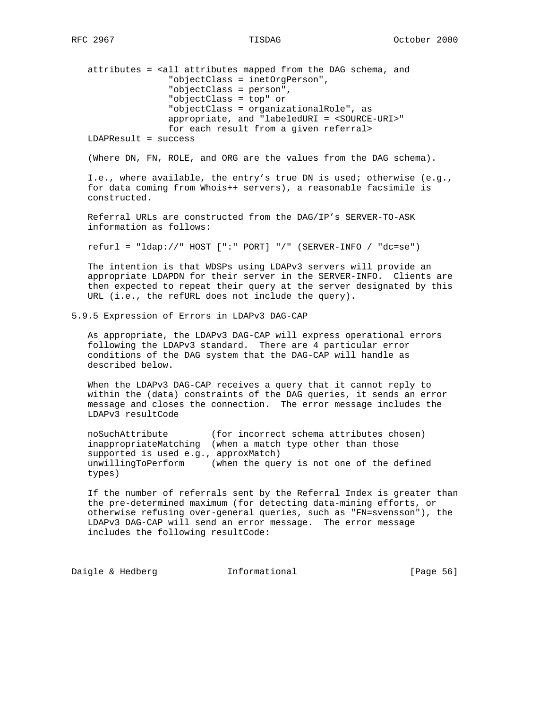```
 attributes = <all attributes mapped from the DAG schema, and
                   "objectClass = inetOrgPerson",
                   "objectClass = person",
                   "objectClass = top" or
                   "objectClass = organizationalRole", as
                   appropriate, and "labeledURI = <SOURCE-URI>"
                   for each result from a given referral>
    LDAPResult = success
    (Where DN, FN, ROLE, and ORG are the values from the DAG schema).
    I.e., where available, the entry's true DN is used; otherwise (e.g.,
    for data coming from Whois++ servers), a reasonable facsimile is
    constructed.
   Referral URLs are constructed from the DAG/IP's SERVER-TO-ASK
    information as follows:
   refurl = "ldap://" HOST [":" PORT] "/" (SERVER-INFO / "dc=se")
   The intention is that WDSPs using LDAPv3 servers will provide an
    appropriate LDAPDN for their server in the SERVER-INFO. Clients are
    then expected to repeat their query at the server designated by this
   URL (i.e., the refURL does not include the query).
5.9.5 Expression of Errors in LDAPv3 DAG-CAP
    As appropriate, the LDAPv3 DAG-CAP will express operational errors
    following the LDAPv3 standard. There are 4 particular error
    conditions of the DAG system that the DAG-CAP will handle as
    described below.
   When the LDAPv3 DAG-CAP receives a query that it cannot reply to
   within the (data) constraints of the DAG queries, it sends an error
   message and closes the connection. The error message includes the
   LDAPv3 resultCode
   noSuchAttribute (for incorrect schema attributes chosen)
    inappropriateMatching (when a match type other than those
    supported is used e.g., approxMatch)
   unwillingToPerform (when the query is not one of the defined
   types)
    If the number of referrals sent by the Referral Index is greater than
    the pre-determined maximum (for detecting data-mining efforts, or
   otherwise refusing over-general queries, such as "FN=svensson"), the
   LDAPv3 DAG-CAP will send an error message. The error message
    includes the following resultCode:
```
Daigle & Hedberg **Informational** [Page 56]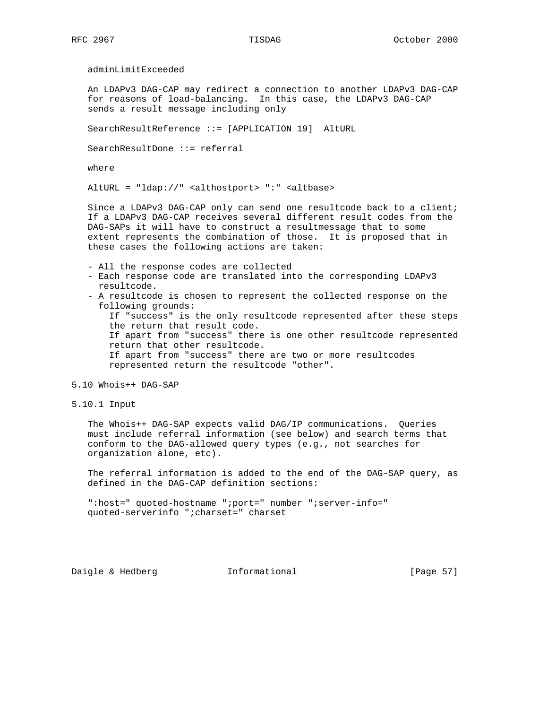adminLimitExceeded

 An LDAPv3 DAG-CAP may redirect a connection to another LDAPv3 DAG-CAP for reasons of load-balancing. In this case, the LDAPv3 DAG-CAP sends a result message including only

SearchResultReference ::= [APPLICATION 19] AltURL

SearchResultDone ::= referral

where

AltURL = "ldap://" <althostport> ":" <altbase>

 Since a LDAPv3 DAG-CAP only can send one resultcode back to a client; If a LDAPv3 DAG-CAP receives several different result codes from the DAG-SAPs it will have to construct a resultmessage that to some extent represents the combination of those. It is proposed that in these cases the following actions are taken:

- All the response codes are collected
- Each response code are translated into the corresponding LDAPv3 resultcode.
- A resultcode is chosen to represent the collected response on the following grounds:

 If "success" is the only resultcode represented after these steps the return that result code. If apart from "success" there is one other resultcode represented return that other resultcode. If apart from "success" there are two or more resultcodes represented return the resultcode "other".

5.10 Whois++ DAG-SAP

5.10.1 Input

 The Whois++ DAG-SAP expects valid DAG/IP communications. Queries must include referral information (see below) and search terms that conform to the DAG-allowed query types (e.g., not searches for organization alone, etc).

 The referral information is added to the end of the DAG-SAP query, as defined in the DAG-CAP definition sections:

 ":host=" quoted-hostname ";port=" number ";server-info=" quoted-serverinfo ";charset=" charset

Daigle & Hedberg **Informational** [Page 57]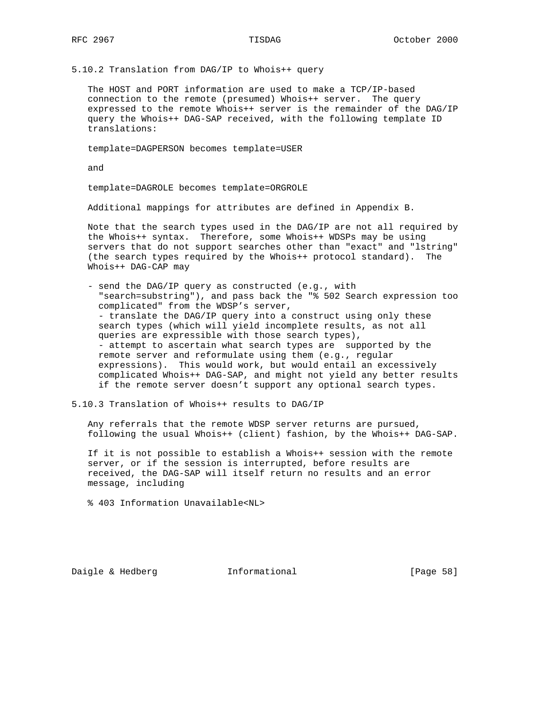5.10.2 Translation from DAG/IP to Whois++ query

 The HOST and PORT information are used to make a TCP/IP-based connection to the remote (presumed) Whois++ server. The query expressed to the remote Whois++ server is the remainder of the DAG/IP query the Whois++ DAG-SAP received, with the following template ID translations:

template=DAGPERSON becomes template=USER

and

template=DAGROLE becomes template=ORGROLE

Additional mappings for attributes are defined in Appendix B.

 Note that the search types used in the DAG/IP are not all required by the Whois++ syntax. Therefore, some Whois++ WDSPs may be using servers that do not support searches other than "exact" and "lstring" (the search types required by the Whois++ protocol standard). The Whois++ DAG-CAP may

 - send the DAG/IP query as constructed (e.g., with "search=substring"), and pass back the "% 502 Search expression too complicated" from the WDSP's server, - translate the DAG/IP query into a construct using only these search types (which will yield incomplete results, as not all queries are expressible with those search types), - attempt to ascertain what search types are supported by the remote server and reformulate using them (e.g., regular expressions). This would work, but would entail an excessively complicated Whois++ DAG-SAP, and might not yield any better results if the remote server doesn't support any optional search types.

## 5.10.3 Translation of Whois++ results to DAG/IP

 Any referrals that the remote WDSP server returns are pursued, following the usual Whois++ (client) fashion, by the Whois++ DAG-SAP.

 If it is not possible to establish a Whois++ session with the remote server, or if the session is interrupted, before results are received, the DAG-SAP will itself return no results and an error message, including

% 403 Information Unavailable<NL>

Daigle & Hedberg **Informational** [Page 58]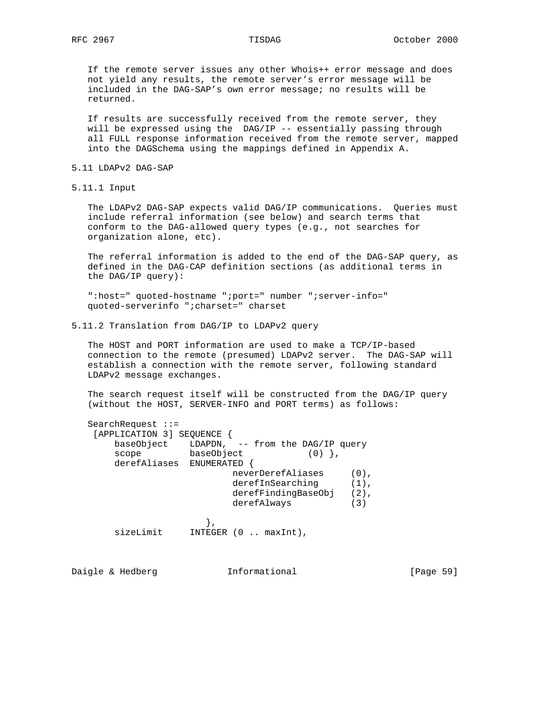If the remote server issues any other Whois++ error message and does not yield any results, the remote server's error message will be included in the DAG-SAP's own error message; no results will be returned.

 If results are successfully received from the remote server, they will be expressed using the DAG/IP -- essentially passing through all FULL response information received from the remote server, mapped into the DAGSchema using the mappings defined in Appendix A.

## 5.11 LDAPv2 DAG-SAP

5.11.1 Input

 The LDAPv2 DAG-SAP expects valid DAG/IP communications. Queries must include referral information (see below) and search terms that conform to the DAG-allowed query types (e.g., not searches for organization alone, etc).

 The referral information is added to the end of the DAG-SAP query, as defined in the DAG-CAP definition sections (as additional terms in the DAG/IP query):

 ":host=" quoted-hostname ";port=" number ";server-info=" quoted-serverinfo ";charset=" charset

5.11.2 Translation from DAG/IP to LDAPv2 query

 The HOST and PORT information are used to make a TCP/IP-based connection to the remote (presumed) LDAPv2 server. The DAG-SAP will establish a connection with the remote server, following standard LDAPv2 message exchanges.

 The search request itself will be constructed from the DAG/IP query (without the HOST, SERVER-INFO and PORT terms) as follows:

| $SearchRequest :: =$     |                                  |         |
|--------------------------|----------------------------------|---------|
| [APPLICATION 3] SEQUENCE |                                  |         |
| baseObject               | LDAPDN, -- from the DAG/IP query |         |
| scope                    | baseObject                       |         |
| derefAliases             | ENUMERATED                       |         |
|                          | neverDerefAliases                | $(0)$ . |
|                          | derefInSearching                 | $(1)$ . |
|                          | derefFindingBaseObj              | $(2)$ , |
|                          | derefAlways                      | (3)     |
|                          |                                  |         |
| sizeLimit                | INTER (0  maxInt),               |         |
|                          |                                  |         |

Daigle & Hedberg **Informational** [Page 59]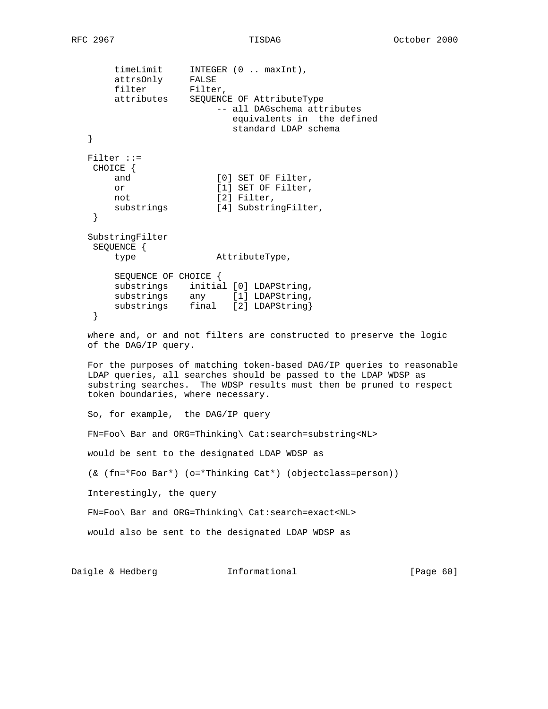```
 timeLimit INTEGER (0 .. maxInt),
 attrsOnly FALSE
filter Filter,
 attributes SEQUENCE OF AttributeType
                         -- all DAGschema attributes
                            equivalents in the defined
                            standard LDAP schema
   }
   Filter ::=
    CHOICE {
      and [0] SET OF Filter,
       or [1] SET OF Filter,<br>not [2] Filter.
                        [2] Filter,
       substrings [4] SubstringFilter,
    }
   SubstringFilter
    SEQUENCE {
        type AttributeType,
        SEQUENCE OF CHOICE {
 substrings initial [0] LDAPString,
substrings any [1] LDAPString,
 substrings final [2] LDAPString}
    }
   where and, or and not filters are constructed to preserve the logic
   of the DAG/IP query.
   For the purposes of matching token-based DAG/IP queries to reasonable
   LDAP queries, all searches should be passed to the LDAP WDSP as
   substring searches. The WDSP results must then be pruned to respect
   token boundaries, where necessary.
   So, for example, the DAG/IP query
   FN=Foo\ Bar and ORG=Thinking\ Cat:search=substring<NL>
   would be sent to the designated LDAP WDSP as
   (& (fn=*Foo Bar*) (o=*Thinking Cat*) (objectclass=person))
   Interestingly, the query
   FN=Foo\ Bar and ORG=Thinking\ Cat:search=exact<NL>
   would also be sent to the designated LDAP WDSP as
```
Daigle & Hedberg **Informational** [Page 60]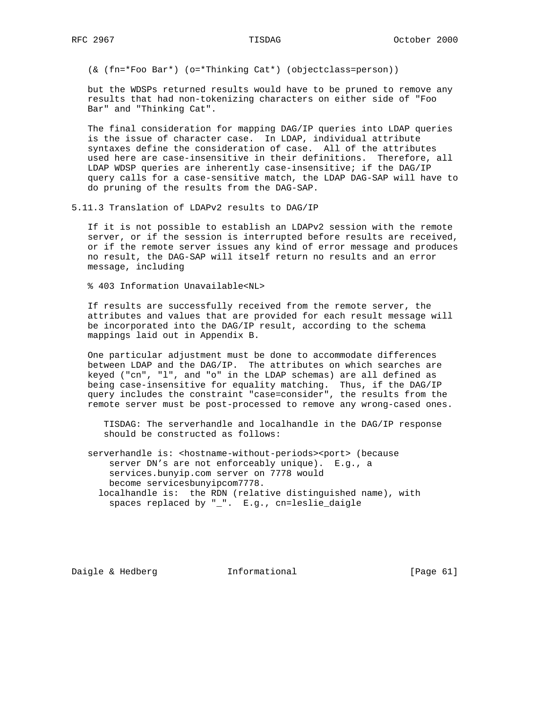(& (fn=\*Foo Bar\*) (o=\*Thinking Cat\*) (objectclass=person))

 but the WDSPs returned results would have to be pruned to remove any results that had non-tokenizing characters on either side of "Foo Bar" and "Thinking Cat".

 The final consideration for mapping DAG/IP queries into LDAP queries is the issue of character case. In LDAP, individual attribute syntaxes define the consideration of case. All of the attributes used here are case-insensitive in their definitions. Therefore, all LDAP WDSP queries are inherently case-insensitive; if the DAG/IP query calls for a case-sensitive match, the LDAP DAG-SAP will have to do pruning of the results from the DAG-SAP.

5.11.3 Translation of LDAPv2 results to DAG/IP

 If it is not possible to establish an LDAPv2 session with the remote server, or if the session is interrupted before results are received, or if the remote server issues any kind of error message and produces no result, the DAG-SAP will itself return no results and an error message, including

% 403 Information Unavailable<NL>

 If results are successfully received from the remote server, the attributes and values that are provided for each result message will be incorporated into the DAG/IP result, according to the schema mappings laid out in Appendix B.

 One particular adjustment must be done to accommodate differences between LDAP and the DAG/IP. The attributes on which searches are keyed ("cn", "l", and "o" in the LDAP schemas) are all defined as being case-insensitive for equality matching. Thus, if the DAG/IP query includes the constraint "case=consider", the results from the remote server must be post-processed to remove any wrong-cased ones.

 TISDAG: The serverhandle and localhandle in the DAG/IP response should be constructed as follows:

 serverhandle is: <hostname-without-periods><port> (because server DN's are not enforceably unique). E.g., a services.bunyip.com server on 7778 would become servicesbunyipcom7778. localhandle is: the RDN (relative distinguished name), with spaces replaced by "\_". E.g., cn=leslie\_daigle

Daigle & Hedberg **Informational** [Page 61]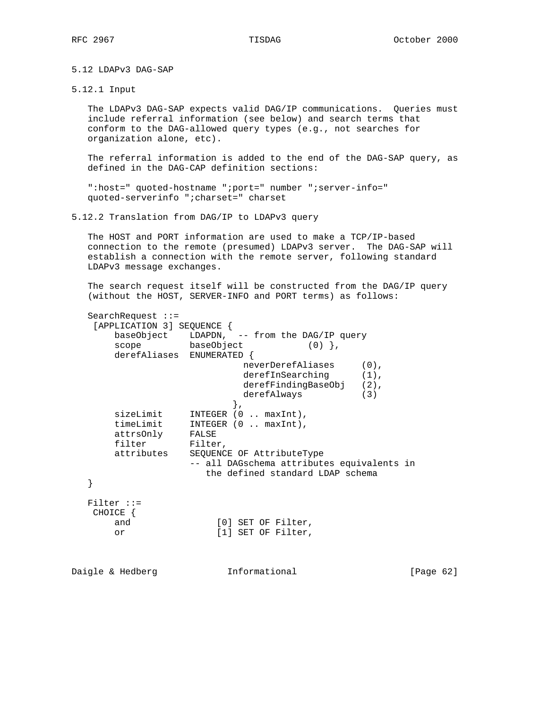5.12 LDAPv3 DAG-SAP

5.12.1 Input

 The LDAPv3 DAG-SAP expects valid DAG/IP communications. Queries must include referral information (see below) and search terms that conform to the DAG-allowed query types (e.g., not searches for organization alone, etc).

 The referral information is added to the end of the DAG-SAP query, as defined in the DAG-CAP definition sections:

 ":host=" quoted-hostname ";port=" number ";server-info=" quoted-serverinfo ";charset=" charset

5.12.2 Translation from DAG/IP to LDAPv3 query

 The HOST and PORT information are used to make a TCP/IP-based connection to the remote (presumed) LDAPv3 server. The DAG-SAP will establish a connection with the remote server, following standard LDAPv3 message exchanges.

 The search request itself will be constructed from the DAG/IP query (without the HOST, SERVER-INFO and PORT terms) as follows:

| $SearchRequest : =$        |                                             |           |  |
|----------------------------|---------------------------------------------|-----------|--|
| [APPLICATION 3] SEQUENCE { |                                             |           |  |
|                            | baseObject LDAPDN, -- from the DAG/IP query |           |  |
| scope baseObject           | $(0)$ },                                    |           |  |
| derefAliases ENUMERATED {  |                                             |           |  |
|                            | neverDerefAliases<br>$(0)$ ,                |           |  |
|                            | derefInSearching<br>$(1)$ ,                 |           |  |
|                            | derefFindingBaseObj<br>$(2)$ ,              |           |  |
|                            | derefAlways<br>(3)                          |           |  |
|                            | ł,                                          |           |  |
| sizeLimit                  | INTEGER (0  maxInt),                        |           |  |
| timeLimit                  | INTEGER $(0 \dots maxInt)$ ,                |           |  |
| attrsOnly                  | FALSE                                       |           |  |
| filter                     | Filter,                                     |           |  |
| attributes                 | SEQUENCE OF AttributeType                   |           |  |
|                            | -- all DAGschema attributes equivalents in  |           |  |
|                            | the defined standard LDAP schema            |           |  |
|                            |                                             |           |  |
|                            |                                             |           |  |
| $Filter :: =$              |                                             |           |  |
| CHOICE {                   |                                             |           |  |
| and                        | [0] SET OF Filter,                          |           |  |
| or                         | [1] SET OF Filter,                          |           |  |
|                            |                                             |           |  |
|                            |                                             |           |  |
| Daigle & Hedberg           | Informational                               | [Page 62] |  |
|                            |                                             |           |  |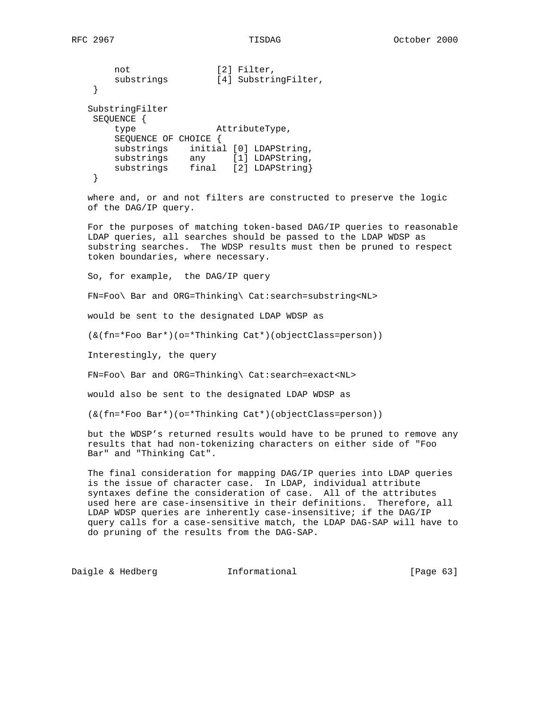```
not [2] Filter,
substrings [4] SubstringFilter,
    }
   SubstringFilter
    SEQUENCE {
       type AttributeType,
       SEQUENCE OF CHOICE {
       substrings initial [0] LDAPString,
      substrings any [1] LDAPString,
      substrings final [2] LDAPString}
    }
```
 where and, or and not filters are constructed to preserve the logic of the DAG/IP query.

 For the purposes of matching token-based DAG/IP queries to reasonable LDAP queries, all searches should be passed to the LDAP WDSP as substring searches. The WDSP results must then be pruned to respect token boundaries, where necessary.

So, for example, the DAG/IP query

FN=Foo\ Bar and ORG=Thinking\ Cat:search=substring<NL>

would be sent to the designated LDAP WDSP as

(&(fn=\*Foo Bar\*)(o=\*Thinking Cat\*)(objectClass=person))

Interestingly, the query

FN=Foo\ Bar and ORG=Thinking\ Cat:search=exact<NL>

would also be sent to the designated LDAP WDSP as

(&(fn=\*Foo Bar\*)(o=\*Thinking Cat\*)(objectClass=person))

 but the WDSP's returned results would have to be pruned to remove any results that had non-tokenizing characters on either side of "Foo Bar" and "Thinking Cat".

 The final consideration for mapping DAG/IP queries into LDAP queries is the issue of character case. In LDAP, individual attribute syntaxes define the consideration of case. All of the attributes used here are case-insensitive in their definitions. Therefore, all LDAP WDSP queries are inherently case-insensitive; if the DAG/IP query calls for a case-sensitive match, the LDAP DAG-SAP will have to do pruning of the results from the DAG-SAP.

Daigle & Hedberg **Informational** [Page 63]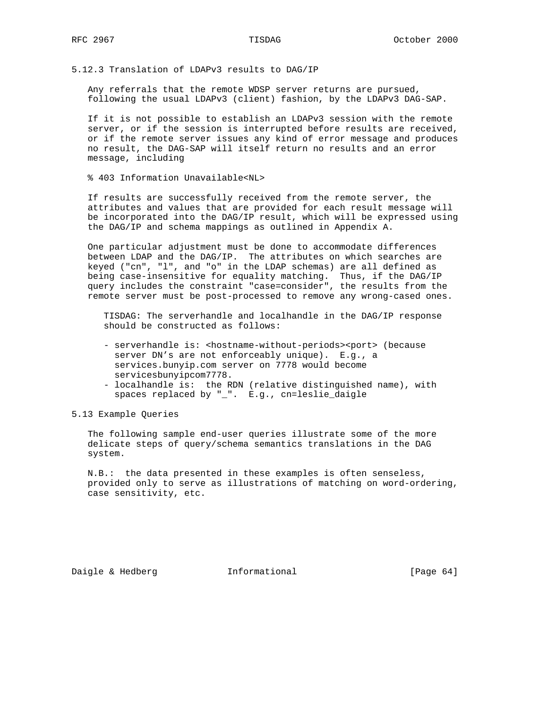5.12.3 Translation of LDAPv3 results to DAG/IP

 Any referrals that the remote WDSP server returns are pursued, following the usual LDAPv3 (client) fashion, by the LDAPv3 DAG-SAP.

 If it is not possible to establish an LDAPv3 session with the remote server, or if the session is interrupted before results are received, or if the remote server issues any kind of error message and produces no result, the DAG-SAP will itself return no results and an error message, including

% 403 Information Unavailable<NL>

 If results are successfully received from the remote server, the attributes and values that are provided for each result message will be incorporated into the DAG/IP result, which will be expressed using the DAG/IP and schema mappings as outlined in Appendix A.

 One particular adjustment must be done to accommodate differences between LDAP and the DAG/IP. The attributes on which searches are keyed ("cn", "l", and "o" in the LDAP schemas) are all defined as being case-insensitive for equality matching. Thus, if the DAG/IP query includes the constraint "case=consider", the results from the remote server must be post-processed to remove any wrong-cased ones.

 TISDAG: The serverhandle and localhandle in the DAG/IP response should be constructed as follows:

- serverhandle is: < hostname-without-periods><port> (because server DN's are not enforceably unique). E.g., a services.bunyip.com server on 7778 would become servicesbunyipcom7778.
- localhandle is: the RDN (relative distinguished name), with spaces replaced by "\_". E.g., cn=leslie\_daigle

5.13 Example Queries

 The following sample end-user queries illustrate some of the more delicate steps of query/schema semantics translations in the DAG system.

 N.B.: the data presented in these examples is often senseless, provided only to serve as illustrations of matching on word-ordering, case sensitivity, etc.

Daigle & Hedberg **Informational** [Page 64]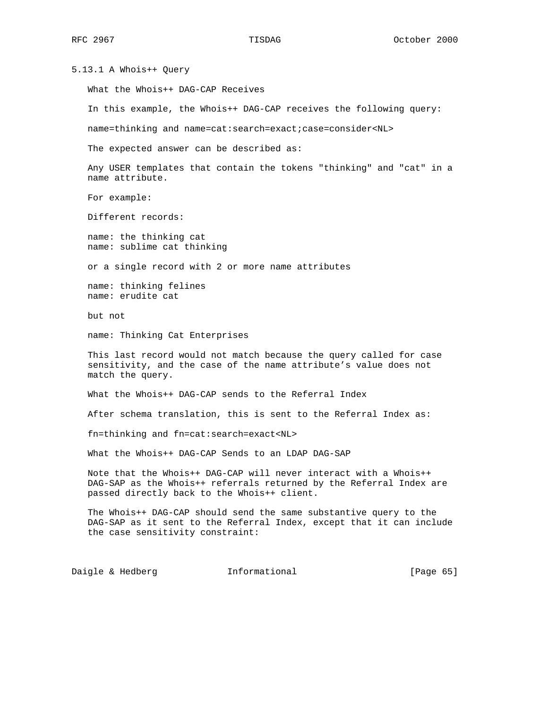5.13.1 A Whois++ Query

What the Whois++ DAG-CAP Receives

In this example, the Whois++ DAG-CAP receives the following query:

name=thinking and name=cat:search=exact;case=consider<NL>

The expected answer can be described as:

 Any USER templates that contain the tokens "thinking" and "cat" in a name attribute.

For example:

Different records:

 name: the thinking cat name: sublime cat thinking

or a single record with 2 or more name attributes

 name: thinking felines name: erudite cat

but not

name: Thinking Cat Enterprises

 This last record would not match because the query called for case sensitivity, and the case of the name attribute's value does not match the query.

What the Whois++ DAG-CAP sends to the Referral Index

After schema translation, this is sent to the Referral Index as:

fn=thinking and fn=cat:search=exact<NL>

What the Whois++ DAG-CAP Sends to an LDAP DAG-SAP

 Note that the Whois++ DAG-CAP will never interact with a Whois++ DAG-SAP as the Whois++ referrals returned by the Referral Index are passed directly back to the Whois++ client.

 The Whois++ DAG-CAP should send the same substantive query to the DAG-SAP as it sent to the Referral Index, except that it can include the case sensitivity constraint:

Daigle & Hedberg **Informational** [Page 65]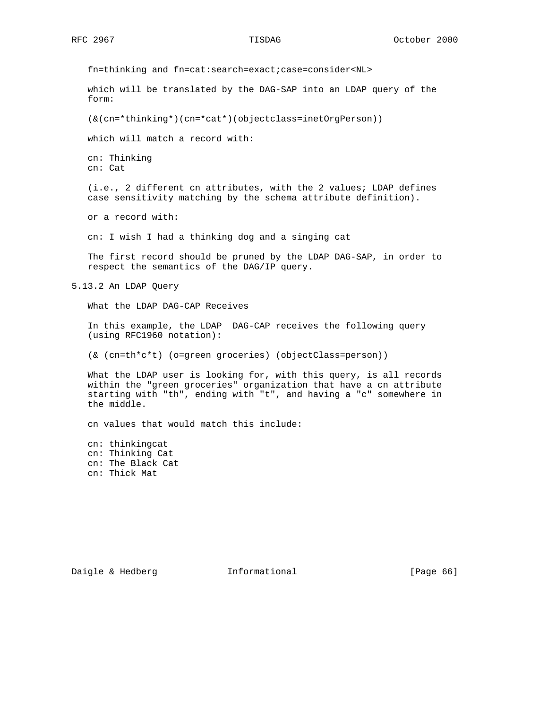fn=thinking and fn=cat:search=exact;case=consider<NL>

 which will be translated by the DAG-SAP into an LDAP query of the form:

(&(cn=\*thinking\*)(cn=\*cat\*)(objectclass=inetOrgPerson))

which will match a record with:

 cn: Thinking cn: Cat

 (i.e., 2 different cn attributes, with the 2 values; LDAP defines case sensitivity matching by the schema attribute definition).

or a record with:

cn: I wish I had a thinking dog and a singing cat

 The first record should be pruned by the LDAP DAG-SAP, in order to respect the semantics of the DAG/IP query.

5.13.2 An LDAP Query

What the LDAP DAG-CAP Receives

 In this example, the LDAP DAG-CAP receives the following query (using RFC1960 notation):

(& (cn=th\*c\*t) (o=green groceries) (objectClass=person))

 What the LDAP user is looking for, with this query, is all records within the "green groceries" organization that have a cn attribute starting with "th", ending with "t", and having a "c" somewhere in the middle.

cn values that would match this include:

 cn: thinkingcat cn: Thinking Cat cn: The Black Cat cn: Thick Mat

Daigle & Hedberg **Informational** [Page 66]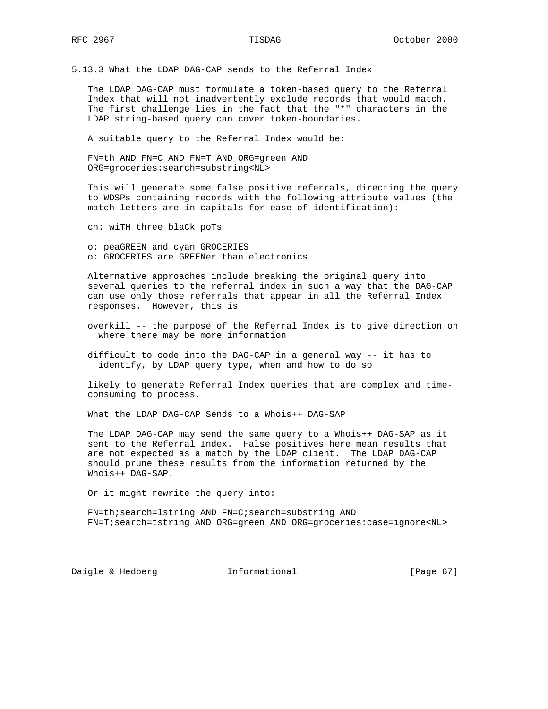5.13.3 What the LDAP DAG-CAP sends to the Referral Index

 The LDAP DAG-CAP must formulate a token-based query to the Referral Index that will not inadvertently exclude records that would match. The first challenge lies in the fact that the "\*" characters in the LDAP string-based query can cover token-boundaries.

A suitable query to the Referral Index would be:

 FN=th AND FN=C AND FN=T AND ORG=green AND ORG=groceries:search=substring<NL>

 This will generate some false positive referrals, directing the query to WDSPs containing records with the following attribute values (the match letters are in capitals for ease of identification):

cn: wiTH three blaCk poTs

 o: peaGREEN and cyan GROCERIES o: GROCERIES are GREENer than electronics

 Alternative approaches include breaking the original query into several queries to the referral index in such a way that the DAG-CAP can use only those referrals that appear in all the Referral Index responses. However, this is

 overkill -- the purpose of the Referral Index is to give direction on where there may be more information

 difficult to code into the DAG-CAP in a general way -- it has to identify, by LDAP query type, when and how to do so

 likely to generate Referral Index queries that are complex and time consuming to process.

What the LDAP DAG-CAP Sends to a Whois++ DAG-SAP

 The LDAP DAG-CAP may send the same query to a Whois++ DAG-SAP as it sent to the Referral Index. False positives here mean results that are not expected as a match by the LDAP client. The LDAP DAG-CAP should prune these results from the information returned by the Whois++ DAG-SAP.

Or it might rewrite the query into:

 FN=th;search=lstring AND FN=C;search=substring AND FN=T;search=tstring AND ORG=green AND ORG=groceries:case=ignore<NL>

Daigle & Hedberg **Informational** [Page 67]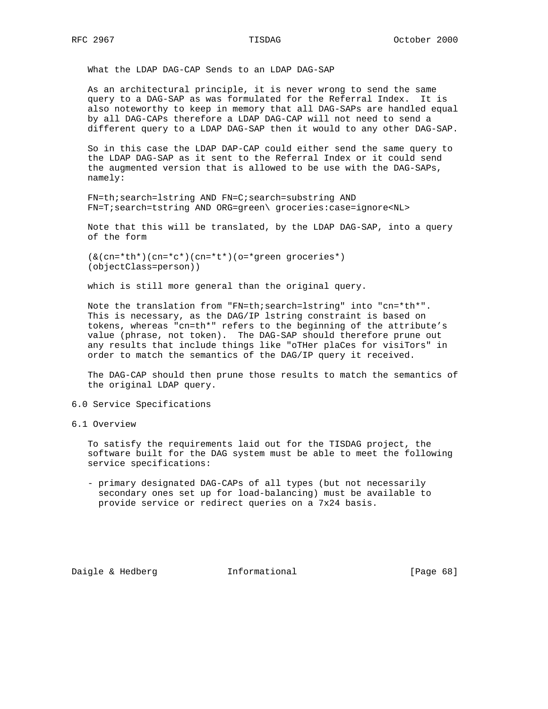What the LDAP DAG-CAP Sends to an LDAP DAG-SAP

 As an architectural principle, it is never wrong to send the same query to a DAG-SAP as was formulated for the Referral Index. It is also noteworthy to keep in memory that all DAG-SAPs are handled equal by all DAG-CAPs therefore a LDAP DAG-CAP will not need to send a different query to a LDAP DAG-SAP then it would to any other DAG-SAP.

 So in this case the LDAP DAP-CAP could either send the same query to the LDAP DAG-SAP as it sent to the Referral Index or it could send the augmented version that is allowed to be use with the DAG-SAPs, namely:

 FN=th;search=lstring AND FN=C;search=substring AND FN=T;search=tstring AND ORG=green\ groceries:case=ignore<NL>

 Note that this will be translated, by the LDAP DAG-SAP, into a query of the form

 $(\&(\text{cn}=\star\text{th}^*)\text{cn}=\star\text{c}^*)\text{cn}=\star\text{t}^*\text{m}$  (o=\*green groceries\*) (objectClass=person))

which is still more general than the original query.

 Note the translation from "FN=th;search=lstring" into "cn=\*th\*". This is necessary, as the DAG/IP lstring constraint is based on tokens, whereas "cn=th\*" refers to the beginning of the attribute's value (phrase, not token). The DAG-SAP should therefore prune out any results that include things like "oTHer plaCes for visiTors" in order to match the semantics of the DAG/IP query it received.

 The DAG-CAP should then prune those results to match the semantics of the original LDAP query.

# 6.0 Service Specifications

6.1 Overview

 To satisfy the requirements laid out for the TISDAG project, the software built for the DAG system must be able to meet the following service specifications:

 - primary designated DAG-CAPs of all types (but not necessarily secondary ones set up for load-balancing) must be available to provide service or redirect queries on a 7x24 basis.

Daigle & Hedberg **Informational** [Page 68]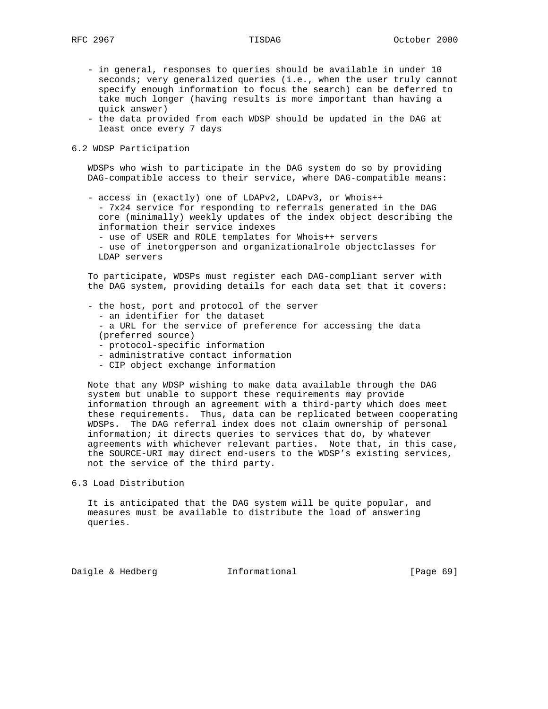- in general, responses to queries should be available in under 10 seconds; very generalized queries (i.e., when the user truly cannot specify enough information to focus the search) can be deferred to take much longer (having results is more important than having a quick answer)
- the data provided from each WDSP should be updated in the DAG at least once every 7 days

# 6.2 WDSP Participation

 WDSPs who wish to participate in the DAG system do so by providing DAG-compatible access to their service, where DAG-compatible means:

 - access in (exactly) one of LDAPv2, LDAPv3, or Whois++ - 7x24 service for responding to referrals generated in the DAG core (minimally) weekly updates of the index object describing the information their service indexes

- use of USER and ROLE templates for Whois++ servers

 - use of inetorgperson and organizationalrole objectclasses for LDAP servers

 To participate, WDSPs must register each DAG-compliant server with the DAG system, providing details for each data set that it covers:

- the host, port and protocol of the server
	- an identifier for the dataset
	- a URL for the service of preference for accessing the data (preferred source)
	- protocol-specific information
	- administrative contact information
	- CIP object exchange information

 Note that any WDSP wishing to make data available through the DAG system but unable to support these requirements may provide information through an agreement with a third-party which does meet these requirements. Thus, data can be replicated between cooperating WDSPs. The DAG referral index does not claim ownership of personal information; it directs queries to services that do, by whatever agreements with whichever relevant parties. Note that, in this case, the SOURCE-URI may direct end-users to the WDSP's existing services, not the service of the third party.

6.3 Load Distribution

 It is anticipated that the DAG system will be quite popular, and measures must be available to distribute the load of answering queries.

Daigle & Hedberg **Informational** [Page 69]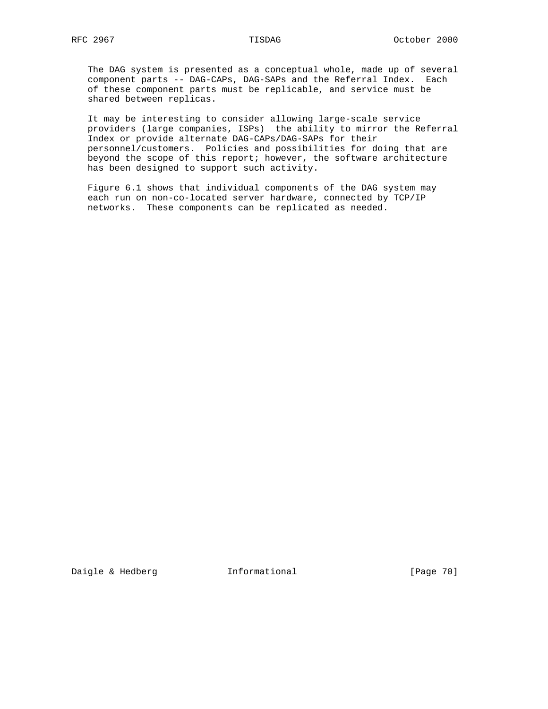The DAG system is presented as a conceptual whole, made up of several component parts -- DAG-CAPs, DAG-SAPs and the Referral Index. Each of these component parts must be replicable, and service must be shared between replicas.

 It may be interesting to consider allowing large-scale service providers (large companies, ISPs) the ability to mirror the Referral Index or provide alternate DAG-CAPs/DAG-SAPs for their personnel/customers. Policies and possibilities for doing that are beyond the scope of this report; however, the software architecture has been designed to support such activity.

 Figure 6.1 shows that individual components of the DAG system may each run on non-co-located server hardware, connected by TCP/IP networks. These components can be replicated as needed.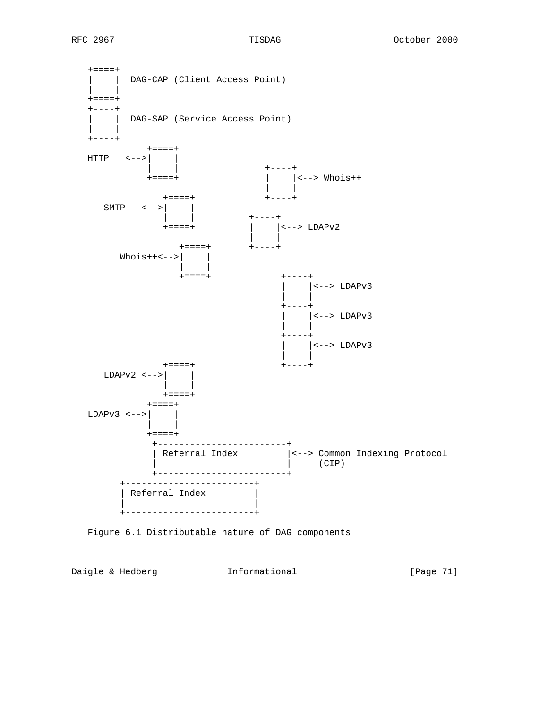+====+ | | DAG-CAP (Client Access Point) | |  $+=-=-+$  +----+ | | DAG-SAP (Service Access Point) | | | | | | | +----+ +====+ HTTP <-->| | | | +----+ +====+ | |<--> Whois++ | | +====+ +----+ SMTP <-->| | | | +----+ +====+ | |<--> LDAPv2 | | +====+ +----+  $Whois++<-->$ | | | |  $+$  ====+ | |<--> LDAPv3 | | +----+ | |<--> LDAPv3 | | +----+ | |<--> LDAPv3 | | +====+ +----+ LDAPv2 <-->| | | | +====+ +====+ LDAPv3 <-->| | | | +====+ +------------------------+ | Referral Index |<--> Common Indexing Protocol | | (CIP) +------------------------+ +------------------------+ | Referral Index | | | +------------------------+

Figure 6.1 Distributable nature of DAG components

Daigle & Hedberg **Informational** [Page 71]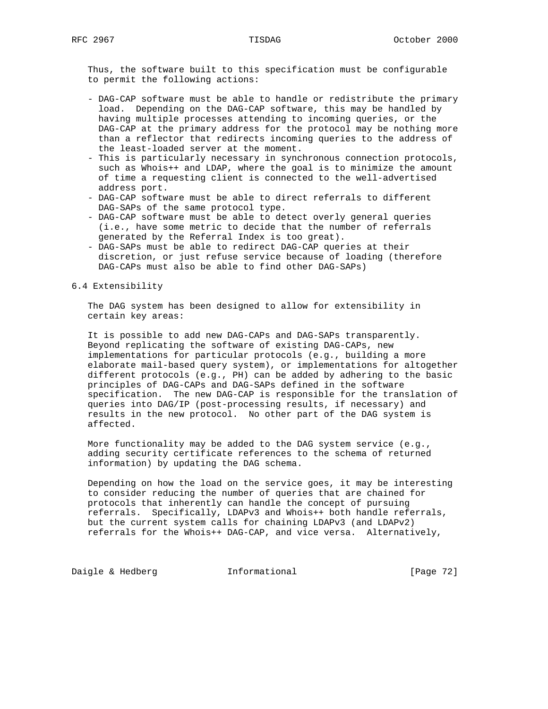Thus, the software built to this specification must be configurable to permit the following actions:

- DAG-CAP software must be able to handle or redistribute the primary load. Depending on the DAG-CAP software, this may be handled by having multiple processes attending to incoming queries, or the DAG-CAP at the primary address for the protocol may be nothing more than a reflector that redirects incoming queries to the address of the least-loaded server at the moment.
- This is particularly necessary in synchronous connection protocols, such as Whois++ and LDAP, where the goal is to minimize the amount of time a requesting client is connected to the well-advertised address port.
- DAG-CAP software must be able to direct referrals to different DAG-SAPs of the same protocol type.
- DAG-CAP software must be able to detect overly general queries (i.e., have some metric to decide that the number of referrals generated by the Referral Index is too great).
- DAG-SAPs must be able to redirect DAG-CAP queries at their discretion, or just refuse service because of loading (therefore DAG-CAPs must also be able to find other DAG-SAPs)

## 6.4 Extensibility

 The DAG system has been designed to allow for extensibility in certain key areas:

 It is possible to add new DAG-CAPs and DAG-SAPs transparently. Beyond replicating the software of existing DAG-CAPs, new implementations for particular protocols (e.g., building a more elaborate mail-based query system), or implementations for altogether different protocols (e.g., PH) can be added by adhering to the basic principles of DAG-CAPs and DAG-SAPs defined in the software specification. The new DAG-CAP is responsible for the translation of queries into DAG/IP (post-processing results, if necessary) and results in the new protocol. No other part of the DAG system is affected.

 More functionality may be added to the DAG system service (e.g., adding security certificate references to the schema of returned information) by updating the DAG schema.

 Depending on how the load on the service goes, it may be interesting to consider reducing the number of queries that are chained for protocols that inherently can handle the concept of pursuing referrals. Specifically, LDAPv3 and Whois++ both handle referrals, but the current system calls for chaining LDAPv3 (and LDAPv2) referrals for the Whois++ DAG-CAP, and vice versa. Alternatively,

Daigle & Hedberg **Informational** [Page 72]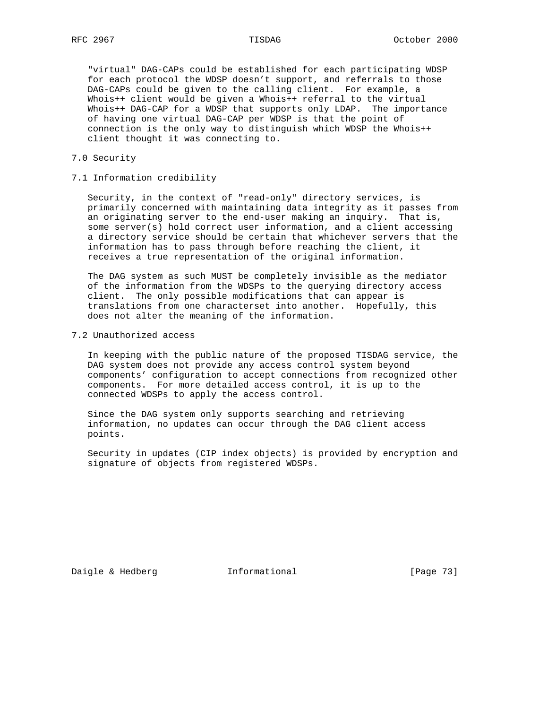"virtual" DAG-CAPs could be established for each participating WDSP for each protocol the WDSP doesn't support, and referrals to those DAG-CAPs could be given to the calling client. For example, a Whois++ client would be given a Whois++ referral to the virtual Whois++ DAG-CAP for a WDSP that supports only LDAP. The importance of having one virtual DAG-CAP per WDSP is that the point of connection is the only way to distinguish which WDSP the Whois++ client thought it was connecting to.

### 7.0 Security

### 7.1 Information credibility

 Security, in the context of "read-only" directory services, is primarily concerned with maintaining data integrity as it passes from an originating server to the end-user making an inquiry. That is, some server(s) hold correct user information, and a client accessing a directory service should be certain that whichever servers that the information has to pass through before reaching the client, it receives a true representation of the original information.

 The DAG system as such MUST be completely invisible as the mediator of the information from the WDSPs to the querying directory access client. The only possible modifications that can appear is translations from one characterset into another. Hopefully, this does not alter the meaning of the information.

## 7.2 Unauthorized access

 In keeping with the public nature of the proposed TISDAG service, the DAG system does not provide any access control system beyond components' configuration to accept connections from recognized other components. For more detailed access control, it is up to the connected WDSPs to apply the access control.

 Since the DAG system only supports searching and retrieving information, no updates can occur through the DAG client access points.

 Security in updates (CIP index objects) is provided by encryption and signature of objects from registered WDSPs.

Daigle & Hedberg **Informational** [Page 73]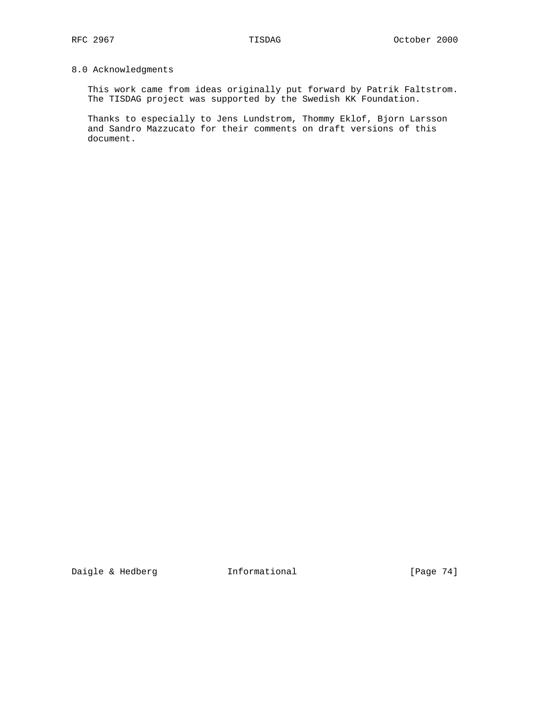# 8.0 Acknowledgments

 This work came from ideas originally put forward by Patrik Faltstrom. The TISDAG project was supported by the Swedish KK Foundation.

 Thanks to especially to Jens Lundstrom, Thommy Eklof, Bjorn Larsson and Sandro Mazzucato for their comments on draft versions of this document.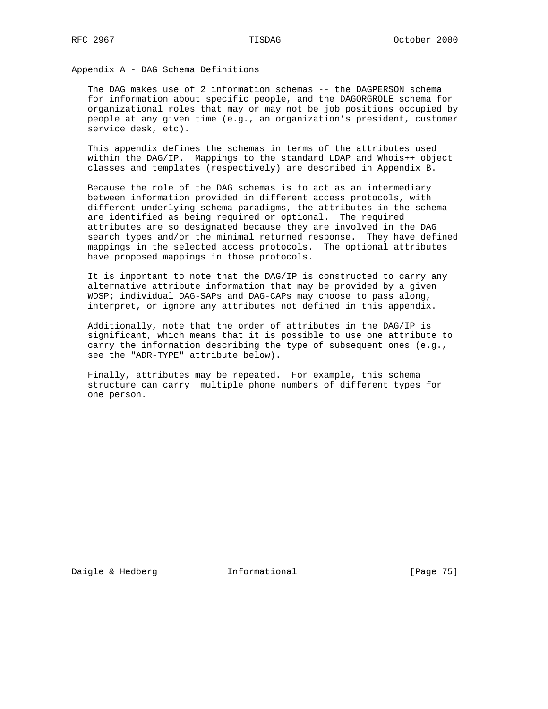Appendix A - DAG Schema Definitions

 The DAG makes use of 2 information schemas -- the DAGPERSON schema for information about specific people, and the DAGORGROLE schema for organizational roles that may or may not be job positions occupied by people at any given time (e.g., an organization's president, customer service desk, etc).

 This appendix defines the schemas in terms of the attributes used within the DAG/IP. Mappings to the standard LDAP and Whois++ object classes and templates (respectively) are described in Appendix B.

 Because the role of the DAG schemas is to act as an intermediary between information provided in different access protocols, with different underlying schema paradigms, the attributes in the schema are identified as being required or optional. The required attributes are so designated because they are involved in the DAG search types and/or the minimal returned response. They have defined mappings in the selected access protocols. The optional attributes have proposed mappings in those protocols.

 It is important to note that the DAG/IP is constructed to carry any alternative attribute information that may be provided by a given WDSP; individual DAG-SAPs and DAG-CAPs may choose to pass along, interpret, or ignore any attributes not defined in this appendix.

 Additionally, note that the order of attributes in the DAG/IP is significant, which means that it is possible to use one attribute to carry the information describing the type of subsequent ones (e.g., see the "ADR-TYPE" attribute below).

 Finally, attributes may be repeated. For example, this schema structure can carry multiple phone numbers of different types for one person.

Daigle & Hedberg **Informational Informational** [Page 75]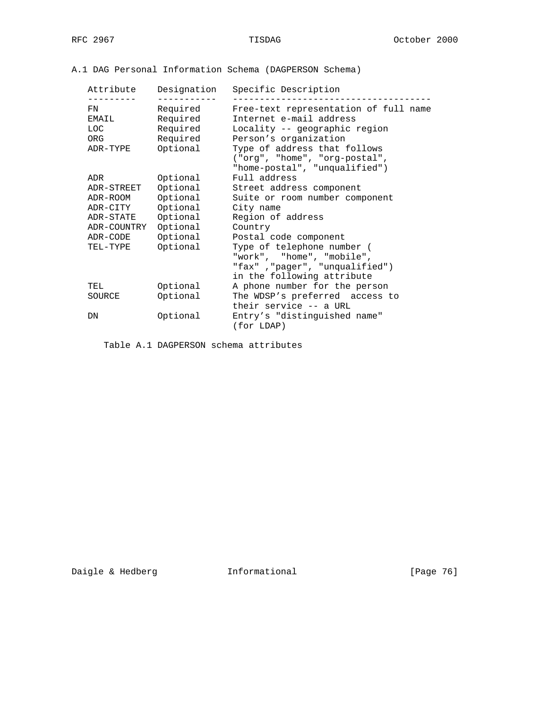# A.1 DAG Personal Information Schema (DAGPERSON Schema)

| Attribute<br>------- | Designation          | Specific Description                                                                                                    |
|----------------------|----------------------|-------------------------------------------------------------------------------------------------------------------------|
| FN<br>EMAIL          | Required<br>Required | Free-text representation of full name<br>Internet e-mail address                                                        |
| LOC                  | Required             | Locality -- geographic region                                                                                           |
| ORG                  | Required             | Person's organization                                                                                                   |
| ADR-TYPE             | Optional             | Type of address that follows<br>("org", "home", "org-postal",<br>"home-postal", "unqualified")                          |
| ADR                  | Optional             | Full address                                                                                                            |
| ADR-STREET           | Optional             | Street address component                                                                                                |
| ADR-ROOM             | Optional             | Suite or room number component                                                                                          |
| ADR-CITY             | Optional             | City name                                                                                                               |
| ADR-STATE            | Optional             | Region of address                                                                                                       |
| ADR-COUNTRY          | Optional             | Country                                                                                                                 |
| ADR-CODE             | Optional             | Postal code component                                                                                                   |
| TEL-TYPE             | Optional             | Type of telephone number (<br>"work", "home", "mobile",<br>"fax", "pager", "unqualified")<br>in the following attribute |
| TEL                  | Optional             | A phone number for the person                                                                                           |
| SOURCE               | Optional             | The WDSP's preferred access to<br>their service -- a URL                                                                |
| DN                   | Optional             | Entry's "distinguished name"<br>(for LDAP)                                                                              |

Table A.1 DAGPERSON schema attributes

Daigle & Hedberg **Informational** [Page 76]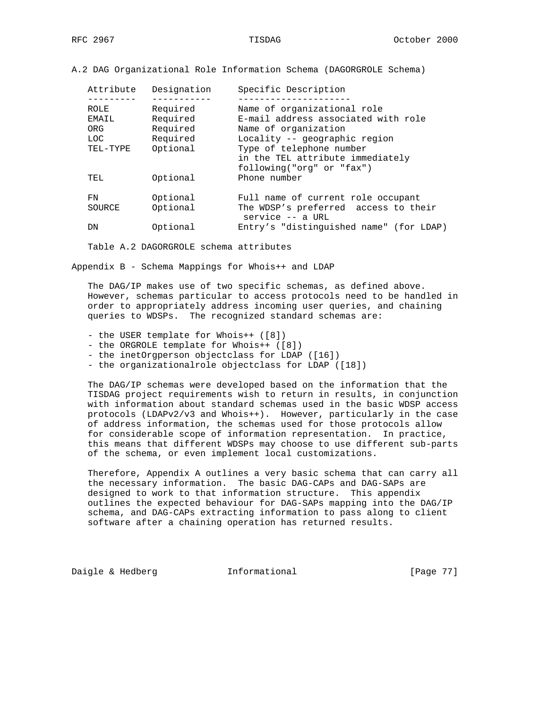A.2 DAG Organizational Role Information Schema (DAGORGROLE Schema)

| Attribute | Designation | Specific Description                                         |
|-----------|-------------|--------------------------------------------------------------|
| ROLE      | Required    | Name of organizational role                                  |
| EMAIL     | Required    | E-mail address associated with role                          |
| ORG       | Required    | Name of organization                                         |
| LOC.      | Required    | Locality -- geographic region                                |
| TEL-TYPE  | Optional    | Type of telephone number                                     |
|           |             | in the TEL attribute immediately                             |
|           |             | following("org" or "fax")                                    |
| TEL       | Optional    | Phone number                                                 |
|           |             |                                                              |
| FN        | Optional    | Full name of current role occupant                           |
| SOURCE    | Optional    | The WDSP's preferred access to their<br>$s$ ervice $-$ a URL |
| DN        | Optional    | Entry's "distinguished name" (for LDAP)                      |
|           |             |                                                              |

Table A.2 DAGORGROLE schema attributes

Appendix B - Schema Mappings for Whois++ and LDAP

 The DAG/IP makes use of two specific schemas, as defined above. However, schemas particular to access protocols need to be handled in order to appropriately address incoming user queries, and chaining queries to WDSPs. The recognized standard schemas are:

- the USER template for Whois++ ([8])
- the ORGROLE template for Whois++ ([8])
- the inetOrgperson objectclass for LDAP ([16])
- the organizationalrole objectclass for LDAP ([18])

 The DAG/IP schemas were developed based on the information that the TISDAG project requirements wish to return in results, in conjunction with information about standard schemas used in the basic WDSP access protocols (LDAPv2/v3 and Whois++). However, particularly in the case of address information, the schemas used for those protocols allow for considerable scope of information representation. In practice, this means that different WDSPs may choose to use different sub-parts of the schema, or even implement local customizations.

 Therefore, Appendix A outlines a very basic schema that can carry all the necessary information. The basic DAG-CAPs and DAG-SAPs are designed to work to that information structure. This appendix outlines the expected behaviour for DAG-SAPs mapping into the DAG/IP schema, and DAG-CAPs extracting information to pass along to client software after a chaining operation has returned results.

Daigle & Hedberg **Informational** [Page 77]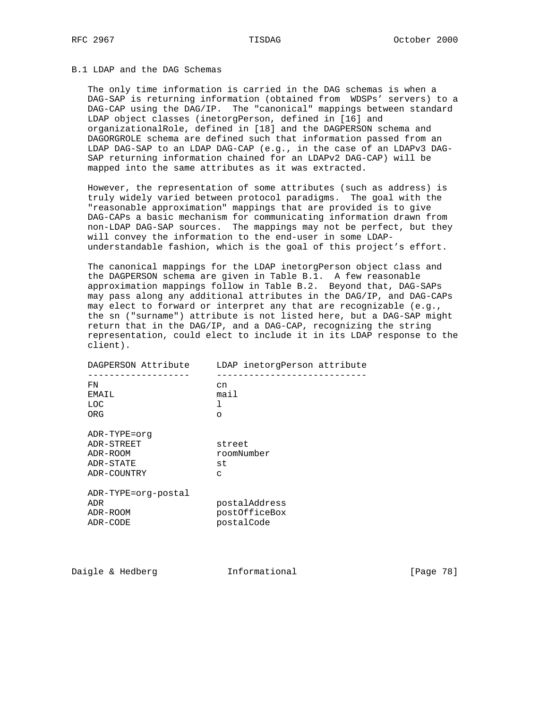# B.1 LDAP and the DAG Schemas

 The only time information is carried in the DAG schemas is when a DAG-SAP is returning information (obtained from WDSPs' servers) to a DAG-CAP using the DAG/IP. The "canonical" mappings between standard LDAP object classes (inetorgPerson, defined in [16] and organizationalRole, defined in [18] and the DAGPERSON schema and DAGORGROLE schema are defined such that information passed from an LDAP DAG-SAP to an LDAP DAG-CAP (e.g., in the case of an LDAPv3 DAG- SAP returning information chained for an LDAPv2 DAG-CAP) will be mapped into the same attributes as it was extracted.

 However, the representation of some attributes (such as address) is truly widely varied between protocol paradigms. The goal with the "reasonable approximation" mappings that are provided is to give DAG-CAPs a basic mechanism for communicating information drawn from non-LDAP DAG-SAP sources. The mappings may not be perfect, but they will convey the information to the end-user in some LDAP understandable fashion, which is the goal of this project's effort.

 The canonical mappings for the LDAP inetorgPerson object class and the DAGPERSON schema are given in Table B.1. A few reasonable approximation mappings follow in Table B.2. Beyond that, DAG-SAPs may pass along any additional attributes in the DAG/IP, and DAG-CAPs may elect to forward or interpret any that are recognizable (e.g., the sn ("surname") attribute is not listed here, but a DAG-SAP might return that in the DAG/IP, and a DAG-CAP, recognizing the string representation, could elect to include it in its LDAP response to the client).

| DAGPERSON Attribute | LDAP inetorgPerson attribute |
|---------------------|------------------------------|
| FN<br>EMAIL         | cn<br>mail                   |
| LOC                 | ı                            |
| ORG                 | ∩                            |
| ADR-TYPE=orq        |                              |
| ADR-STREET          | street                       |
| ADR-ROOM            | roomNumber                   |
| ADR-STATE           | st                           |
| ADR-COUNTRY         | $\Gamma$                     |
| ADR-TYPE=org-postal |                              |
| ADR                 | postalAddress                |
| ADR-ROOM            | postOfficeBox                |
| ADR-CODE            | postalCode                   |

Daigle & Hedberg **Informational** [Page 78]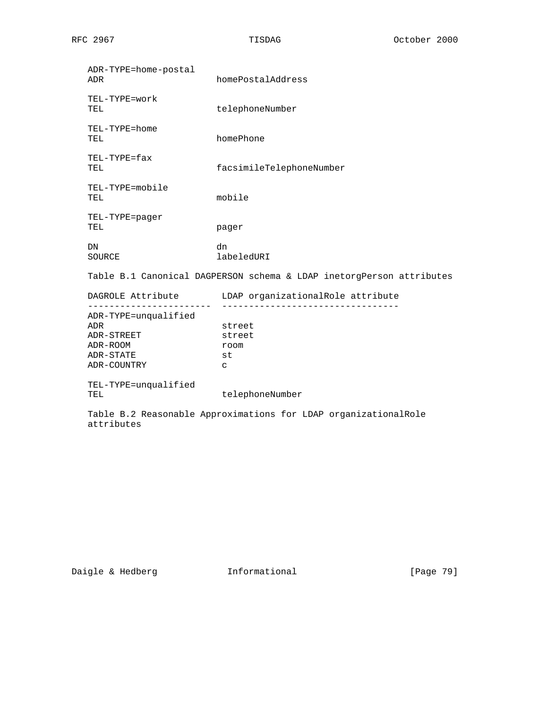| ADR-TYPE=home-postal<br>ADR | homePostalAddress                                                    |
|-----------------------------|----------------------------------------------------------------------|
| TEL-TYPE=work<br>TEL        | telephoneNumber                                                      |
| TEL-TYPE=home<br>TEL        | homePhone                                                            |
| TEL-TYPE=fax<br>TEL         | facsimileTelephoneNumber                                             |
| TEL-TYPE=mobile<br>TEL      | mobile                                                               |
| TEL-TYPE=pager<br>TEL       | pager                                                                |
| DN<br>SOURCE                | dn<br>labeledURI                                                     |
|                             | Table B.1 Canonical DAGPERSON schema & LDAP inetorgPerson attributes |
|                             | DAGROLE Attribute LDAP organizationalRole attribute                  |
| ADR-TYPE=unqualified        |                                                                      |
| ADR                         | street                                                               |
| ADR-STREET                  | street                                                               |
| ADR-ROOM                    | room                                                                 |
| ADR-STATE                   | st                                                                   |
| ADR-COUNTRY                 | C                                                                    |
| TEL-TYPE=unqualified        |                                                                      |
| TEL                         | telephoneNumber                                                      |
|                             | Table B.2 Reasonable Approximations for LDAP organizationalRole      |

Daigle & Hedberg **Informational** [Page 79]

attributes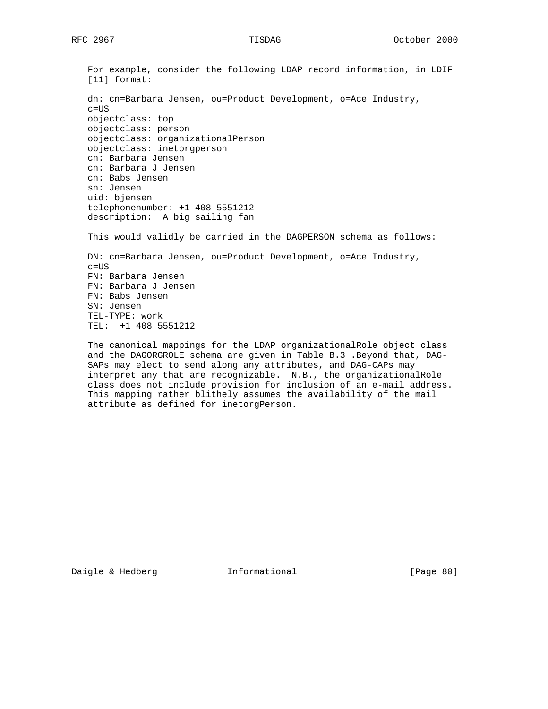For example, consider the following LDAP record information, in LDIF [11] format: dn: cn=Barbara Jensen, ou=Product Development, o=Ace Industry, c=US objectclass: top objectclass: person objectclass: organizationalPerson objectclass: inetorgperson cn: Barbara Jensen cn: Barbara J Jensen cn: Babs Jensen sn: Jensen uid: bjensen telephonenumber: +1 408 5551212 description: A big sailing fan This would validly be carried in the DAGPERSON schema as follows:

 DN: cn=Barbara Jensen, ou=Product Development, o=Ace Industry, c=US FN: Barbara Jensen FN: Barbara J Jensen FN: Babs Jensen SN: Jensen TEL-TYPE: work TEL: +1 408 5551212

 The canonical mappings for the LDAP organizationalRole object class and the DAGORGROLE schema are given in Table B.3 .Beyond that, DAG- SAPs may elect to send along any attributes, and DAG-CAPs may interpret any that are recognizable. N.B., the organizationalRole class does not include provision for inclusion of an e-mail address. This mapping rather blithely assumes the availability of the mail attribute as defined for inetorgPerson.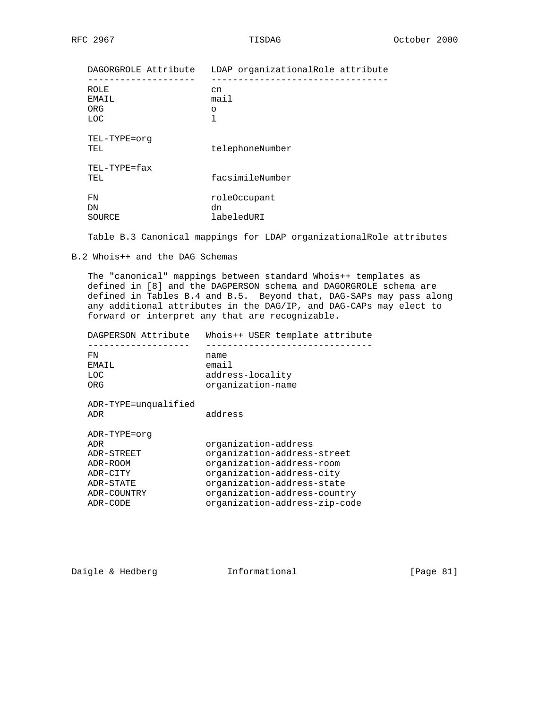| DAGORGROLE Attribute         | LDAP organizationalRole attribute |
|------------------------------|-----------------------------------|
| ROLE<br>EMAIL<br>ORG<br>LOC. | cn<br>mail<br>$\circ$<br>1        |
| TEL-TYPE=orq<br>TEL          | telephoneNumber                   |
| TEL-TYPE=fax<br>TEL.         | facsimileNumber                   |
| FN<br>DΝ<br>SOURCE           | roleOccupant<br>dn<br>labeledURI  |

Table B.3 Canonical mappings for LDAP organizationalRole attributes

B.2 Whois++ and the DAG Schemas

 The "canonical" mappings between standard Whois++ templates as defined in [8] and the DAGPERSON schema and DAGORGROLE schema are defined in Tables B.4 and B.5. Beyond that, DAG-SAPs may pass along any additional attributes in the DAG/IP, and DAG-CAPs may elect to forward or interpret any that are recognizable.

| DAGPERSON Attribute                                                                               | Whois++ USER template attribute                                                                                                                                                                              |
|---------------------------------------------------------------------------------------------------|--------------------------------------------------------------------------------------------------------------------------------------------------------------------------------------------------------------|
| F'N<br>EMAIL<br>LOC<br>ORG                                                                        | name<br>email<br>address-locality<br>organization-name                                                                                                                                                       |
| ADR-TYPE=unqualified<br>ADR                                                                       | address                                                                                                                                                                                                      |
| ADR-TYPE=orq<br>ADR<br>ADR-STREET<br>ADR-ROOM<br>ADR-CITY<br>ADR-STATE<br>ADR-COUNTRY<br>ADR-CODE | organization-address<br>organization-address-street<br>organization-address-room<br>organization-address-city<br>organization-address-state<br>organization-address-country<br>organization-address-zip-code |

Daigle & Hedberg **Informational** [Page 81]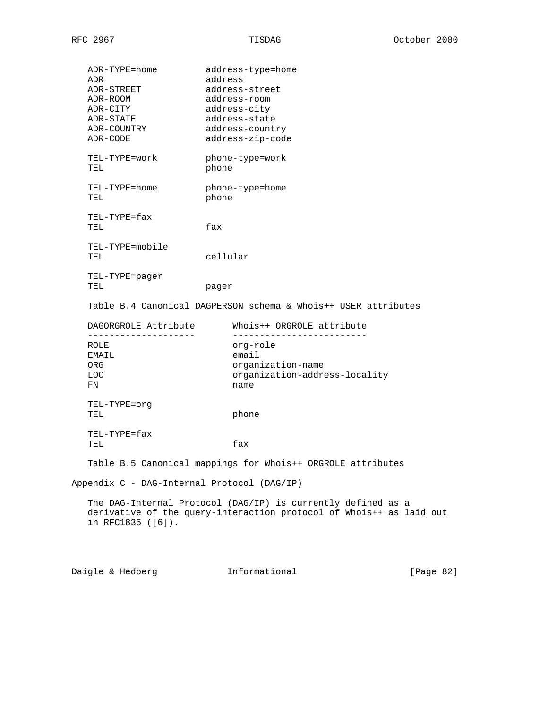| ADR-TYPE=home<br>ADR<br>ADR-STREET<br>ADR-ROOM<br>ADR-CITY<br>ADR-STATE<br>ADR-COUNTRY<br>ADR-CODE | address-type=home<br>address<br>address-street<br>address-room<br>address-city<br>address-state<br>address-country<br>address-zip-code |              |  |  |
|----------------------------------------------------------------------------------------------------|----------------------------------------------------------------------------------------------------------------------------------------|--------------|--|--|
| TEL-TYPE=work<br>TEL                                                                               | phone-type=work<br>phone                                                                                                               |              |  |  |
| TEL-TYPE=home<br>TEL                                                                               | phone-type=home<br>phone                                                                                                               |              |  |  |
| TEL-TYPE=fax<br>TEL                                                                                | fax                                                                                                                                    |              |  |  |
| TEL-TYPE=mobile<br>TEL                                                                             | cellular                                                                                                                               |              |  |  |
| TEL-TYPE=pager<br>TEL                                                                              | pager                                                                                                                                  |              |  |  |
| DAGORGROLE Attribute                                                                               | Table B.4 Canonical DAGPERSON schema & Whois++ USER attributes<br>Whois++ ORGROLE attribute                                            |              |  |  |
| ROLE<br>EMAIL<br>ORG<br>LOC.<br>FN                                                                 | -------------------------<br>org-role<br>email<br>organization-name<br>organization-address-locality<br>name                           |              |  |  |
| TEL-TYPE=org<br>TEL                                                                                | phone                                                                                                                                  |              |  |  |
| TEL-TYPE=fax<br>TEL                                                                                | fax                                                                                                                                    |              |  |  |
|                                                                                                    | Table B.5 Canonical mappings for Whois++ ORGROLE attributes                                                                            |              |  |  |
| Appendix C - DAG-Internal Protocol (DAG/IP)                                                        |                                                                                                                                        |              |  |  |
| in RFC1835 $([6])$ .                                                                               | The DAG-Internal Protocol (DAG/IP) is currently defined as a<br>derivative of the query-interaction protocol of Whois++ as laid out    |              |  |  |
| Daigle & Hedberg                                                                                   | Informational                                                                                                                          | [Page $82$ ] |  |  |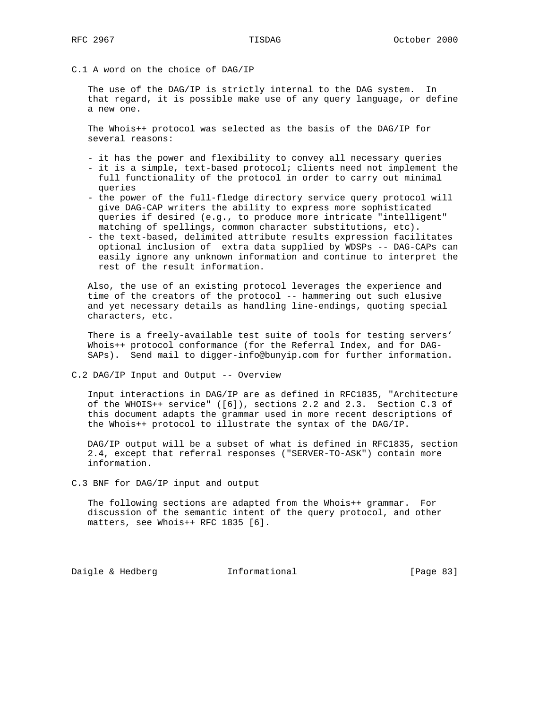C.1 A word on the choice of DAG/IP

 The use of the DAG/IP is strictly internal to the DAG system. In that regard, it is possible make use of any query language, or define a new one.

 The Whois++ protocol was selected as the basis of the DAG/IP for several reasons:

- it has the power and flexibility to convey all necessary queries
- it is a simple, text-based protocol; clients need not implement the full functionality of the protocol in order to carry out minimal queries
- the power of the full-fledge directory service query protocol will give DAG-CAP writers the ability to express more sophisticated queries if desired (e.g., to produce more intricate "intelligent" matching of spellings, common character substitutions, etc).
- the text-based, delimited attribute results expression facilitates optional inclusion of extra data supplied by WDSPs -- DAG-CAPs can easily ignore any unknown information and continue to interpret the rest of the result information.

 Also, the use of an existing protocol leverages the experience and time of the creators of the protocol -- hammering out such elusive and yet necessary details as handling line-endings, quoting special characters, etc.

 There is a freely-available test suite of tools for testing servers' Whois++ protocol conformance (for the Referral Index, and for DAG- SAPs). Send mail to digger-info@bunyip.com for further information.

C.2 DAG/IP Input and Output -- Overview

 Input interactions in DAG/IP are as defined in RFC1835, "Architecture of the WHOIS++ service" ([6]), sections 2.2 and 2.3. Section C.3 of this document adapts the grammar used in more recent descriptions of the Whois++ protocol to illustrate the syntax of the DAG/IP.

 DAG/IP output will be a subset of what is defined in RFC1835, section 2.4, except that referral responses ("SERVER-TO-ASK") contain more information.

C.3 BNF for DAG/IP input and output

 The following sections are adapted from the Whois++ grammar. For discussion of the semantic intent of the query protocol, and other matters, see Whois++ RFC 1835 [6].

Daigle & Hedberg **Informational** [Page 83]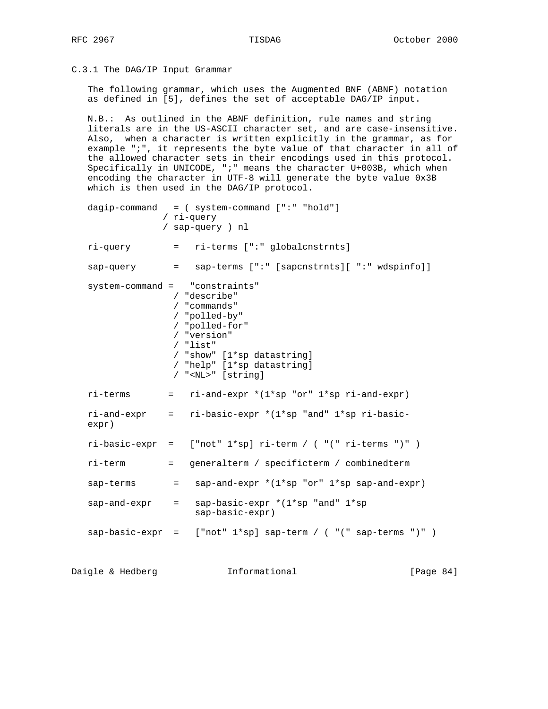C.3.1 The DAG/IP Input Grammar

 The following grammar, which uses the Augmented BNF (ABNF) notation as defined in [5], defines the set of acceptable DAG/IP input.

 N.B.: As outlined in the ABNF definition, rule names and string literals are in the US-ASCII character set, and are case-insensitive. Also, when a character is written explicitly in the grammar, as for example ";", it represents the byte value of that character in all of the allowed character sets in their encodings used in this protocol. Specifically in UNICODE, ";" means the character U+003B, which when encoding the character in UTF-8 will generate the byte value 0x3B which is then used in the DAG/IP protocol.

 dagip-command = ( system-command [":" "hold"] / ri-query / sap-query ) nl ri-query = ri-terms [":" globalcnstrnts] sap-query = sap-terms [":" [sapcnstrnts][ ":" wdspinfo]] system-command = "constraints" / "describe" / "commands" / "polled-by" / "polled-for" / "version" / "list" / "show" [1\*sp datastring] / "help" [1\*sp datastring] / "<NL>" [string]  $ri-terms$  =  $ri-and-expr * (1*sp "or" 1*sp ri-and-expr)$  ri-and-expr = ri-basic-expr \*(1\*sp "and" 1\*sp ri-basic expr) ri-basic-expr = ["not" 1\*sp] ri-term / ( "(" ri-terms ")" ) ri-term = generalterm / specificterm / combinedterm sap-terms  $=$  sap-and-expr  $*(1 * sp \text{ or } 1 * sp \text{ sap-and-expr})$ sap-and-expr = sap-basic-expr  $*(1*sp$  "and"  $1*sp$  sap-basic-expr)  $sap-basic-expr =$  ["not"  $1*sp] sap-term /$  ("(" sap-terms ")") Daigle & Hedberg **Informational** [Page 84]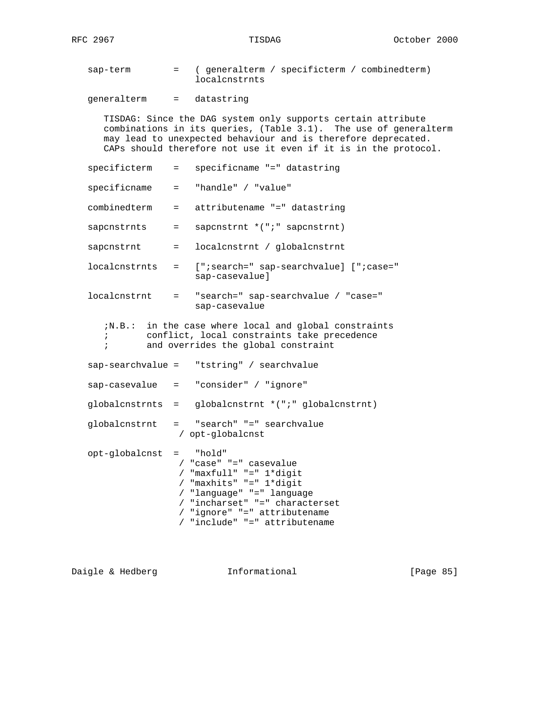sap-term = ( generalterm / specificterm / combinedterm) localcnstrnts

generalterm = datastring

 TISDAG: Since the DAG system only supports certain attribute combinations in its queries, (Table 3.1). The use of generalterm may lead to unexpected behaviour and is therefore deprecated. CAPs should therefore not use it even if it is in the protocol.

 specificterm = specificname "=" datastring specificname = "handle" / "value" combinedterm = attributename "=" datastring sapcnstrnts = sapcnstrnt \*(";" sapcnstrnt) sapcnstrnt = localcnstrnt / globalcnstrnt localcnstrnts = [";search=" sap-searchvalue] [";case=" sap-casevalue] localcnstrnt = "search=" sap-searchvalue / "case=" sap-casevalue ;N.B.: in the case where local and global constraints ; conflict, local constraints take precedence ; and overrides the global constraint sap-searchvalue = "tstring" / searchvalue sap-casevalue = "consider" / "ignore" globalcnstrnts = globalcnstrnt \*(";" globalcnstrnt) globalcnstrnt = "search" "=" searchvalue / opt-globalcnst opt-globalcnst = "hold" / "case" "=" casevalue / "maxfull" "=" 1\*digit / "maxhits" "=" 1\*digit / "language" "=" language / "incharset" "=" characterset / "ignore" "=" attributename / "include" "=" attributename

Daigle & Hedberg **Informational** [Page 85]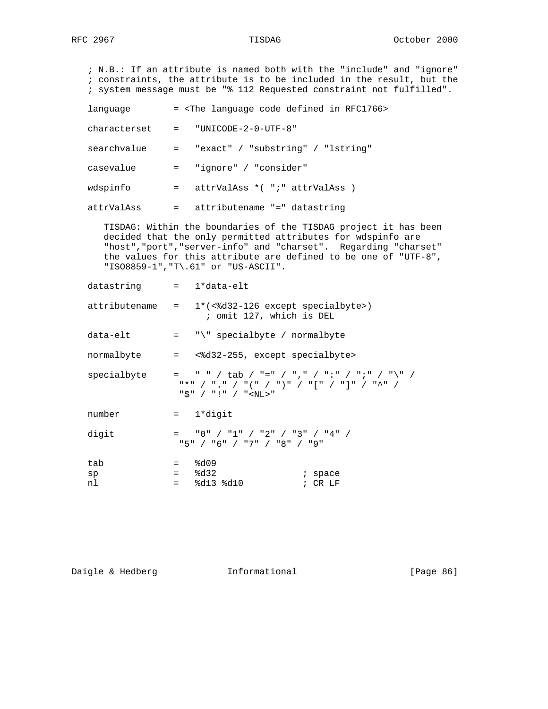; N.B.: If an attribute is named both with the "include" and "ignore" ; constraints, the attribute is to be included in the result, but the ; system message must be "% 112 Requested constraint not fulfilled". language  $=$  <The language code defined in RFC1766> characterset = "UNICODE-2-0-UTF-8" searchvalue = "exact" / "substring" / "lstring" casevalue = "ignore" / "consider" wdspinfo = attrValAss \*( "; " attrValAss ) attrValAss = attributename "=" datastring TISDAG: Within the boundaries of the TISDAG project it has been decided that the only permitted attributes for wdspinfo are "host","port","server-info" and "charset". Regarding "charset" the values for this attribute are defined to be one of "UTF-8", "ISO8859-1","T\.61" or "US-ASCII". datastring = 1\*data-elt attributename =  $1*(\textlessleft-126 \textless\textlessleft)$  ; omit 127, which is DEL  $data$ -elt = " $\vee$ " specialbyte / normalbyte normalbyte = <%d32-255, except specialbyte>  $specialbyte = " " / tab / "=" / "," ' / " : " / " ; " / " \" / "$  "\*" / "." / "(" / ")" / "[" / "]" / "^" / "\$" / "!" / "<NL>" number = 1\*digit digit =  $"0" / "1" / "2" / "3" / "4" /$  "5" / "6" / "7" / "8" / "9"  $\tanh$  =  $\textdegree{d09}$  $sp$  =  $\frac{1}{6}$ d32 ; space

Daigle & Hedberg **Informational** [Page 86]

nl = %d13 %d10 ; CR LF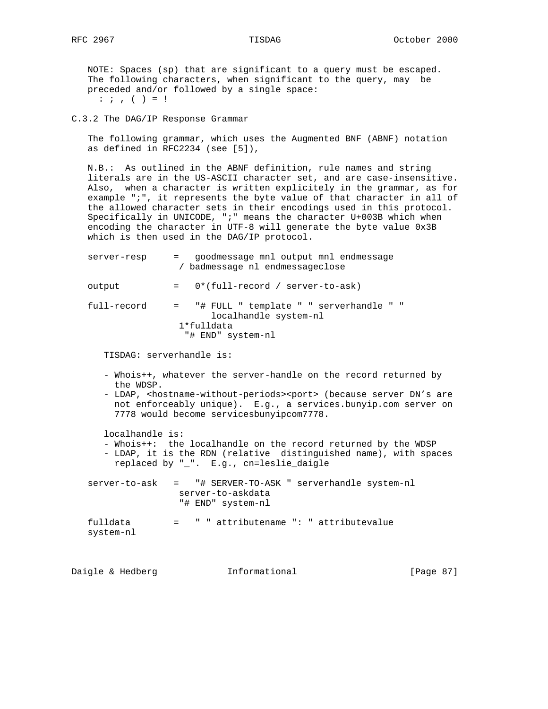NOTE: Spaces (sp) that are significant to a query must be escaped. The following characters, when significant to the query, may be preceded and/or followed by a single space:  $: j, ( ) = !$ 

C.3.2 The DAG/IP Response Grammar

 The following grammar, which uses the Augmented BNF (ABNF) notation as defined in RFC2234 (see [5]),

 N.B.: As outlined in the ABNF definition, rule names and string literals are in the US-ASCII character set, and are case-insensitive. Also, when a character is written explicitely in the grammar, as for example ";", it represents the byte value of that character in all of the allowed character sets in their encodings used in this protocol. Specifically in UNICODE, ";" means the character U+003B which when encoding the character in UTF-8 will generate the byte value 0x3B which is then used in the DAG/IP protocol.

| server-resp              | = goodmessage mnl output mnl endmessage<br>/ badmessage nl endmessageclose                                                                                                                                                                                                             |
|--------------------------|----------------------------------------------------------------------------------------------------------------------------------------------------------------------------------------------------------------------------------------------------------------------------------------|
| output                   | $= 0*(full-record / server-to-ask)$                                                                                                                                                                                                                                                    |
| full-record              | = "# FULL " template " " serverhandle " "<br>localhandle system-nl<br>$1*fulldata$<br>"# END" system-nl                                                                                                                                                                                |
| TISDAG: serverhandle is: |                                                                                                                                                                                                                                                                                        |
| the WDSP.                | - Whois++, whatever the server-handle on the record returned by<br>- LDAP, <hostname-without-periods><port> (because server DN's are<br/>not enforceably unique). E.g., a services.bunyip.com server on<br/>7778 would become servicesbunyipcom7778.</port></hostname-without-periods> |
| localhandle is:          | - Whois++: the localhandle on the record returned by the WDSP<br>- LDAP, it is the RDN (relative distinguished name), with spaces<br>replaced by "_". E.g., cn=leslie_daigle                                                                                                           |
|                          | server-to-ask = "# SERVER-TO-ASK " serverhandle system-nl<br>server-to-askdata<br>"# END" system-nl                                                                                                                                                                                    |
| fulldata<br>system-nl    | = " " attributename ": " attributevalue                                                                                                                                                                                                                                                |

Daigle & Hedberg **Informational** [Page 87]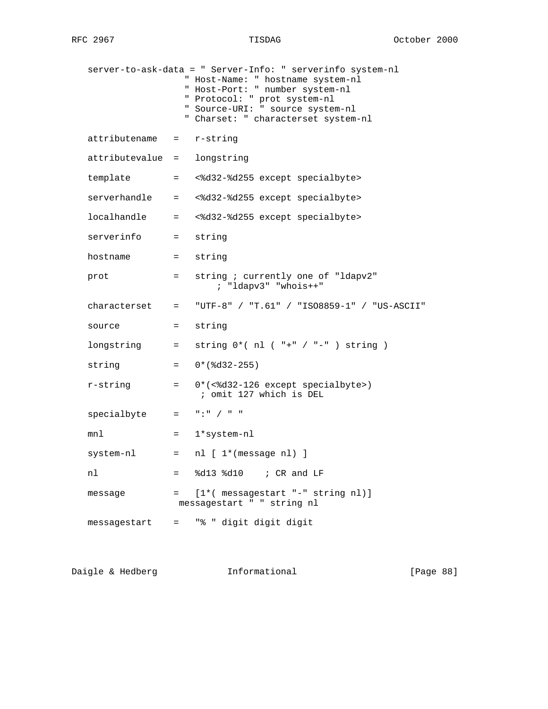|                          |                                            | server-to-ask-data = " Server-Info: " serverinfo system-nl<br>" Host-Name: " hostname system-nl<br>" Host-Port: " number system-nl<br>" Protocol: " prot system-nl<br>" Source-URI: " source system-nl<br>" Charset: " characterset system-nl                                                                          |
|--------------------------|--------------------------------------------|------------------------------------------------------------------------------------------------------------------------------------------------------------------------------------------------------------------------------------------------------------------------------------------------------------------------|
| attributename = r-string |                                            |                                                                                                                                                                                                                                                                                                                        |
| attributevalue =         |                                            | longstring                                                                                                                                                                                                                                                                                                             |
| template                 | $=$ $-$                                    | <%d32-%d255 except specialbyte>                                                                                                                                                                                                                                                                                        |
| serverhandle =           |                                            | <%d32-%d255 except specialbyte>                                                                                                                                                                                                                                                                                        |
| localhandle =            |                                            | <%d32-%d255 except specialbyte>                                                                                                                                                                                                                                                                                        |
| serverinfo =             |                                            | string                                                                                                                                                                                                                                                                                                                 |
| hostname                 | $\mathbf{r} = \mathbf{r} \cdot \mathbf{r}$ | string                                                                                                                                                                                                                                                                                                                 |
| prot                     | $=$ $\sim$                                 | string ; currently one of "ldapv2"<br>; "ldapv3" "whois++"                                                                                                                                                                                                                                                             |
| characterset =           |                                            | "UTF-8" / "T.61" / "ISO8859-1" / "US-ASCII"                                                                                                                                                                                                                                                                            |
| source                   | $=$ $-$                                    | string                                                                                                                                                                                                                                                                                                                 |
| longstring =             |                                            | string $0*(n]$ ( "+" / "-" ) string )                                                                                                                                                                                                                                                                                  |
| string                   | $=$                                        | $0*(8d32-255)$                                                                                                                                                                                                                                                                                                         |
| r-string                 | $\equiv$ $\equiv$                          | $0*(<$ 8d32-126 except specialbyte>)<br>; omit 127 which is DEL                                                                                                                                                                                                                                                        |
| specialbyte              |                                            | $=$ $\frac{1}{2}$ $\frac{1}{2}$ $\frac{1}{2}$ $\frac{1}{2}$ $\frac{1}{2}$ $\frac{1}{2}$ $\frac{1}{2}$ $\frac{1}{2}$ $\frac{1}{2}$ $\frac{1}{2}$ $\frac{1}{2}$ $\frac{1}{2}$ $\frac{1}{2}$ $\frac{1}{2}$ $\frac{1}{2}$ $\frac{1}{2}$ $\frac{1}{2}$ $\frac{1}{2}$ $\frac{1}{2}$ $\frac{1}{2}$ $\frac{1}{2}$ $\frac{1}{2$ |
| mnl                      | $=$ $\qquad$                               | 1*system-nl                                                                                                                                                                                                                                                                                                            |
| system-nl                |                                            | $=$ nl $[1*($ message nl) ]                                                                                                                                                                                                                                                                                            |
| nl                       | $=$                                        | %d13 %d10 ; CR and LF                                                                                                                                                                                                                                                                                                  |
| message                  | $=$ $\qquad$                               | $[1*($ messagestart "-" string nl)]<br>messagestart " " string nl                                                                                                                                                                                                                                                      |
| messagestart             |                                            | = "% " digit digit digit                                                                                                                                                                                                                                                                                               |

Daigle & Hedberg **Informational Informational** [Page 88]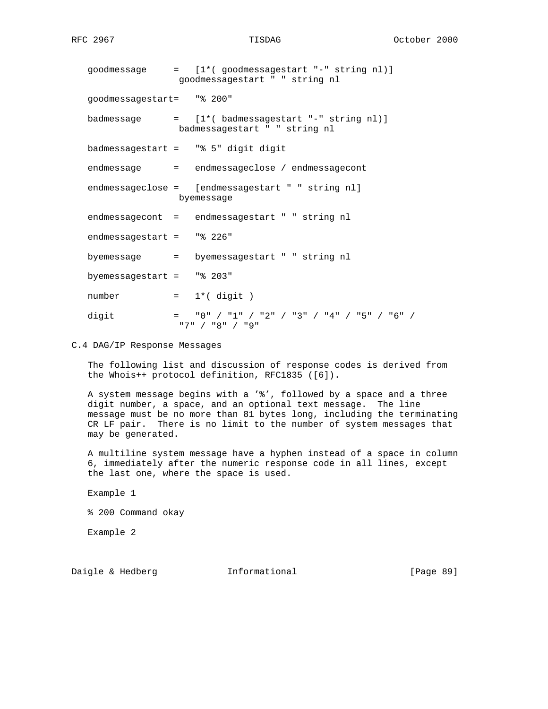| goodmessage               | = [1*(goodmessagestart "-" string nl)]<br>goodmessagestart " " string nl |
|---------------------------|--------------------------------------------------------------------------|
| goodmessagestart= "% 200" |                                                                          |
| badmessage                | = [1*(badmessagestart "-" string nl)]<br>badmessagestart " " string nl   |
|                           | badmessagestart = "% 5" digit digit                                      |
|                           | endmessage = endmessageclose / endmessagecont                            |
|                           | endmessageclose = [endmessagestart " " string nl]<br>byemessage          |
|                           | endmessagecont = endmessagestart " " string nl                           |
| endmessagestart = "% 226" |                                                                          |
|                           | byemessage = byemessagestart " " string nl                               |
| byemessagestart = "% 203" |                                                                          |
| number                    | $= 1*(\text{ digit})$                                                    |
| digit                     | $=$ "0" / "1" / "2" / "3" / "4" / "5" / "6" /<br>"7" / "8" / "9"         |

C.4 DAG/IP Response Messages

 The following list and discussion of response codes is derived from the Whois++ protocol definition, RFC1835 ([6]).

 A system message begins with a '%', followed by a space and a three digit number, a space, and an optional text message. The line message must be no more than 81 bytes long, including the terminating CR LF pair. There is no limit to the number of system messages that may be generated.

 A multiline system message have a hyphen instead of a space in column 6, immediately after the numeric response code in all lines, except the last one, where the space is used.

Example 1

% 200 Command okay

Example 2

Daigle & Hedberg **Informational** [Page 89]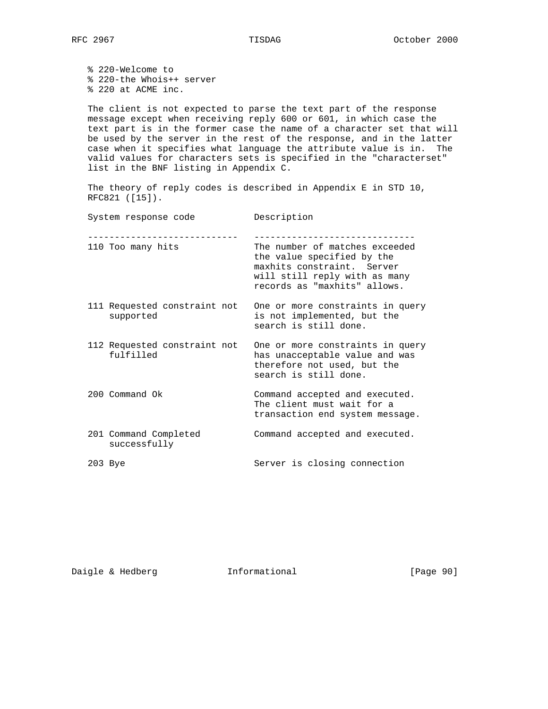% 220-Welcome to % 220-the Whois++ server % 220 at ACME inc.

 The client is not expected to parse the text part of the response message except when receiving reply 600 or 601, in which case the text part is in the former case the name of a character set that will be used by the server in the rest of the response, and in the latter case when it specifies what language the attribute value is in. The valid values for characters sets is specified in the "characterset" list in the BNF listing in Appendix C.

 The theory of reply codes is described in Appendix E in STD 10, RFC821 ([15]).

| System response code                      | Description                                                                                                                                                 |
|-------------------------------------------|-------------------------------------------------------------------------------------------------------------------------------------------------------------|
| 110 Too many hits                         | The number of matches exceeded<br>the value specified by the<br>maxhits constraint. Server<br>will still reply with as many<br>records as "maxhits" allows. |
| 111 Requested constraint not<br>supported | One or more constraints in query<br>is not implemented, but the<br>search is still done.                                                                    |
| 112 Requested constraint not<br>fulfilled | One or more constraints in query<br>has unacceptable value and was<br>therefore not used, but the<br>search is still done.                                  |
| 200 Command Ok                            | Command accepted and executed.<br>The client must wait for a<br>transaction end system message.                                                             |
| 201 Command Completed<br>successfully     | Command accepted and executed.                                                                                                                              |
| 203 Bye                                   | Server is closing connection                                                                                                                                |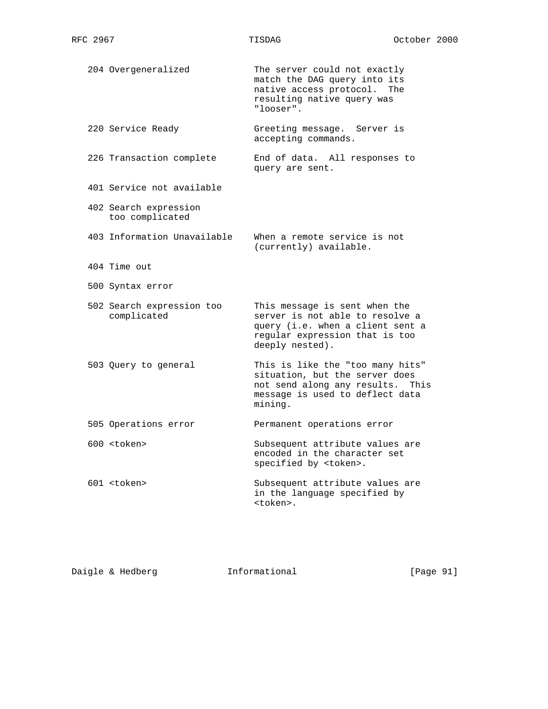204 Overgeneralized The server could not exactly match the DAG query into its native access protocol. The resulting native query was "looser". 220 Service Ready Greeting message. Server is accepting commands. 226 Transaction complete End of data. All responses to query are sent. 401 Service not available 402 Search expression too complicated 403 Information Unavailable When a remote service is not (currently) available. 404 Time out 500 Syntax error 502 Search expression too This message is sent when the complicated server is not able to resolve a query (i.e. when a client sent a regular expression that is too deeply nested). 503 Query to general This is like the "too many hits" situation, but the server does not send along any results. This message is used to deflect data mining. 505 Operations error **Permanent** operations error 600 <token> Subsequent attribute values are encoded in the character set specified by <token>. 601 <token> Subsequent attribute values are in the language specified by <token>.

Daigle & Hedberg **Informational** [Page 91]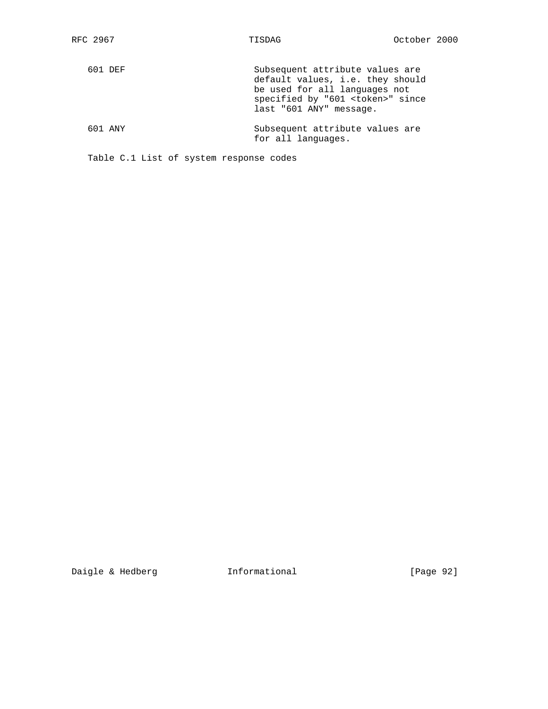| 601 DEF | Subsequent attribute values are<br>default values, i.e. they should<br>be used for all languages not<br>specified by "601 <token>" since<br/>last "601 ANY" message.</token> |
|---------|------------------------------------------------------------------------------------------------------------------------------------------------------------------------------|
| 601 ANY | Subsequent attribute values are<br>for all languages.                                                                                                                        |

Table C.1 List of system response codes

Daigle & Hedberg **Informational** [Page 92]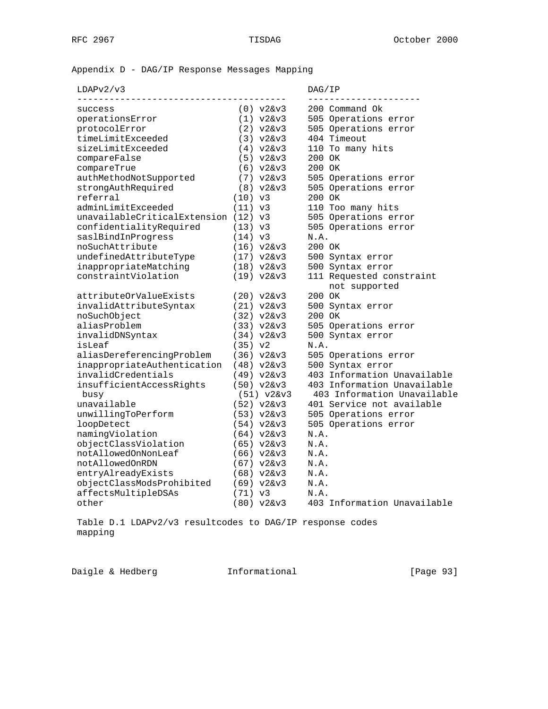Appendix D - DAG/IP Response Messages Mapping

| LDAPy2/y |  |
|----------|--|

# $DAG/IP$

|                                      |             |                              |        | ---------------------       |
|--------------------------------------|-------------|------------------------------|--------|-----------------------------|
| success                              |             | $(0) \text{ v2kv3}$          |        | 200 Command Ok              |
| operationsError                      |             | $(1) \text{ v2kv3}$          |        | 505 Operations error        |
| protocolError                        |             | $(2) \text{ v26v3}$          |        | 505 Operations error        |
| timeLimitExceeded                    |             | $(3) \text{ v26v3}$          |        | 404 Timeout                 |
| sizeLimitExceeded                    |             | (4) v26v3                    |        | 110 To many hits            |
| compareFalse                         |             | $(5) \text{ v}26v3$          | 200 OK |                             |
| compareTrue                          |             | $(6) \text{ v26v3}$          | 200 OK |                             |
| authMethodNotSupported               |             | $(7) \text{ v2&v3}$          |        | 505 Operations error        |
| strongAuthRequired                   |             | (8) v26v3                    |        | 505 Operations error        |
| referral                             | (10) v3     |                              | 200 OK |                             |
| adminLimitExceeded                   | (11) v3     |                              |        | 110 Too many hits           |
| unavailableCriticalExtension (12) v3 |             |                              |        | 505 Operations error        |
| confidentialityRequired              | (13) v3     |                              |        | 505 Operations error        |
| saslBindInProgress                   | (14) v3     |                              | N.A.   |                             |
| noSuchAttribute                      |             | (16) v26v3                   | 200 OK |                             |
| undefinedAttributeType               |             | (17) v26v3                   |        | 500 Syntax error            |
| inappropriateMatching                |             | (18) v2&v3                   |        | 500 Syntax error            |
| constraintViolation                  |             | (19) v26v3                   |        | 111 Requested constraint    |
|                                      |             |                              |        | not supported               |
| attributeOrValueExists               |             | (20) v2&v3                   | 200 OK |                             |
| invalidAttributeSyntax               |             | (21) v26v3                   |        | 500 Syntax error            |
| noSuchObject                         |             | (32) v2&v3                   | 200 OK |                             |
| aliasProblem                         |             | (33) v26v3                   |        | 505 Operations error        |
| invalidDNSyntax                      |             | (34) v26v3                   |        | 500 Syntax error            |
| isLeaf                               | $(35)$ $v2$ |                              | N.A.   |                             |
| aliasDereferencingProblem            |             | $(36) \text{ v}26v3$         |        | 505 Operations error        |
| inappropriateAuthentication          |             | (48) v2&v3                   |        | 500 Syntax error            |
| invalidCredentials                   |             | (49) v26v3                   |        | 403 Information Unavailable |
| insufficientAccessRights             |             | $(50)$ $v2kv3$               |        | 403 Information Unavailable |
| busy                                 |             | $(51) \text{ v}2\&\text{v}3$ |        | 403 Information Unavailable |
| unavailable                          |             | $(52) \text{ v}26v3$         |        | 401 Service not available   |
| unwillingToPerform                   |             | $(53) \text{ v}26v3$         |        | 505 Operations error        |
| loopDetect                           |             | (54) v26v3                   |        | 505 Operations error        |
| namingViolation                      |             | $(64)$ $v26v3$               | N.A.   |                             |
| objectClassViolation                 |             | $(65)$ $v2kv3$               | N.A.   |                             |
| notAllowedOnNonLeaf                  |             | (66) v26v3                   | N.A.   |                             |
| notAllowedOnRDN                      |             | (67) v26v3                   | N.A.   |                             |
| entryAlreadyExists                   |             | (68) v26v3                   | N.A.   |                             |
| objectClassModsProhibited            |             | $(69)$ $v2kv3$               | N.A.   |                             |
| affectsMultipleDSAs                  | $(71)$ $v3$ |                              | N.A.   |                             |
| other                                |             | (80) v26v3                   |        | 403 Information Unavailable |

 Table D.1 LDAPv2/v3 resultcodes to DAG/IP response codes mapping

Daigle & Hedberg **Informational** [Page 93]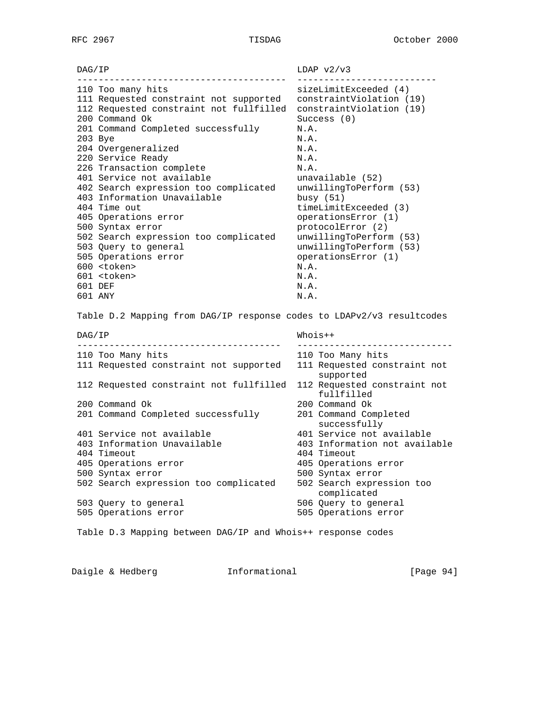$DAG/IP$  LDAP  $v2/v3$  --------------------------------------- -------------------------- 110 Too many hits sizeLimitExceeded (4) 111 Requested constraint not supported constraintViolation (19) 112 Requested constraint not fullfilled constraintViolation (19)<br>200 Command Ok Success (0) 200 Command Ok Success (0) 201 Command Completed successfully M.A. 203 Bye N.A. 204 Overgeneralized N.A. 220 Service Ready N.A. 226 Transaction complete M.A. 401 Service not available unavailable (52) 402 Search expression too complicated unwillingToPerform (53) 403 Information Unavailable busy (51) 404 Time out timeLimitExceeded (3) 405 Operations error operationsError (1) 500 Syntax error protocolError (2) 502 Search expression too complicated unwillingToPerform (53) 503 Query to general unwillingToPerform (53) 505 Operations error operationsError (1) 600 <token> N.A. 601 <token> N.A. 601 DEF N.A. 601 ANY N.A. Table D.2 Mapping from DAG/IP response codes to LDAPv2/v3 resultcodes DAG/IP Whois++ -------------------------------------- ----------------------------- 110 Too Many hits 110 Too Many hits 111 Requested constraint not supported 111 Requested constraint not supported 112 Requested constraint not fullfilled 112 Requested constraint not fullfilled 200 Command Ok 200 Command Ok 201 Command Completed successfully 201 Command Completed  $s$ uccess $f$ ull $y$  401 Service not available 401 Service not available 403 Information Unavailable 403 Information not available 404 Timeout 404 Timeout 405 Operations error 405 Operations error 500 Syntax error 500 Syntax error 502 Search expression too complicated 502 Search expression too complicated 503 Query to general 506 Query to general 505 Operations error 505 Operations error Table D.3 Mapping between DAG/IP and Whois++ response codes

Daigle & Hedberg **Informational** [Page 94]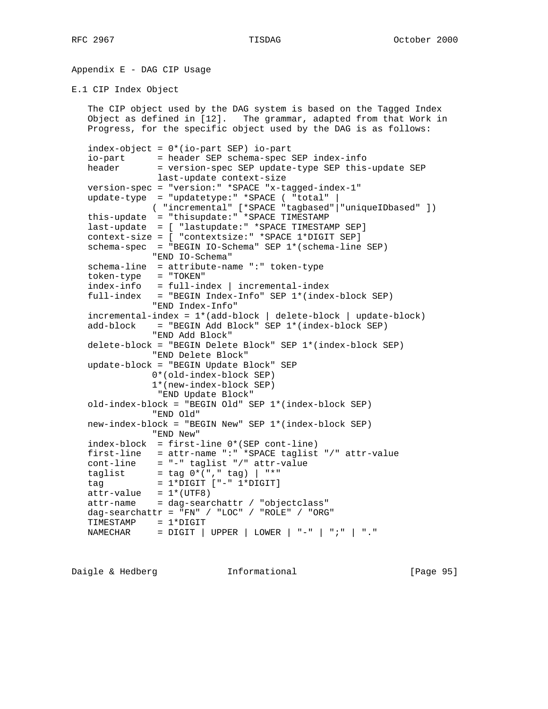Appendix E - DAG CIP Usage

E.1 CIP Index Object

 The CIP object used by the DAG system is based on the Tagged Index Object as defined in [12]. The grammar, adapted from that Work in Progress, for the specific object used by the DAG is as follows: index-object = 0\*(io-part SEP) io-part io-part = header SEP schema-spec SEP index-info header = version-spec SEP update-type SEP this-update SEP last-update context-size version-spec = "version:" \*SPACE "x-tagged-index-1" update-type = "updatetype:" \*SPACE ( "total" | ( "incremental" [\*SPACE "tagbased"|"uniqueIDbased" ]) this-update = "thisupdate:" \*SPACE TIMESTAMP last-update = [ "lastupdate:" \*SPACE TIMESTAMP SEP] context-size = [ "contextsize:" \*SPACE 1\*DIGIT SEP] schema-spec = "BEGIN IO-Schema" SEP 1\*(schema-line SEP) "END IO-Schema" schema-line = attribute-name ":" token-type token-type = "TOKEN" index-info = full-index | incremental-index full-index = "BEGIN Index-Info" SEP 1\*(index-block SEP) "END Index-Info" incremental-index = 1\*(add-block | delete-block | update-block) add-block = "BEGIN Add Block" SEP 1\*(index-block SEP) "END Add Block" delete-block = "BEGIN Delete Block" SEP 1\*(index-block SEP) "END Delete Block" update-block = "BEGIN Update Block" SEP 0\*(old-index-block SEP) 1\*(new-index-block SEP) "END Update Block" old-index-block = "BEGIN Old" SEP 1\*(index-block SEP) "END Old" new-index-block = "BEGIN New" SEP 1\*(index-block SEP) "END New" index-block = first-line 0\*(SEP cont-line) first-line = attr-name ":" \*SPACE taglist "/" attr-value cont-line = "-" taglist "/" attr-value taglist  $=$  tag  $0^*$ ("," tag)  $|$  "\*" tag = 1\*DIGIT ["-" 1\*DIGIT]  $attr-value = 1*(UTF8)$  $attr$ -name = dag-searchattr / "objectclass" dag-searchattr = "FN" / "LOC" / "ROLE" / "ORG" TIMESTAMP = 1\*DIGIT  $NAMECHAR$  =  $DIGIT$  | UPPER | LOWER | "-" | ";" | "."

Daigle & Hedberg **Informational** [Page 95]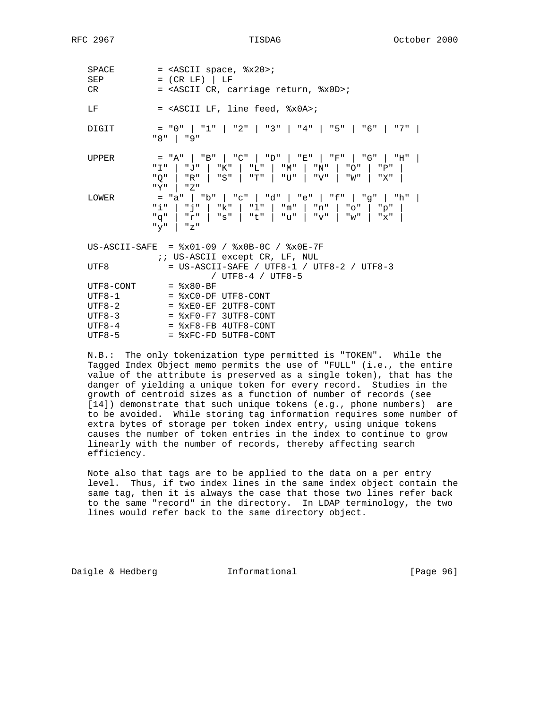| <b>SPACE</b><br>SEP<br>CR | $=$ <ascii <math="" space,="">x20,<br/><math>= (CR LF)</math>   LF<br/>= <ascii %x0d="" carriage="" cr,="" return,="">;</ascii></ascii>                                  |
|---------------------------|--------------------------------------------------------------------------------------------------------------------------------------------------------------------------|
| LF                        | = <ascii %x0a="" feed,="" lf,="" line="">;</ascii>                                                                                                                       |
| DIGIT                     | $=$ "0"   "1"   "2"   "3"   "4"   "5"   "6"   "7"  <br>"8"   "9"                                                                                                         |
| <b>UPPER</b>              | = "A"   "B"   "C"   "D"   "E"   "F"   "G"   "H"  <br>"I"   "J"   "K"   "L"   "M"   "N"   "O"   "P"  <br>"Q"   "R"   "S"   "T"   "U"   "V"   "W"   "X"  <br>$"Y"$   $"Z"$ |
| LOWER                     | = "a"   "b"   "c"   "d"   "e"   "f"   "g"   "h"  <br>"i"   "j"   "k"   "l"   "m"   "n"   "o"   "p"<br>$"q"$   "r"   "s"   "t"   "u"   "v"   "w"   "x"  <br>" $y$ "   "z" |
|                           | US-ASCII-SAFE = $x01-09$ / $x0B-0C$ / $x0E-7F$<br><i>ii</i> US-ASCII except CR, LF, NUL                                                                                  |
| UTF8                      | = US-ASCII-SAFE / UTF8-1 / UTF8-2 / UTF8-3<br>/ UTF8-4 / UTF8-5                                                                                                          |
| UTF8-CONT                 | $=$ $8x80-BF$                                                                                                                                                            |
| $UTF8-1$                  | $=$ $xCO-DF$ $UTF8-CONT$                                                                                                                                                 |
| $UTF8-2$                  | $=$ $xE0-EF$ 2UTF8-CONT                                                                                                                                                  |
| UTF8-3                    | $=$ $xF0-F7$ 3UTF8-CONT                                                                                                                                                  |
|                           |                                                                                                                                                                          |

 $UTF8-4$  =  $xF8-FB 4UTF8-CONT$  $UTF8-5$  =  $xFC-FD$  5UTF8-CONT

 N.B.: The only tokenization type permitted is "TOKEN". While the Tagged Index Object memo permits the use of "FULL" (i.e., the entire value of the attribute is preserved as a single token), that has the danger of yielding a unique token for every record. Studies in the growth of centroid sizes as a function of number of records (see [14]) demonstrate that such unique tokens (e.g., phone numbers) are to be avoided. While storing tag information requires some number of extra bytes of storage per token index entry, using unique tokens causes the number of token entries in the index to continue to grow linearly with the number of records, thereby affecting search efficiency.

 Note also that tags are to be applied to the data on a per entry level. Thus, if two index lines in the same index object contain the same tag, then it is always the case that those two lines refer back to the same "record" in the directory. In LDAP terminology, the two lines would refer back to the same directory object.

Daigle & Hedberg **Informational** [Page 96]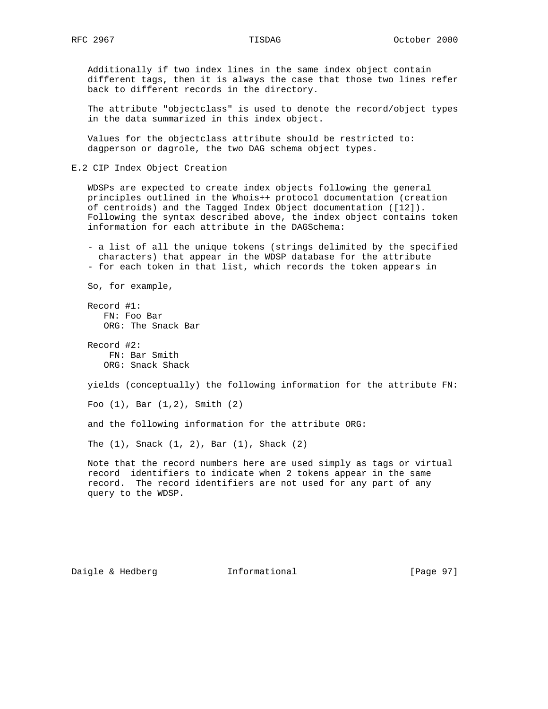Additionally if two index lines in the same index object contain different tags, then it is always the case that those two lines refer back to different records in the directory.

 The attribute "objectclass" is used to denote the record/object types in the data summarized in this index object.

 Values for the objectclass attribute should be restricted to: dagperson or dagrole, the two DAG schema object types.

E.2 CIP Index Object Creation

 WDSPs are expected to create index objects following the general principles outlined in the Whois++ protocol documentation (creation of centroids) and the Tagged Index Object documentation ([12]). Following the syntax described above, the index object contains token information for each attribute in the DAGSchema:

 - a list of all the unique tokens (strings delimited by the specified characters) that appear in the WDSP database for the attribute - for each token in that list, which records the token appears in

So, for example,

 Record #1: FN: Foo Bar ORG: The Snack Bar

 Record #2: FN: Bar Smith ORG: Snack Shack

yields (conceptually) the following information for the attribute FN:

Foo (1), Bar (1,2), Smith (2)

and the following information for the attribute ORG:

The (1), Snack (1, 2), Bar (1), Shack (2)

 Note that the record numbers here are used simply as tags or virtual record identifiers to indicate when 2 tokens appear in the same record. The record identifiers are not used for any part of any query to the WDSP.

Daigle & Hedberg **Informational** [Page 97]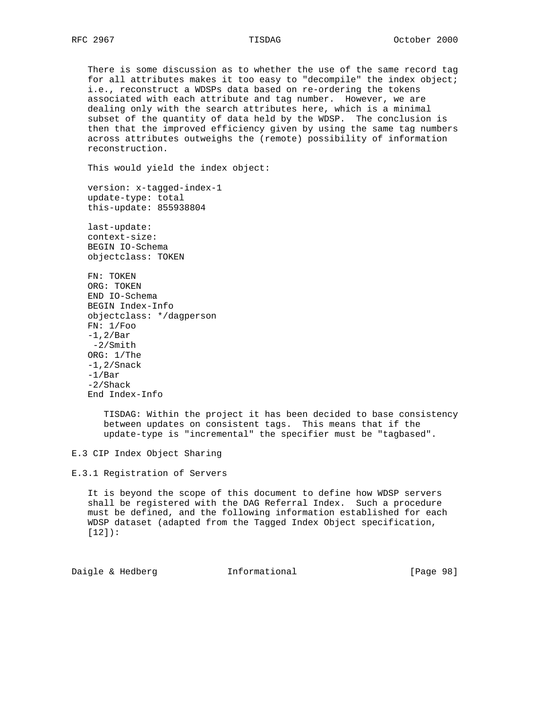There is some discussion as to whether the use of the same record tag for all attributes makes it too easy to "decompile" the index object; i.e., reconstruct a WDSPs data based on re-ordering the tokens associated with each attribute and tag number. However, we are dealing only with the search attributes here, which is a minimal subset of the quantity of data held by the WDSP. The conclusion is then that the improved efficiency given by using the same tag numbers across attributes outweighs the (remote) possibility of information reconstruction.

This would yield the index object:

 version: x-tagged-index-1 update-type: total this-update: 855938804

 last-update: context-size: BEGIN IO-Schema objectclass: TOKEN

 FN: TOKEN ORG: TOKEN END IO-Schema BEGIN Index-Info objectclass: \*/dagperson FN: 1/Foo -1,2/Bar -2/Smith ORG: 1/The -1,2/Snack -1/Bar -2/Shack End Index-Info

> TISDAG: Within the project it has been decided to base consistency between updates on consistent tags. This means that if the update-type is "incremental" the specifier must be "tagbased".

E.3 CIP Index Object Sharing

E.3.1 Registration of Servers

 It is beyond the scope of this document to define how WDSP servers shall be registered with the DAG Referral Index. Such a procedure must be defined, and the following information established for each WDSP dataset (adapted from the Tagged Index Object specification, [12]):

Daigle & Hedberg **Informational** [Page 98]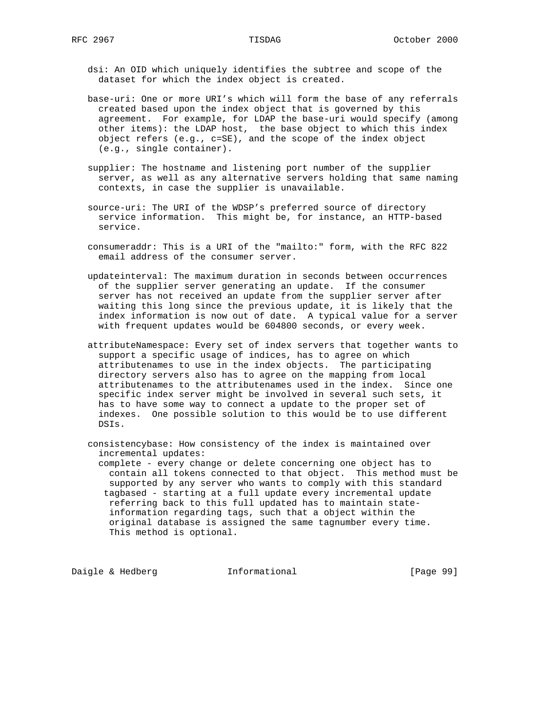dsi: An OID which uniquely identifies the subtree and scope of the dataset for which the index object is created.

 base-uri: One or more URI's which will form the base of any referrals created based upon the index object that is governed by this agreement. For example, for LDAP the base-uri would specify (among other items): the LDAP host, the base object to which this index object refers (e.g., c=SE), and the scope of the index object (e.g., single container).

 supplier: The hostname and listening port number of the supplier server, as well as any alternative servers holding that same naming contexts, in case the supplier is unavailable.

 source-uri: The URI of the WDSP's preferred source of directory service information. This might be, for instance, an HTTP-based service.

 consumeraddr: This is a URI of the "mailto:" form, with the RFC 822 email address of the consumer server.

 updateinterval: The maximum duration in seconds between occurrences of the supplier server generating an update. If the consumer server has not received an update from the supplier server after waiting this long since the previous update, it is likely that the index information is now out of date. A typical value for a server with frequent updates would be 604800 seconds, or every week.

 attributeNamespace: Every set of index servers that together wants to support a specific usage of indices, has to agree on which attributenames to use in the index objects. The participating directory servers also has to agree on the mapping from local attributenames to the attributenames used in the index. Since one specific index server might be involved in several such sets, it has to have some way to connect a update to the proper set of indexes. One possible solution to this would be to use different DSIs.

 consistencybase: How consistency of the index is maintained over incremental updates:

 complete - every change or delete concerning one object has to contain all tokens connected to that object. This method must be supported by any server who wants to comply with this standard tagbased - starting at a full update every incremental update referring back to this full updated has to maintain state information regarding tags, such that a object within the original database is assigned the same tagnumber every time. This method is optional.

Daigle & Hedberg **Informational** [Page 99]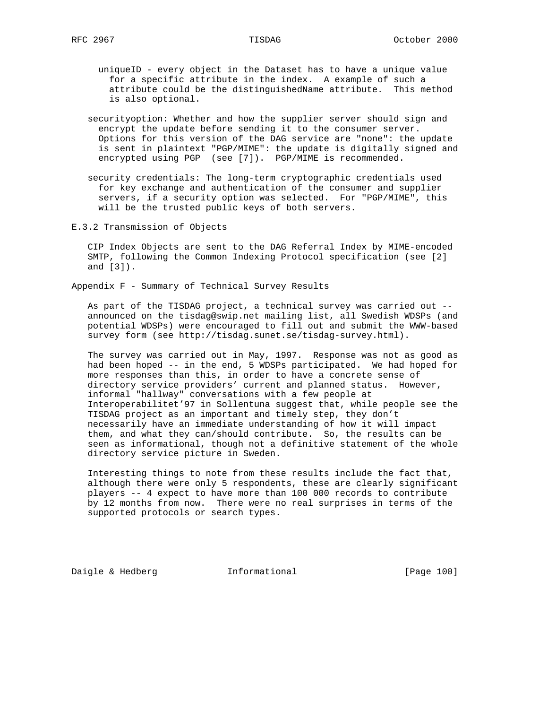- uniqueID every object in the Dataset has to have a unique value for a specific attribute in the index. A example of such a attribute could be the distinguishedName attribute. This method is also optional.
- securityoption: Whether and how the supplier server should sign and encrypt the update before sending it to the consumer server. Options for this version of the DAG service are "none": the update is sent in plaintext "PGP/MIME": the update is digitally signed and encrypted using PGP (see [7]). PGP/MIME is recommended.
- security credentials: The long-term cryptographic credentials used for key exchange and authentication of the consumer and supplier servers, if a security option was selected. For "PGP/MIME", this will be the trusted public keys of both servers.
- E.3.2 Transmission of Objects

 CIP Index Objects are sent to the DAG Referral Index by MIME-encoded SMTP, following the Common Indexing Protocol specification (see [2] and [3]).

Appendix F - Summary of Technical Survey Results

 As part of the TISDAG project, a technical survey was carried out - announced on the tisdag@swip.net mailing list, all Swedish WDSPs (and potential WDSPs) were encouraged to fill out and submit the WWW-based survey form (see http://tisdag.sunet.se/tisdag-survey.html).

 The survey was carried out in May, 1997. Response was not as good as had been hoped -- in the end, 5 WDSPs participated. We had hoped for more responses than this, in order to have a concrete sense of directory service providers' current and planned status. However, informal "hallway" conversations with a few people at Interoperabilitet'97 in Sollentuna suggest that, while people see the TISDAG project as an important and timely step, they don't necessarily have an immediate understanding of how it will impact them, and what they can/should contribute. So, the results can be seen as informational, though not a definitive statement of the whole directory service picture in Sweden.

 Interesting things to note from these results include the fact that, although there were only 5 respondents, these are clearly significant players -- 4 expect to have more than 100 000 records to contribute by 12 months from now. There were no real surprises in terms of the supported protocols or search types.

Daigle & Hedberg **Informational** [Page 100]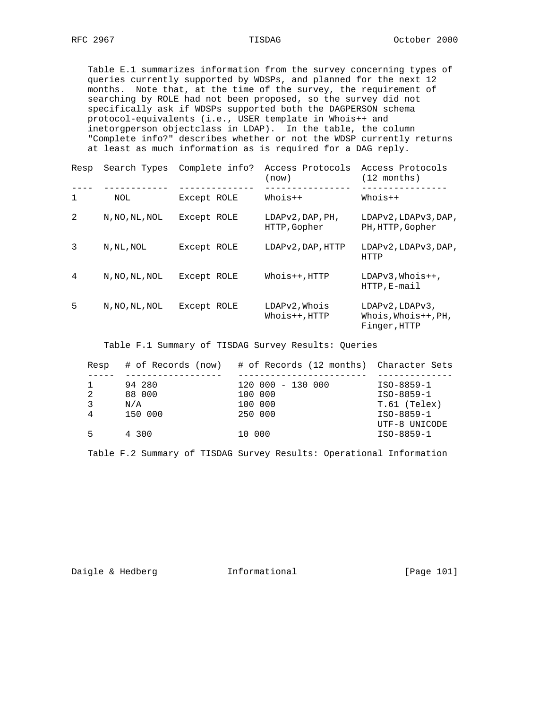Table E.1 summarizes information from the survey concerning types of queries currently supported by WDSPs, and planned for the next 12 months. Note that, at the time of the survey, the requirement of searching by ROLE had not been proposed, so the survey did not specifically ask if WDSPs supported both the DAGPERSON schema protocol-equivalents (i.e., USER template in Whois++ and inetorgperson objectclass in LDAP). In the table, the column "Complete info?" describes whether or not the WDSP currently returns at least as much information as is required for a DAG reply.

| Resp |                | Search Types Complete info? | Access Protocols<br>(now)                 | Access Protocols<br>$(12 \text{ months})$              |
|------|----------------|-----------------------------|-------------------------------------------|--------------------------------------------------------|
| 1    | NOL            | Except ROLE                 | Whois++                                   | Whois++                                                |
| 2    | N, NO, NL, NOL | Except ROLE                 | $LDAPV2$ , $DAP$ , $PH$ ,<br>HTTP, Gopher | LDAPv2, LDAPv3, DAP,<br>PH, HTTP, Gopher               |
| 3    | N, NL, NOL     | Except ROLE                 | LDAPv2, DAP, HTTP                         | LDAPv2, LDAPv3, DAP,<br>HTTP                           |
| 4    | N, NO, NL, NOL | Except ROLE                 | $Whois++, HTTP$                           | $LDAPy3, Whois++,$<br>$HTTP, E-mail$                   |
| 5    | N, NO, NL, NOL | Except ROLE                 | LDAPv2, Whois<br>$Whois++.$ HTTP          | LDAPv2, LDAPv3,<br>Whois, Whois++, PH,<br>Finger, HTTP |

Table F.1 Summary of TISDAG Survey Results: Queries

| Resp |         | # of Records (now) # of Records (12 months) Character Sets |               |
|------|---------|------------------------------------------------------------|---------------|
|      |         |                                                            |               |
|      | 94 280  | $120000 - 13000$                                           | ISO-8859-1    |
| 2    | 88 000  | 100 000                                                    | ISO-8859-1    |
| 3    | N/A     | 100 000                                                    | T.61 (Telex)  |
| 4    | 150 000 | 250 000                                                    | ISO-8859-1    |
|      |         |                                                            | UTF-8 UNICODE |
| 5    | 4 300   | 10 000                                                     | ISO-8859-1    |

Table F.2 Summary of TISDAG Survey Results: Operational Information

Daigle & Hedberg **Informational** [Page 101]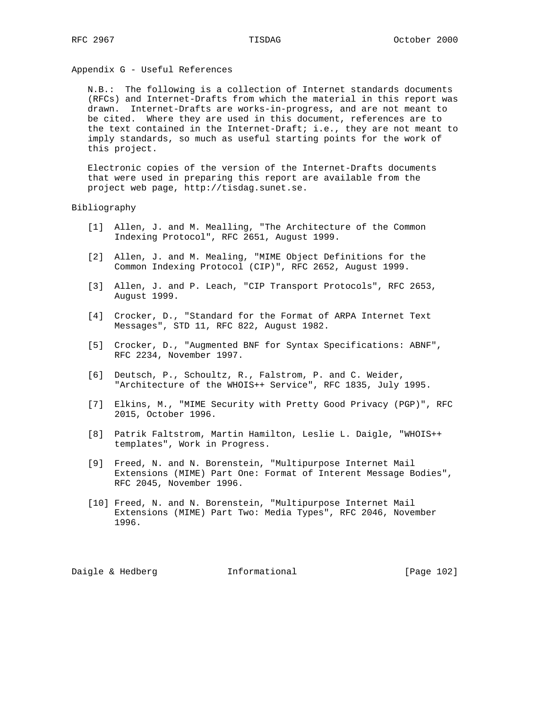Appendix G - Useful References

 N.B.: The following is a collection of Internet standards documents (RFCs) and Internet-Drafts from which the material in this report was drawn. Internet-Drafts are works-in-progress, and are not meant to be cited. Where they are used in this document, references are to the text contained in the Internet-Draft; i.e., they are not meant to imply standards, so much as useful starting points for the work of this project.

 Electronic copies of the version of the Internet-Drafts documents that were used in preparing this report are available from the project web page, http://tisdag.sunet.se.

### Bibliography

- [1] Allen, J. and M. Mealling, "The Architecture of the Common Indexing Protocol", RFC 2651, August 1999.
- [2] Allen, J. and M. Mealing, "MIME Object Definitions for the Common Indexing Protocol (CIP)", RFC 2652, August 1999.
- [3] Allen, J. and P. Leach, "CIP Transport Protocols", RFC 2653, August 1999.
- [4] Crocker, D., "Standard for the Format of ARPA Internet Text Messages", STD 11, RFC 822, August 1982.
- [5] Crocker, D., "Augmented BNF for Syntax Specifications: ABNF", RFC 2234, November 1997.
- [6] Deutsch, P., Schoultz, R., Falstrom, P. and C. Weider, "Architecture of the WHOIS++ Service", RFC 1835, July 1995.
- [7] Elkins, M., "MIME Security with Pretty Good Privacy (PGP)", RFC 2015, October 1996.
- [8] Patrik Faltstrom, Martin Hamilton, Leslie L. Daigle, "WHOIS++ templates", Work in Progress.
- [9] Freed, N. and N. Borenstein, "Multipurpose Internet Mail Extensions (MIME) Part One: Format of Interent Message Bodies", RFC 2045, November 1996.
- [10] Freed, N. and N. Borenstein, "Multipurpose Internet Mail Extensions (MIME) Part Two: Media Types", RFC 2046, November 1996.

Daigle & Hedberg **Informational** [Page 102]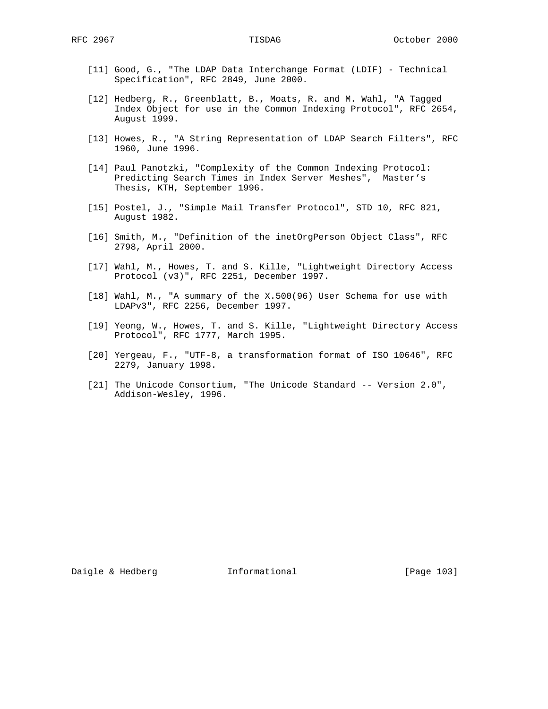- [11] Good, G., "The LDAP Data Interchange Format (LDIF) Technical Specification", RFC 2849, June 2000.
- [12] Hedberg, R., Greenblatt, B., Moats, R. and M. Wahl, "A Tagged Index Object for use in the Common Indexing Protocol", RFC 2654, August 1999.
- [13] Howes, R., "A String Representation of LDAP Search Filters", RFC 1960, June 1996.
- [14] Paul Panotzki, "Complexity of the Common Indexing Protocol: Predicting Search Times in Index Server Meshes", Master's Thesis, KTH, September 1996.
- [15] Postel, J., "Simple Mail Transfer Protocol", STD 10, RFC 821, August 1982.
- [16] Smith, M., "Definition of the inetOrgPerson Object Class", RFC 2798, April 2000.
- [17] Wahl, M., Howes, T. and S. Kille, "Lightweight Directory Access Protocol (v3)", RFC 2251, December 1997.
- [18] Wahl, M., "A summary of the X.500(96) User Schema for use with LDAPv3", RFC 2256, December 1997.
- [19] Yeong, W., Howes, T. and S. Kille, "Lightweight Directory Access Protocol", RFC 1777, March 1995.
- [20] Yergeau, F., "UTF-8, a transformation format of ISO 10646", RFC 2279, January 1998.
- [21] The Unicode Consortium, "The Unicode Standard -- Version 2.0", Addison-Wesley, 1996.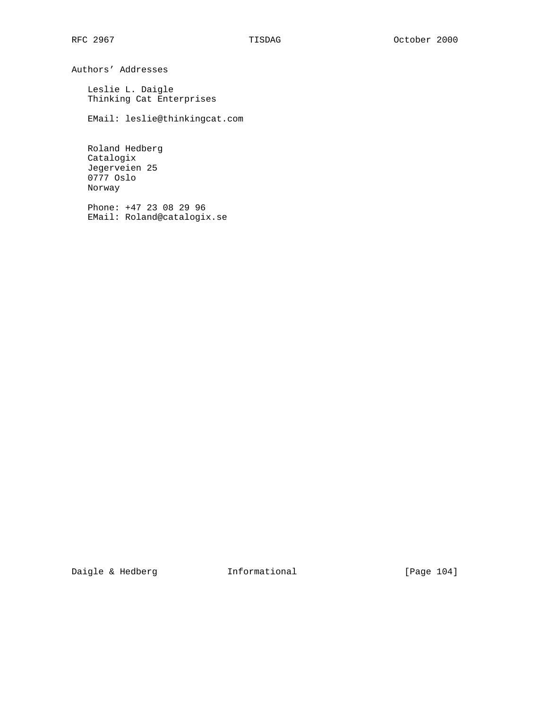Authors' Addresses

 Leslie L. Daigle Thinking Cat Enterprises

EMail: leslie@thinkingcat.com

 Roland Hedberg Catalogix Jegerveien 25 0777 Oslo Norway

 Phone: +47 23 08 29 96 EMail: Roland@catalogix.se